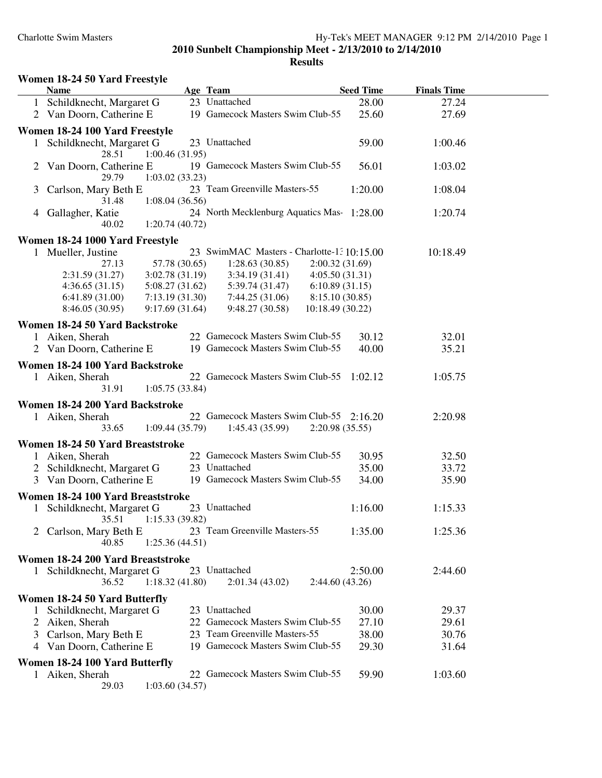| Women 18-24 50 Yard Freestyle |  |  |  |  |  |
|-------------------------------|--|--|--|--|--|
|-------------------------------|--|--|--|--|--|

|                                 | <b>Name</b>                                                                  |  | Age Team                                   | <b>Seed Time</b> | <b>Finals Time</b> |  |  |  |
|---------------------------------|------------------------------------------------------------------------------|--|--------------------------------------------|------------------|--------------------|--|--|--|
| $\mathbf{1}$                    | Schildknecht, Margaret G                                                     |  | 23 Unattached                              | 28.00            | 27.24              |  |  |  |
|                                 | 2 Van Doorn, Catherine E                                                     |  | 19 Gamecock Masters Swim Club-55           | 25.60            | 27.69              |  |  |  |
|                                 | Women 18-24 100 Yard Freestyle                                               |  |                                            |                  |                    |  |  |  |
|                                 | 1 Schildknecht, Margaret G                                                   |  | 23 Unattached                              | 59.00            | 1:00.46            |  |  |  |
|                                 | 1:00.46(31.95)<br>28.51<br>Van Doorn, Catherine E<br>29.79<br>1:03.02(33.23) |  | 19 Gamecock Masters Swim Club-55           | 56.01            | 1:03.02            |  |  |  |
| 3                               | Carlson, Mary Beth E<br>31.48<br>1:08.04(36.56)                              |  | 23 Team Greenville Masters-55              | 1:20.00          | 1:08.04            |  |  |  |
| 4                               | Gallagher, Katie<br>40.02<br>1:20.74(40.72)                                  |  | 24 North Mecklenburg Aquatics Mas 1:28.00  |                  | 1:20.74            |  |  |  |
|                                 | Women 18-24 1000 Yard Freestyle                                              |  |                                            |                  |                    |  |  |  |
| 1                               | Mueller, Justine                                                             |  | 23 SwimMAC Masters - Charlotte-1: 10:15.00 |                  | 10:18.49           |  |  |  |
|                                 | 27.13<br>57.78 (30.65)                                                       |  | 1:28.63(30.85)                             | 2:00.32(31.69)   |                    |  |  |  |
|                                 | 2:31.59(31.27)<br>3:02.78(31.19)                                             |  | 3:34.19(31.41)                             | 4:05.50(31.31)   |                    |  |  |  |
|                                 | 4:36.65(31.15)<br>5:08.27(31.62)                                             |  | 5:39.74(31.47)                             | 6:10.89(31.15)   |                    |  |  |  |
|                                 | 6:41.89(31.00)<br>7:13.19(31.30)                                             |  | 7:44.25(31.06)                             | 8:15.10 (30.85)  |                    |  |  |  |
|                                 | 8:46.05 (30.95)<br>9:17.69(31.64)                                            |  | 9:48.27 (30.58)                            | 10:18.49 (30.22) |                    |  |  |  |
|                                 | Women 18-24 50 Yard Backstroke                                               |  |                                            |                  |                    |  |  |  |
|                                 | 1 Aiken, Sherah                                                              |  | 22 Gamecock Masters Swim Club-55           | 30.12            | 32.01              |  |  |  |
|                                 | 2 Van Doorn, Catherine E                                                     |  | 19 Gamecock Masters Swim Club-55           | 40.00            | 35.21              |  |  |  |
|                                 |                                                                              |  |                                            |                  |                    |  |  |  |
|                                 | Women 18-24 100 Yard Backstroke                                              |  |                                            |                  |                    |  |  |  |
|                                 | 1 Aiken, Sherah<br>1:05.75(33.84)<br>31.91                                   |  | 22 Gamecock Masters Swim Club-55           | 1:02.12          | 1:05.75            |  |  |  |
| Women 18-24 200 Yard Backstroke |                                                                              |  |                                            |                  |                    |  |  |  |
|                                 | 1 Aiken, Sherah                                                              |  | 22 Gamecock Masters Swim Club-55 2:16.20   |                  | 2:20.98            |  |  |  |
|                                 | 33.65<br>1:09.44(35.79)                                                      |  | 1:45.43(35.99)                             | 2:20.98(35.55)   |                    |  |  |  |
|                                 | Women 18-24 50 Yard Breaststroke                                             |  |                                            |                  |                    |  |  |  |
|                                 | 1 Aiken, Sherah                                                              |  | 22 Gamecock Masters Swim Club-55           | 30.95            | 32.50              |  |  |  |
|                                 | 2 Schildknecht, Margaret G                                                   |  | 23 Unattached                              | 35.00            | 33.72              |  |  |  |
|                                 | 3 Van Doorn, Catherine E                                                     |  | 19 Gamecock Masters Swim Club-55           | 34.00            | 35.90              |  |  |  |
|                                 |                                                                              |  |                                            |                  |                    |  |  |  |
|                                 | Women 18-24 100 Yard Breaststroke                                            |  |                                            |                  |                    |  |  |  |
| 1                               | Schildknecht, Margaret G<br>35.51<br>1:15.33(39.82)                          |  | 23 Unattached                              | 1:16.00          | 1:15.33            |  |  |  |
|                                 | 2 Carlson, Mary Beth E<br>40.85<br>1:25.36(44.51)                            |  | 23 Team Greenville Masters-55              | 1:35.00          | 1:25.36            |  |  |  |
|                                 | Women 18-24 200 Yard Breaststroke                                            |  |                                            |                  |                    |  |  |  |
|                                 | 1 Schildknecht, Margaret G                                                   |  | 23 Unattached                              | 2:50.00          | 2:44.60            |  |  |  |
|                                 | 1:18.32(41.80)<br>36.52                                                      |  | 2:01.34(43.02)                             | 2:44.60 (43.26)  |                    |  |  |  |
|                                 | Women 18-24 50 Yard Butterfly                                                |  |                                            |                  |                    |  |  |  |
| 1                               | Schildknecht, Margaret G                                                     |  | 23 Unattached                              | 30.00            | 29.37              |  |  |  |
|                                 | 2 Aiken, Sherah                                                              |  | 22 Gamecock Masters Swim Club-55           | 27.10            | 29.61              |  |  |  |
|                                 | 3 Carlson, Mary Beth E                                                       |  | 23 Team Greenville Masters-55              | 38.00            | 30.76              |  |  |  |
|                                 | 4 Van Doorn, Catherine E                                                     |  | 19 Gamecock Masters Swim Club-55           | 29.30            | 31.64              |  |  |  |
|                                 |                                                                              |  |                                            |                  |                    |  |  |  |
|                                 | Women 18-24 100 Yard Butterfly                                               |  |                                            |                  |                    |  |  |  |
|                                 | 1 Aiken, Sherah<br>29.03<br>1:03.60(34.57)                                   |  | 22 Gamecock Masters Swim Club-55           | 59.90            | 1:03.60            |  |  |  |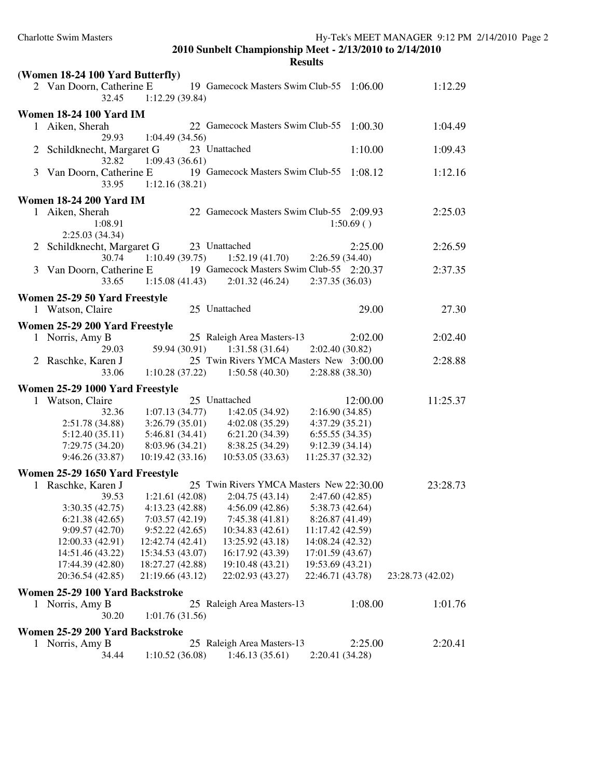|   | (Women 18-24 100 Yard Butterfly)             |       |                  |                                                                               |                  |           |                  |
|---|----------------------------------------------|-------|------------------|-------------------------------------------------------------------------------|------------------|-----------|------------------|
|   | 2 Van Doorn, Catherine E                     | 32.45 | 1:12.29(39.84)   | 19 Gamecock Masters Swim Club-55                                              |                  | 1:06.00   | 1:12.29          |
|   | <b>Women 18-24 100 Yard IM</b>               |       |                  |                                                                               |                  |           |                  |
|   | 1 Aiken, Sherah                              | 29.93 | 1:04.49(34.56)   | 22 Gamecock Masters Swim Club-55                                              |                  | 1:00.30   | 1:04.49          |
|   | 2 Schildknecht, Margaret G                   | 32.82 | 1:09.43(36.61)   | 23 Unattached                                                                 |                  | 1:10.00   | 1:09.43          |
| 3 | Van Doorn, Catherine E                       | 33.95 | 1:12.16(38.21)   | 19 Gamecock Masters Swim Club-55                                              |                  | 1:08.12   | 1:12.16          |
|   | <b>Women 18-24 200 Yard IM</b>               |       |                  |                                                                               |                  |           |                  |
|   | 1 Aiken, Sherah<br>1:08.91<br>2:25.03(34.34) |       |                  | 22 Gamecock Masters Swim Club-55 2:09.93                                      |                  | 1:50.69() | 2:25.03          |
| 2 | Schildknecht, Margaret G                     | 30.74 | 1:10.49(39.75)   | 23 Unattached<br>1:52.19(41.70)                                               | 2:26.59(34.40)   | 2:25.00   | 2:26.59          |
| 3 | Van Doorn, Catherine E                       | 33.65 |                  | 19 Gamecock Masters Swim Club-55 2:20.37<br>$1:15.08(41.43)$ $2:01.32(46.24)$ | 2:37.35(36.03)   |           | 2:37.35          |
|   | Women 25-29 50 Yard Freestyle                |       |                  |                                                                               |                  |           |                  |
|   | 1 Watson, Claire                             |       |                  | 25 Unattached                                                                 |                  | 29.00     | 27.30            |
|   | Women 25-29 200 Yard Freestyle               |       |                  |                                                                               |                  |           |                  |
|   | 1 Norris, Amy B                              |       |                  | 25 Raleigh Area Masters-13                                                    |                  | 2:02.00   | 2:02.40          |
|   |                                              | 29.03 | 59.94 (30.91)    | 1:31.58(31.64)                                                                | 2:02.40(30.82)   |           |                  |
|   | 2 Raschke, Karen J                           |       |                  | 25 Twin Rivers YMCA Masters New 3:00.00                                       |                  |           | 2:28.88          |
|   |                                              | 33.06 |                  | $1:10.28(37.22)$ $1:50.58(40.30)$                                             | 2:28.88 (38.30)  |           |                  |
|   | Women 25-29 1000 Yard Freestyle              |       |                  |                                                                               |                  |           |                  |
|   | 1 Watson, Claire                             |       |                  | 25 Unattached                                                                 |                  | 12:00.00  | 11:25.37         |
|   |                                              | 32.36 | 1:07.13(34.77)   | 1:42.05(34.92)                                                                | 2:16.90(34.85)   |           |                  |
|   | 2:51.78(34.88)                               |       | 3:26.79(35.01)   | 4:02.08(35.29)                                                                | 4:37.29(35.21)   |           |                  |
|   | 5:12.40(35.11)                               |       |                  | $5:46.81(34.41)$ $6:21.20(34.39)$                                             | 6:55.55(34.35)   |           |                  |
|   | 7:29.75(34.20)                               |       | 8:03.96 (34.21)  | 8:38.25 (34.29)<br>10:53.05(33.63)                                            | 9:12.39(34.14)   |           |                  |
|   | 9:46.26 (33.87)                              |       | 10:19.42(33.16)  |                                                                               | 11:25.37 (32.32) |           |                  |
|   | Women 25-29 1650 Yard Freestyle              |       |                  |                                                                               |                  |           |                  |
|   | 1 Raschke, Karen J                           |       |                  | 25 Twin Rivers YMCA Masters New 22:30.00                                      |                  |           | 23:28.73         |
|   |                                              | 39.53 | 1:21.61(42.08)   | 2:04.75(43.14)                                                                | 2:47.60(42.85)   |           |                  |
|   | 3:30.35(42.75)                               |       |                  | 4:13.23 (42.88) $4:56.09$ (42.86) $5:38.73$ (42.64)                           |                  |           |                  |
|   | 6:21.38(42.65)                               |       | 7:03.57(42.19)   | 7:45.38(41.81)                                                                | 8:26.87 (41.49)  |           |                  |
|   | 9:09.57(42.70)                               |       | 9:52.22(42.65)   | 10:34.83 (42.61)                                                              | 11:17.42 (42.59) |           |                  |
|   | 12:00.33(42.91)                              |       | 12:42.74 (42.41) | 13:25.92 (43.18)                                                              | 14:08.24 (42.32) |           |                  |
|   | 14:51.46 (43.22)                             |       | 15:34.53 (43.07) | 16:17.92 (43.39)                                                              | 17:01.59 (43.67) |           |                  |
|   | 17:44.39 (42.80)                             |       | 18:27.27 (42.88) | 19:10.48 (43.21)                                                              | 19:53.69 (43.21) |           |                  |
|   | 20:36.54 (42.85)                             |       | 21:19.66 (43.12) | 22:02.93 (43.27)                                                              | 22:46.71 (43.78) |           | 23:28.73 (42.02) |
|   | Women 25-29 100 Yard Backstroke              |       |                  |                                                                               |                  |           |                  |
| 1 | Norris, Amy B                                | 30.20 | 1:01.76(31.56)   | 25 Raleigh Area Masters-13                                                    |                  | 1:08.00   | 1:01.76          |
|   | Women 25-29 200 Yard Backstroke              |       |                  |                                                                               |                  |           |                  |
|   | 1 Norris, Amy B                              |       |                  | 25 Raleigh Area Masters-13                                                    |                  | 2:25.00   | 2:20.41          |
|   |                                              | 34.44 | 1:10.52(36.08)   | 1:46.13(35.61)                                                                | 2:20.41 (34.28)  |           |                  |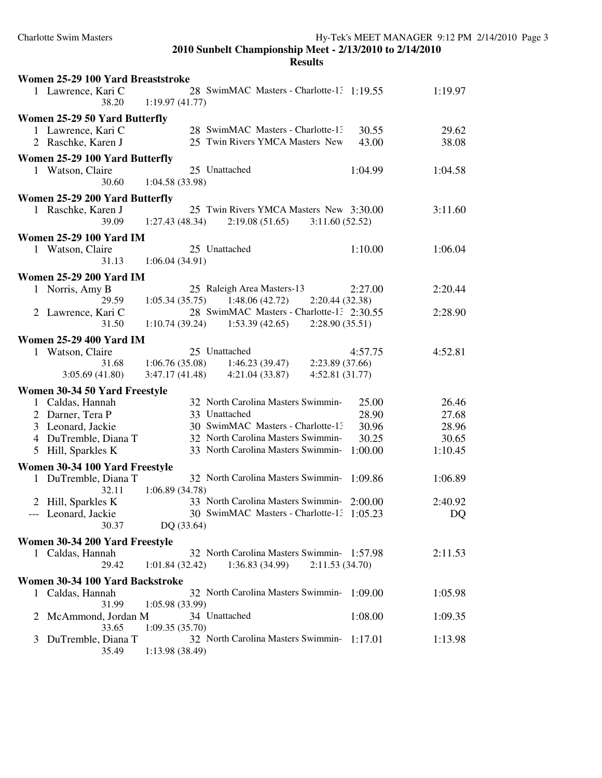|   | Women 25-29 100 Yard Breaststroke |                                                                                         |         |
|---|-----------------------------------|-----------------------------------------------------------------------------------------|---------|
|   | 1 Lawrence, Kari C<br>38.20       | 28 SwimMAC Masters - Charlotte-1: 1:19.55<br>1:19.97(41.77)                             | 1:19.97 |
|   | Women 25-29 50 Yard Butterfly     |                                                                                         |         |
|   | 1 Lawrence, Kari C                | 28 SwimMAC Masters - Charlotte-1:<br>30.55                                              | 29.62   |
|   | 2 Raschke, Karen J                | 25 Twin Rivers YMCA Masters New<br>43.00                                                | 38.08   |
|   | Women 25-29 100 Yard Butterfly    |                                                                                         |         |
|   | 1 Watson, Claire                  | 25 Unattached<br>1:04.99                                                                | 1:04.58 |
|   | 30.60                             | 1:04.58(33.98)                                                                          |         |
|   | Women 25-29 200 Yard Butterfly    |                                                                                         |         |
|   | 1 Raschke, Karen J                | 25 Twin Rivers YMCA Masters New 3:30.00                                                 | 3:11.60 |
|   | 39.09                             | 1:27.43(48.34)<br>2:19.08(51.65)<br>3:11.60(52.52)                                      |         |
|   | <b>Women 25-29 100 Yard IM</b>    |                                                                                         |         |
|   | 1 Watson, Claire                  | 25 Unattached<br>1:10.00                                                                | 1:06.04 |
|   | 31.13                             | 1:06.04(34.91)                                                                          |         |
|   | <b>Women 25-29 200 Yard IM</b>    |                                                                                         |         |
|   | 1 Norris, Amy B                   | 25 Raleigh Area Masters-13<br>2:27.00                                                   | 2:20.44 |
|   | 29.59                             | 1:05.34(35.75)<br>1:48.06(42.72)<br>2:20.44 (32.38)                                     |         |
|   | 2 Lawrence, Kari C                | 28 SwimMAC Masters - Charlotte-1: 2:30.55                                               | 2:28.90 |
|   | 31.50                             | $1:10.74(39.24)$ $1:53.39(42.65)$<br>2:28.90(35.51)                                     |         |
|   | <b>Women 25-29 400 Yard IM</b>    |                                                                                         |         |
|   | 1 Watson, Claire                  | 25 Unattached<br>4:57.75                                                                | 4:52.81 |
|   | 31.68                             | $1:06.76(35.08)$ $1:46.23(39.47)$<br>2:23.89 (37.66)                                    |         |
|   | 3:05.69(41.80)                    | 3:47.17 (41.48)<br>4:21.04(33.87)<br>4:52.81(31.77)                                     |         |
|   | Women 30-34 50 Yard Freestyle     |                                                                                         |         |
|   | 1 Caldas, Hannah                  | 32 North Carolina Masters Swimmin-<br>25.00                                             | 26.46   |
|   | 2 Darner, Tera P                  | 33 Unattached<br>28.90                                                                  | 27.68   |
|   | 3 Leonard, Jackie                 | 30 SwimMAC Masters - Charlotte-1:<br>30.96                                              | 28.96   |
|   | 4 DuTremble, Diana T              | 32 North Carolina Masters Swimmin-<br>30.25                                             | 30.65   |
|   | 5 Hill, Sparkles K                | 33 North Carolina Masters Swimmin-<br>1:00.00                                           | 1:10.45 |
|   | Women 30-34 100 Yard Freestyle    |                                                                                         |         |
|   | 1 DuTremble, Diana T              | 32 North Carolina Masters Swimmin-<br>1:09.86                                           | 1:06.89 |
|   | 32.11                             | 1:06.89(34.78)                                                                          |         |
|   | 2 Hill, Sparkles K                | 33 North Carolina Masters Swimmin- 2:00.00<br>30 SwimMAC Masters - Charlotte-1: 1:05.23 | 2:40.92 |
|   | --- Leonard, Jackie<br>30.37      | DQ (33.64)                                                                              | DQ      |
|   |                                   |                                                                                         |         |
|   | Women 30-34 200 Yard Freestyle    |                                                                                         |         |
|   | 1 Caldas, Hannah<br>29.42         | 32 North Carolina Masters Swimmin- 1:57.98<br>1:36.83(34.99)<br>2:11.53(34.70)          | 2:11.53 |
|   |                                   | 1:01.84(32.42)                                                                          |         |
|   | Women 30-34 100 Yard Backstroke   |                                                                                         |         |
|   | 1 Caldas, Hannah                  | 32 North Carolina Masters Swimmin-1:09.00                                               | 1:05.98 |
|   | 31.99                             | 1:05.98 (33.99)                                                                         |         |
| 2 | McAmmond, Jordan M<br>33.65       | 34 Unattached<br>1:08.00<br>1:09.35(35.70)                                              | 1:09.35 |
| 3 | DuTremble, Diana T                | 32 North Carolina Masters Swimmin-<br>1:17.01                                           | 1:13.98 |
|   | 35.49                             | 1:13.98(38.49)                                                                          |         |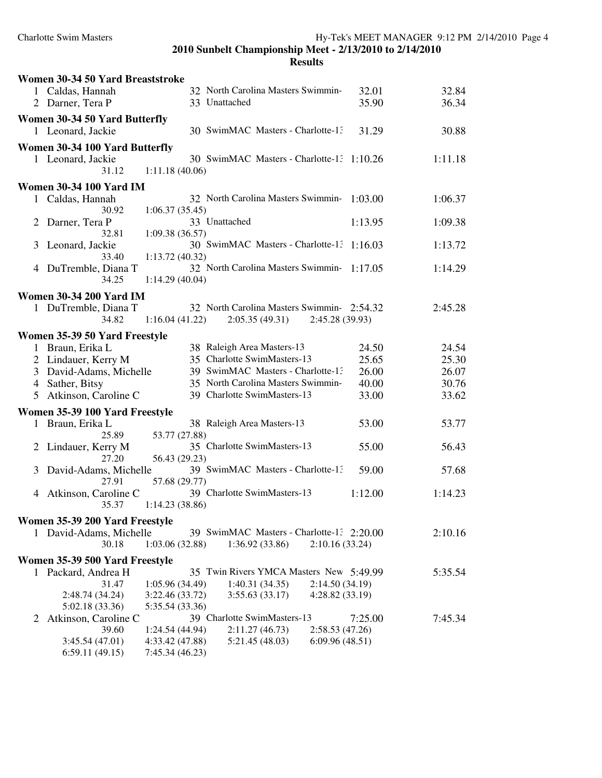|   | Women 30-34 50 Yard Breaststroke |                 |                                            |         |         |
|---|----------------------------------|-----------------|--------------------------------------------|---------|---------|
|   | 1 Caldas, Hannah                 |                 | 32 North Carolina Masters Swimmin-         | 32.01   | 32.84   |
|   | 2 Darner, Tera P                 |                 | 33 Unattached                              | 35.90   | 36.34   |
|   | Women 30-34 50 Yard Butterfly    |                 |                                            |         |         |
|   | 1 Leonard, Jackie                |                 | 30 SwimMAC Masters - Charlotte-1:          | 31.29   | 30.88   |
|   |                                  |                 |                                            |         |         |
|   | Women 30-34 100 Yard Butterfly   |                 |                                            |         |         |
|   | 1 Leonard, Jackie                |                 | 30 SwimMAC Masters - Charlotte-1: 1:10.26  |         | 1:11.18 |
|   | 31.12                            | 1:11.18(40.06)  |                                            |         |         |
|   | <b>Women 30-34 100 Yard IM</b>   |                 |                                            |         |         |
|   | 1 Caldas, Hannah                 |                 | 32 North Carolina Masters Swimmin-         | 1:03.00 | 1:06.37 |
|   | 30.92                            | 1:06.37(35.45)  |                                            |         |         |
| 2 | Darner, Tera P                   |                 | 33 Unattached                              | 1:13.95 | 1:09.38 |
|   | 32.81                            | 1:09.38(36.57)  |                                            |         |         |
| 3 | Leonard, Jackie                  |                 | 30 SwimMAC Masters - Charlotte-1: 1:16.03  |         | 1:13.72 |
|   | 33.40                            | 1:13.72(40.32)  |                                            |         |         |
|   | 4 DuTremble, Diana T             |                 | 32 North Carolina Masters Swimmin-         | 1:17.05 | 1:14.29 |
|   | 34.25                            | 1:14.29(40.04)  |                                            |         |         |
|   | <b>Women 30-34 200 Yard IM</b>   |                 |                                            |         |         |
|   | 1 DuTremble, Diana T             |                 | 32 North Carolina Masters Swimmin- 2:54.32 |         | 2:45.28 |
|   | 34.82                            | 1:16.04(41.22)  | 2:05.35(49.31)<br>2:45.28 (39.93)          |         |         |
|   | Women 35-39 50 Yard Freestyle    |                 |                                            |         |         |
|   | 1 Braun, Erika L                 |                 | 38 Raleigh Area Masters-13                 | 24.50   | 24.54   |
|   | 2 Lindauer, Kerry M              |                 | 35 Charlotte SwimMasters-13                | 25.65   | 25.30   |
|   | 3 David-Adams, Michelle          |                 | 39 SwimMAC Masters - Charlotte-1:          | 26.00   | 26.07   |
|   | 4 Sather, Bitsy                  |                 | 35 North Carolina Masters Swimmin-         | 40.00   | 30.76   |
|   | 5 Atkinson, Caroline C           |                 | 39 Charlotte SwimMasters-13                | 33.00   | 33.62   |
|   |                                  |                 |                                            |         |         |
|   | Women 35-39 100 Yard Freestyle   |                 |                                            |         |         |
| 1 | Braun, Erika L                   |                 | 38 Raleigh Area Masters-13                 | 53.00   | 53.77   |
|   | 25.89                            | 53.77 (27.88)   |                                            |         |         |
|   | 2 Lindauer, Kerry M              |                 | 35 Charlotte SwimMasters-13                | 55.00   | 56.43   |
|   | 27.20                            | 56.43 (29.23)   |                                            |         |         |
| 3 | David-Adams, Michelle            |                 | 39 SwimMAC Masters - Charlotte-13          | 59.00   | 57.68   |
|   | 27.91                            | 57.68 (29.77)   | 39 Charlotte SwimMasters-13                | 1:12.00 |         |
| 4 | Atkinson, Caroline C<br>35.37    | 1:14.23(38.86)  |                                            |         | 1:14.23 |
|   |                                  |                 |                                            |         |         |
|   | Women 35-39 200 Yard Freestyle   |                 |                                            |         |         |
|   | 1 David-Adams, Michelle          |                 | 39 SwimMAC Masters - Charlotte-1: 2:20.00  |         | 2:10.16 |
|   | 30.18                            | 1:03.06(32.88)  | 2:10.16(33.24)<br>1:36.92(33.86)           |         |         |
|   | Women 35-39 500 Yard Freestyle   |                 |                                            |         |         |
|   | 1 Packard, Andrea H              |                 | 35 Twin Rivers YMCA Masters New 5:49.99    |         | 5:35.54 |
|   | 31.47                            | 1:05.96(34.49)  | 1:40.31(34.35)<br>2:14.50(34.19)           |         |         |
|   | 2:48.74 (34.24)                  | 3:22.46(33.72)  | 3:55.63(33.17)<br>4:28.82(33.19)           |         |         |
|   | 5:02.18 (33.36)                  | 5:35.54 (33.36) |                                            |         |         |
| 2 | Atkinson, Caroline C             |                 | 39 Charlotte SwimMasters-13                | 7:25.00 | 7:45.34 |
|   | 39.60                            | 1:24.54 (44.94) | 2:11.27(46.73)<br>2:58.53(47.26)           |         |         |
|   | 3:45.54(47.01)                   | 4:33.42 (47.88) | 5:21.45 (48.03)<br>6:09.96(48.51)          |         |         |
|   | 6:59.11(49.15)                   | 7:45.34 (46.23) |                                            |         |         |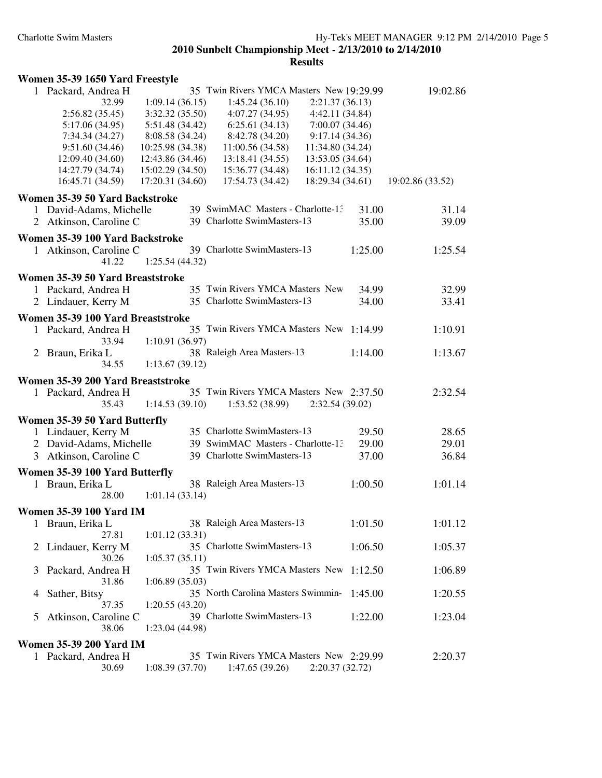|                | Women 35-39 1650 Yard Freestyle   |                  |                                          |                  |                  |
|----------------|-----------------------------------|------------------|------------------------------------------|------------------|------------------|
|                | 1 Packard, Andrea H               |                  | 35 Twin Rivers YMCA Masters New 19:29.99 |                  | 19:02.86         |
|                | 32.99                             | 1:09.14(36.15)   | 1:45.24(36.10)                           | 2:21.37(36.13)   |                  |
|                | 2:56.82(35.45)                    | 3:32.32(35.50)   | 4:07.27(34.95)                           | 4:42.11 (34.84)  |                  |
|                | 5:17.06 (34.95)                   | 5:51.48 (34.42)  | 6:25.61(34.13)                           | 7:00.07(34.46)   |                  |
|                | 7:34.34 (34.27)                   | 8:08.58 (34.24)  | 8:42.78 (34.20)                          | 9:17.14 (34.36)  |                  |
|                | 9:51.60(34.46)                    | 10:25.98 (34.38) | 11:00.56 (34.58)                         | 11:34.80 (34.24) |                  |
|                | 12:09.40 (34.60)                  | 12:43.86 (34.46) | 13:18.41(34.55)                          | 13:53.05 (34.64) |                  |
|                | 14:27.79 (34.74)                  | 15:02.29 (34.50) | 15:36.77 (34.48)                         | 16:11.12 (34.35) |                  |
|                | 16:45.71 (34.59)                  | 17:20.31 (34.60) | 17:54.73 (34.42)                         | 18:29.34 (34.61) | 19:02.86 (33.52) |
|                | Women 35-39 50 Yard Backstroke    |                  |                                          |                  |                  |
| 1              | David-Adams, Michelle             |                  | 39 SwimMAC Masters - Charlotte-1.        | 31.00            | 31.14            |
|                | 2 Atkinson, Caroline C            |                  | 39 Charlotte SwimMasters-13              | 35.00            | 39.09            |
|                | Women 35-39 100 Yard Backstroke   |                  |                                          |                  |                  |
|                | 1 Atkinson, Caroline C            |                  | 39 Charlotte SwimMasters-13              | 1:25.00          | 1:25.54          |
|                | 41.22                             | 1:25.54(44.32)   |                                          |                  |                  |
|                | Women 35-39 50 Yard Breaststroke  |                  |                                          |                  |                  |
|                | 1 Packard, Andrea H               |                  | 35 Twin Rivers YMCA Masters New          | 34.99            | 32.99            |
|                | 2 Lindauer, Kerry M               |                  | 35 Charlotte SwimMasters-13              | 34.00            | 33.41            |
|                | Women 35-39 100 Yard Breaststroke |                  |                                          |                  |                  |
|                | 1 Packard, Andrea H               |                  | 35 Twin Rivers YMCA Masters New 1:14.99  |                  | 1:10.91          |
|                | 33.94                             | 1:10.91(36.97)   |                                          |                  |                  |
|                | 2 Braun, Erika L                  |                  | 38 Raleigh Area Masters-13               | 1:14.00          | 1:13.67          |
|                | 34.55                             | 1:13.67(39.12)   |                                          |                  |                  |
|                | Women 35-39 200 Yard Breaststroke |                  |                                          |                  |                  |
|                | 1 Packard, Andrea H               |                  | 35 Twin Rivers YMCA Masters New 2:37.50  |                  | 2:32.54          |
|                | 35.43                             | 1:14.53(39.10)   | 1:53.52(38.99)                           | 2:32.54(39.02)   |                  |
|                |                                   |                  |                                          |                  |                  |
|                | Women 35-39 50 Yard Butterfly     |                  |                                          |                  |                  |
|                | 1 Lindauer, Kerry M               |                  | 35 Charlotte SwimMasters-13              | 29.50            | 28.65            |
|                | 2 David-Adams, Michelle           |                  | 39 SwimMAC Masters - Charlotte-1:        | 29.00            | 29.01            |
|                | 3 Atkinson, Caroline C            |                  | 39 Charlotte SwimMasters-13              | 37.00            | 36.84            |
|                | Women 35-39 100 Yard Butterfly    |                  |                                          |                  |                  |
|                | 1 Braun, Erika L                  |                  | 38 Raleigh Area Masters-13               | 1:00.50          | 1:01.14          |
|                | 28.00                             | 1:01.14(33.14)   |                                          |                  |                  |
|                | <b>Women 35-39 100 Yard IM</b>    |                  |                                          |                  |                  |
|                | 1 Braun, Erika L                  |                  | 38 Raleigh Area Masters-13               | 1:01.50          | 1:01.12          |
|                | 27.81                             | 1:01.12(33.31)   |                                          |                  |                  |
| $\overline{2}$ | Lindauer, Kerry M                 |                  | 35 Charlotte SwimMasters-13              | 1:06.50          | 1:05.37          |
|                | 30.26                             | 1:05.37(35.11)   |                                          |                  |                  |
| 3              | Packard, Andrea H                 |                  | 35 Twin Rivers YMCA Masters New          | 1:12.50          | 1:06.89          |
|                | 31.86                             | 1:06.89(35.03)   |                                          |                  |                  |
| 4              | Sather, Bitsy                     |                  | 35 North Carolina Masters Swimmin-       | 1:45.00          | 1:20.55          |
|                | 37.35                             | 1:20.55(43.20)   |                                          |                  |                  |
| 5              | Atkinson, Caroline C              |                  | 39 Charlotte SwimMasters-13              | 1:22.00          | 1:23.04          |
|                | 38.06                             | 1:23.04 (44.98)  |                                          |                  |                  |
|                | <b>Women 35-39 200 Yard IM</b>    |                  |                                          |                  |                  |
|                | 1 Packard, Andrea H               |                  | 35 Twin Rivers YMCA Masters New 2:29.99  |                  | 2:20.37          |
|                | 30.69                             | 1:08.39(37.70)   | 1:47.65(39.26)                           | 2:20.37(32.72)   |                  |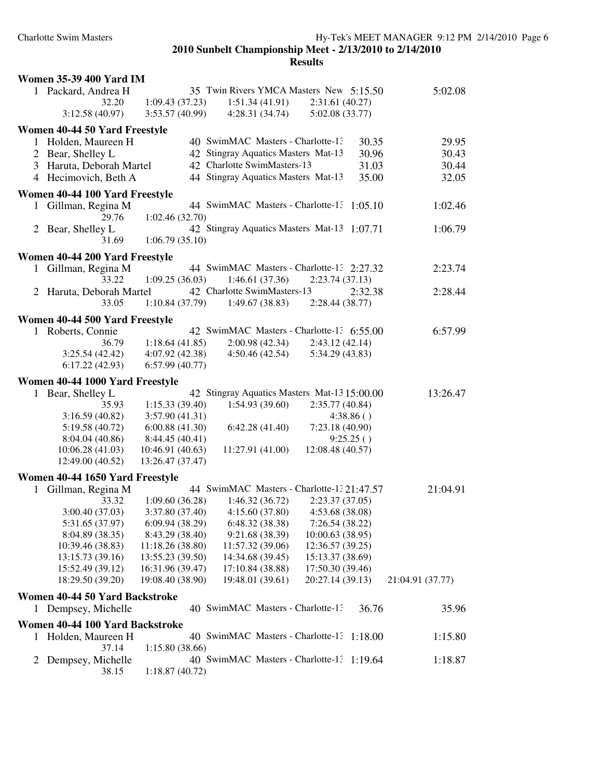|              | <b>Women 35-39 400 Yard IM</b>     |                                   |                                              |                                  |           |                  |
|--------------|------------------------------------|-----------------------------------|----------------------------------------------|----------------------------------|-----------|------------------|
|              | 1 Packard, Andrea H                |                                   | 35 Twin Rivers YMCA Masters New 5:15.50      |                                  |           | 5:02.08          |
|              | 32.20                              | 1:09.43(37.23)                    | 1:51.34(41.91)                               | 2:31.61(40.27)                   |           |                  |
|              | 3:12.58 (40.97)                    | 3:53.57(40.99)                    | 4:28.31(34.74)                               | 5:02.08 (33.77)                  |           |                  |
|              | Women 40-44 50 Yard Freestyle      |                                   |                                              |                                  |           |                  |
|              | 1 Holden, Maureen H                |                                   | 40 SwimMAC Masters - Charlotte-1.            |                                  | 30.35     | 29.95            |
|              | 2 Bear, Shelley L                  |                                   | 42 Stingray Aquatics Masters Mat-13          |                                  | 30.96     | 30.43            |
|              | 3 Haruta, Deborah Martel           |                                   | 42 Charlotte SwimMasters-13                  |                                  | 31.03     | 30.44            |
|              |                                    |                                   | 44 Stingray Aquatics Masters Mat-13          |                                  |           | 32.05            |
|              | 4 Hecimovich, Beth A               |                                   |                                              |                                  | 35.00     |                  |
|              | Women 40-44 100 Yard Freestyle     |                                   |                                              |                                  |           |                  |
| 1            | Gillman, Regina M                  |                                   | 44 SwimMAC Masters - Charlotte-1: 1:05.10    |                                  |           | 1:02.46          |
|              | 29.76                              | 1:02.46(32.70)                    |                                              |                                  |           |                  |
|              | 2 Bear, Shelley L                  |                                   | 42 Stingray Aquatics Masters Mat-13 1:07.71  |                                  |           | 1:06.79          |
|              | 31.69                              | 1:06.79(35.10)                    |                                              |                                  |           |                  |
|              | Women 40-44 200 Yard Freestyle     |                                   |                                              |                                  |           |                  |
|              | 1 Gillman, Regina M                |                                   | 44 SwimMAC Masters - Charlotte-1: 2:27.32    |                                  |           | 2:23.74          |
|              | 33.22                              | 1:09.25(36.03)                    | 1:46.61(37.36)                               | 2:23.74(37.13)                   |           |                  |
|              | 2 Haruta, Deborah Martel           |                                   | 42 Charlotte SwimMasters-13                  |                                  | 2:32.38   | 2:28.44          |
|              | 33.05                              | 1:10.84(37.79)                    | 1:49.67(38.83)                               | 2:28.44(38.77)                   |           |                  |
|              |                                    |                                   |                                              |                                  |           |                  |
|              | Women 40-44 500 Yard Freestyle     |                                   |                                              |                                  |           |                  |
|              | 1 Roberts, Connie                  |                                   | 42 SwimMAC Masters - Charlotte-1: 6:55.00    |                                  |           | 6:57.99          |
|              | 36.79                              | 1:18.64(41.85)                    | 2:00.98(42.34)                               | 2:43.12(42.14)                   |           |                  |
|              | 3:25.54(42.42)                     | 4:07.92(42.38)                    | 4:50.46(42.54)                               | 5:34.29(43.83)                   |           |                  |
|              | 6:17.22(42.93)                     | 6:57.99(40.77)                    |                                              |                                  |           |                  |
|              | Women 40-44 1000 Yard Freestyle    |                                   |                                              |                                  |           |                  |
| 1            | Bear, Shelley L                    |                                   | 42 Stingray Aquatics Masters Mat-13 15:00.00 |                                  |           | 13:26.47         |
|              | 35.93                              | 1:15.33(39.40)                    | 1:54.93 (39.60)                              | 2:35.77 (40.84)                  |           |                  |
|              | 3:16.59(40.82)                     | 3:57.90(41.31)                    |                                              |                                  | 4:38.86() |                  |
|              | 5:19.58 (40.72)                    | 6:00.88(41.30)                    | 6:42.28(41.40)                               | 7:23.18 (40.90)                  |           |                  |
|              | 8:04.04 (40.86)                    | 8:44.45 (40.41)                   |                                              |                                  | 9:25.25() |                  |
|              | 10:06.28(41.03)                    | 10:46.91 (40.63)                  | 11:27.91 (41.00)                             | 12:08.48 (40.57)                 |           |                  |
|              | 12:49.00 (40.52)                   | 13:26.47 (37.47)                  |                                              |                                  |           |                  |
|              | Women 40-44 1650 Yard Freestyle    |                                   |                                              |                                  |           |                  |
| $\mathbf{1}$ |                                    |                                   | 44 SwimMAC Masters - Charlotte-1: 21:47.57   |                                  |           | 21:04.91         |
|              | Gillman, Regina M<br>33.32         |                                   |                                              | 2:23.37(37.05)                   |           |                  |
|              | 3:00.40 (37.03)                    | 1:09.60(36.28)                    | 1:46.32(36.72)                               |                                  |           |                  |
|              |                                    | 3:37.80 (37.40)<br>6:09.94(38.29) | 4:15.60(37.80)<br>6:48.32 (38.38)            | 4:53.68(38.08)<br>7:26.54(38.22) |           |                  |
|              | 5:31.65 (37.97)<br>8:04.89 (38.35) | 8:43.29 (38.40)                   | 9:21.68 (38.39)                              | 10:00.63 (38.95)                 |           |                  |
|              | 10:39.46 (38.83)                   | 11:18.26 (38.80)                  | 11:57.32 (39.06)                             | 12:36.57 (39.25)                 |           |                  |
|              | 13:15.73 (39.16)                   | 13:55.23 (39.50)                  | 14:34.68 (39.45)                             | 15:13.37 (38.69)                 |           |                  |
|              | 15:52.49 (39.12)                   | 16:31.96 (39.47)                  | 17:10.84 (38.88)                             | 17:50.30 (39.46)                 |           |                  |
|              | 18:29.50 (39.20)                   | 19:08.40 (38.90)                  | 19:48.01 (39.61)                             | 20:27.14 (39.13)                 |           | 21:04.91 (37.77) |
|              |                                    |                                   |                                              |                                  |           |                  |
|              | Women 40-44 50 Yard Backstroke     |                                   |                                              |                                  |           |                  |
|              | 1 Dempsey, Michelle                |                                   | 40 SwimMAC Masters - Charlotte-1:            |                                  | 36.76     | 35.96            |
|              | Women 40-44 100 Yard Backstroke    |                                   |                                              |                                  |           |                  |
| 1            | Holden, Maureen H                  |                                   | 40 SwimMAC Masters - Charlotte-13            |                                  | 1:18.00   | 1:15.80          |
|              | 37.14                              | 1:15.80(38.66)                    |                                              |                                  |           |                  |
| 2            | Dempsey, Michelle                  |                                   | 40 SwimMAC Masters - Charlotte-1: 1:19.64    |                                  |           | 1:18.87          |
|              | 38.15                              | 1:18.87(40.72)                    |                                              |                                  |           |                  |
|              |                                    |                                   |                                              |                                  |           |                  |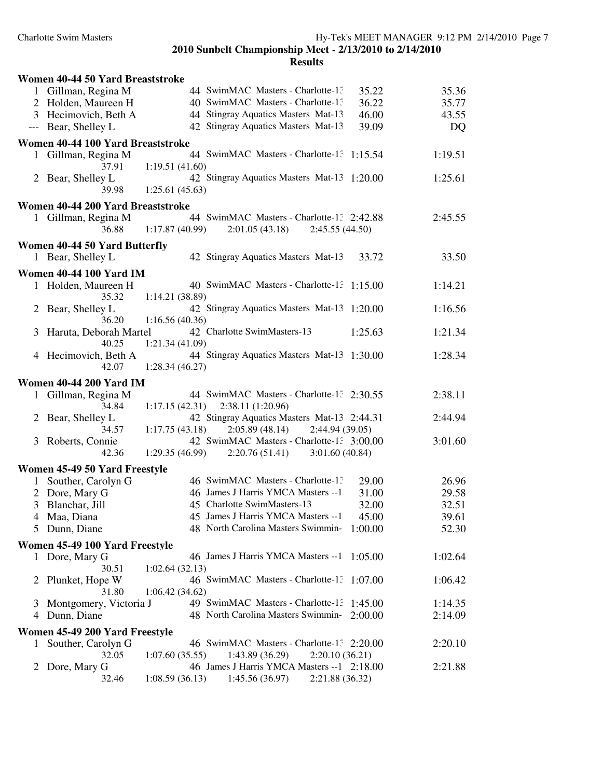|                | Women 40-44 50 Yard Breaststroke                    |                                                                                                  |                    |
|----------------|-----------------------------------------------------|--------------------------------------------------------------------------------------------------|--------------------|
| 1              | Gillman, Regina M                                   | 44 SwimMAC Masters - Charlotte-1.                                                                | 35.22<br>35.36     |
|                | 2 Holden, Maureen H                                 | 40 SwimMAC Masters - Charlotte-1.                                                                | 36.22<br>35.77     |
|                | 3 Hecimovich, Beth A                                | 44 Stingray Aquatics Masters Mat-13                                                              | 46.00<br>43.55     |
|                | --- Bear, Shelley L                                 | 42 Stingray Aquatics Masters Mat-13                                                              | 39.09<br>DQ        |
|                | Women 40-44 100 Yard Breaststroke                   |                                                                                                  |                    |
| 1              | Gillman, Regina M                                   | 44 SwimMAC Masters - Charlotte-1: 1:15.54                                                        | 1:19.51            |
|                | 37.91                                               | 1:19.51(41.60)                                                                                   |                    |
| 2              | Bear, Shelley L                                     | 42 Stingray Aquatics Masters Mat-13 1:20.00                                                      | 1:25.61            |
|                | 39.98                                               | 1:25.61(45.63)                                                                                   |                    |
|                | Women 40-44 200 Yard Breaststroke                   |                                                                                                  |                    |
|                | 1 Gillman, Regina M                                 | 44 SwimMAC Masters - Charlotte-1: 2:42.88                                                        | 2:45.55            |
|                | 36.88                                               | 1:17.87(40.99)<br>2:01.05(43.18)<br>2:45.55(44.50)                                               |                    |
|                | Women 40-44 50 Yard Butterfly                       |                                                                                                  |                    |
|                | 1 Bear, Shelley L                                   | 42 Stingray Aquatics Masters Mat-13                                                              | 33.50<br>33.72     |
|                | <b>Women 40-44 100 Yard IM</b>                      |                                                                                                  |                    |
|                | 1 Holden, Maureen H                                 | 40 SwimMAC Masters - Charlotte-1: 1:15.00                                                        | 1:14.21            |
|                | 35.32                                               | 1:14.21(38.89)                                                                                   |                    |
| 2              | Bear, Shelley L                                     | 42 Stingray Aquatics Masters Mat-13                                                              | 1:16.56<br>1:20.00 |
|                | 36.20                                               | 1:16.56(40.36)                                                                                   |                    |
| 3              | Haruta, Deborah Martel                              | 42 Charlotte SwimMasters-13                                                                      | 1:25.63<br>1:21.34 |
|                | 40.25                                               | 1:21.34 (41.09)                                                                                  |                    |
| 4              | Hecimovich, Beth A                                  | 44 Stingray Aquatics Masters Mat-13 1:30.00                                                      | 1:28.34            |
|                | 42.07                                               | 1:28.34(46.27)                                                                                   |                    |
|                | <b>Women 40-44 200 Yard IM</b>                      |                                                                                                  |                    |
|                | 1 Gillman, Regina M                                 | 44 SwimMAC Masters - Charlotte-1: 2:30.55                                                        | 2:38.11            |
|                | 34.84                                               | 2:38.11 (1:20.96)<br>1:17.15(42.31)                                                              |                    |
| 2              | Bear, Shelley L                                     | 42 Stingray Aquatics Masters Mat-13 2:44.31                                                      | 2:44.94            |
| 3              | 34.57                                               | 1:17.75(43.18)<br>2:44.94 (39.05)<br>2:05.89(48.14)<br>42 SwimMAC Masters - Charlotte-1: 3:00.00 | 3:01.60            |
|                | Roberts, Connie<br>42.36                            | 1:29.35(46.99)<br>3:01.60(40.84)<br>2:20.76 (51.41)                                              |                    |
|                |                                                     |                                                                                                  |                    |
|                | Women 45-49 50 Yard Freestyle<br>Souther, Carolyn G | 46 SwimMAC Masters - Charlotte-1:                                                                | 29.00<br>26.96     |
| $\mathbf{1}$   | 2 Dore, Mary G                                      | 46 James J Harris YMCA Masters -- 1                                                              | 31.00<br>29.58     |
| 3              | Blanchar, Jill                                      | 45 Charlotte SwimMasters-13                                                                      | 32.00<br>32.51     |
|                | 4 Maa, Diana                                        | 45 James J Harris YMCA Masters -- 1                                                              | 45.00<br>39.61     |
| 5              | Dunn, Diane                                         | 48 North Carolina Masters Swimmin-                                                               | 52.30<br>1:00.00   |
|                |                                                     |                                                                                                  |                    |
|                | Women 45-49 100 Yard Freestyle                      |                                                                                                  |                    |
|                | 1 Dore, Mary G<br>30.51                             | 46 James J Harris YMCA Masters --1<br>1:02.64(32.13)                                             | 1:05.00<br>1:02.64 |
| 2              | Plunket, Hope W                                     | 46 SwimMAC Masters - Charlotte-1: 1:07.00                                                        | 1:06.42            |
|                | 31.80                                               | 1:06.42(34.62)                                                                                   |                    |
| 3              | Montgomery, Victoria J                              | 49 SwimMAC Masters - Charlotte-1.                                                                | 1:45.00<br>1:14.35 |
| 4              | Dunn, Diane                                         | 48 North Carolina Masters Swimmin-                                                               | 2:00.00<br>2:14.09 |
|                |                                                     |                                                                                                  |                    |
|                | Women 45-49 200 Yard Freestyle                      |                                                                                                  |                    |
| 1              | Souther, Carolyn G<br>32.05                         | 46 SwimMAC Masters - Charlotte-1: 2:20.00<br>1:07.60(35.55)<br>1:43.89(36.29)<br>2:20.10(36.21)  | 2:20.10            |
| $\overline{2}$ | Dore, Mary G                                        | 46 James J Harris YMCA Masters -- 1 2:18.00                                                      | 2:21.88            |
|                | 32.46                                               | 1:08.59(36.13)<br>1:45.56(36.97)<br>2:21.88 (36.32)                                              |                    |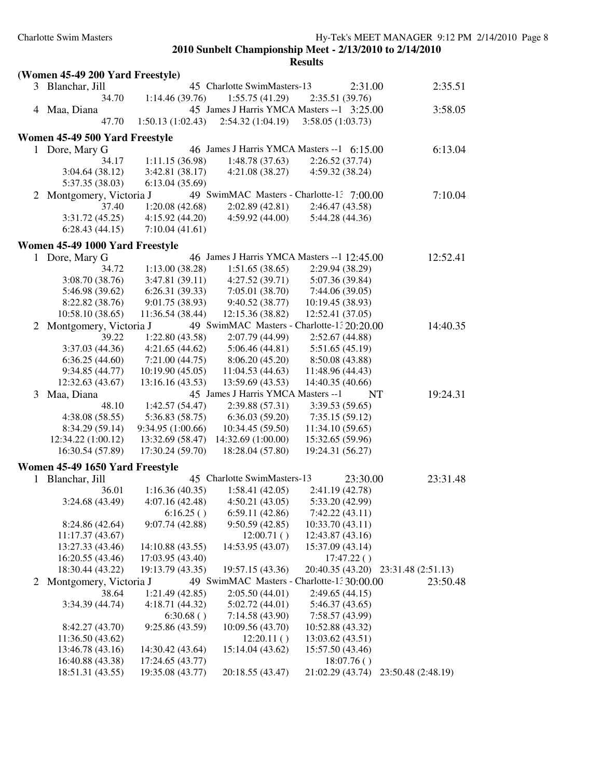|   | (Women 45-49 200 Yard Freestyle) |                   |                                              |                  |            |                    |
|---|----------------------------------|-------------------|----------------------------------------------|------------------|------------|--------------------|
|   | 3 Blanchar, Jill                 |                   | 45 Charlotte SwimMasters-13                  |                  | 2:31.00    | 2:35.51            |
|   | 34.70                            | 1:14.46(39.76)    | 1:55.75(41.29)                               | 2:35.51 (39.76)  |            |                    |
|   | 4 Maa, Diana                     |                   | 45 James J Harris YMCA Masters --1 3:25.00   |                  |            | 3:58.05            |
|   | 47.70                            | 1:50.13(1:02.43)  | 2:54.32(1:04.19)                             | 3:58.05(1:03.73) |            |                    |
|   | Women 45-49 500 Yard Freestyle   |                   |                                              |                  |            |                    |
|   | 1 Dore, Mary G                   |                   | 46 James J Harris YMCA Masters --1 6:15.00   |                  |            | 6:13.04            |
|   | 34.17                            | 1:11.15(36.98)    | 1:48.78 (37.63)                              | 2:26.52 (37.74)  |            |                    |
|   | 3:04.64(38.12)                   | 3:42.81(38.17)    | 4:21.08 (38.27)                              | 4:59.32 (38.24)  |            |                    |
|   | 5:37.35 (38.03)                  | 6:13.04(35.69)    |                                              |                  |            |                    |
| 2 | Montgomery, Victoria J           |                   | 49 SwimMAC Masters - Charlotte-1: 7:00.00    |                  |            | 7:10.04            |
|   | 37.40                            | 1:20.08(42.68)    | 2:02.89(42.81)                               | 2:46.47 (43.58)  |            |                    |
|   | 3:31.72(45.25)                   | 4:15.92 (44.20)   | 4:59.92 (44.00)                              | 5:44.28 (44.36)  |            |                    |
|   | 6:28.43(44.15)                   | 7:10.04(41.61)    |                                              |                  |            |                    |
|   |                                  |                   |                                              |                  |            |                    |
|   | Women 45-49 1000 Yard Freestyle  |                   |                                              |                  |            |                    |
|   | 1 Dore, Mary G                   |                   | 46 James J Harris YMCA Masters -- 1 12:45.00 |                  |            | 12:52.41           |
|   | 34.72                            | 1:13.00(38.28)    | 1:51.65(38.65)                               | 2:29.94 (38.29)  |            |                    |
|   | 3:08.70 (38.76)                  | 3:47.81(39.11)    | 4:27.52(39.71)                               | 5:07.36 (39.84)  |            |                    |
|   | 5:46.98 (39.62)                  | 6:26.31(39.33)    | 7:05.01(38.70)                               | 7:44.06 (39.05)  |            |                    |
|   | 8:22.82 (38.76)                  | 9:01.75 (38.93)   | 9:40.52(38.77)                               | 10:19.45 (38.93) |            |                    |
|   | 10:58.10 (38.65)                 | 11:36.54 (38.44)  | 12:15.36 (38.82)                             | 12:52.41 (37.05) |            |                    |
| 2 | Montgomery, Victoria J           |                   | 49 SwimMAC Masters - Charlotte-1: 20:20.00   |                  |            | 14:40.35           |
|   | 39.22                            | 1:22.80 (43.58)   | 2:07.79 (44.99)                              | 2:52.67 (44.88)  |            |                    |
|   | 3:37.03(44.36)                   | 4:21.65(44.62)    | 5:06.46(44.81)                               | 5:51.65 (45.19)  |            |                    |
|   | 6:36.25(44.60)                   | 7:21.00(44.75)    | 8:06.20(45.20)                               | 8:50.08 (43.88)  |            |                    |
|   | 9:34.85 (44.77)                  | 10:19.90 (45.05)  | 11:04.53 (44.63)                             | 11:48.96 (44.43) |            |                    |
|   | 12:32.63 (43.67)                 | 13:16.16 (43.53)  | 13:59.69 (43.53)                             | 14:40.35 (40.66) |            |                    |
| 3 | Maa, Diana                       |                   | 45 James J Harris YMCA Masters -- 1          |                  | NT         | 19:24.31           |
|   | 48.10                            | 1:42.57(54.47)    | 2:39.88 (57.31)                              | 3:39.53 (59.65)  |            |                    |
|   | 4:38.08 (58.55)                  | 5:36.83(58.75)    | 6:36.03(59.20)                               | 7:35.15(59.12)   |            |                    |
|   | 8:34.29 (59.14)                  | 9:34.95 (1:00.66) | 10:34.45 (59.50)                             | 11:34.10 (59.65) |            |                    |
|   | 12:34.22 (1:00.12)               | 13:32.69 (58.47)  | 14:32.69 (1:00.00)                           | 15:32.65 (59.96) |            |                    |
|   | 16:30.54 (57.89)                 | 17:30.24 (59.70)  | 18:28.04 (57.80)                             | 19:24.31 (56.27) |            |                    |
|   | Women 45-49 1650 Yard Freestyle  |                   |                                              |                  |            |                    |
| 1 | Blanchar, Jill                   |                   | 45 Charlotte SwimMasters-13                  |                  | 23:30.00   | 23:31.48           |
|   | 36.01                            | 1:16.36(40.35)    | 1:58.41(42.05)                               | 2:41.19 (42.78)  |            |                    |
|   | 3:24.68 (43.49)                  | 4:07.16(42.48)    | 4:50.21(43.05)                               | 5:33.20 (42.99)  |            |                    |
|   |                                  | 6:16.25()         | 6:59.11(42.86)                               | 7:42.22 (43.11)  |            |                    |
|   | 8:24.86 (42.64)                  | 9:07.74(42.88)    | 9:50.59(42.85)                               | 10:33.70 (43.11) |            |                    |
|   | 11:17.37(43.67)                  |                   | 12:00.71()                                   | 12:43.87 (43.16) |            |                    |
|   | 13:27.33 (43.46)                 | 14:10.88 (43.55)  | 14:53.95 (43.07)                             | 15:37.09 (43.14) |            |                    |
|   | 16:20.55 (43.46)                 | 17:03.95 (43.40)  |                                              |                  | 17:47.22() |                    |
|   | 18:30.44 (43.22)                 | 19:13.79 (43.35)  | 19:57.15 (43.36)                             | 20:40.35 (43.20) |            | 23:31.48 (2:51.13) |
| 2 | Montgomery, Victoria J           |                   | 49 SwimMAC Masters - Charlotte-1: 30:00.00   |                  |            | 23:50.48           |
|   | 38.64                            | 1:21.49(42.85)    | 2:05.50(44.01)                               | 2:49.65(44.15)   |            |                    |
|   | 3:34.39(44.74)                   | 4:18.71 (44.32)   | 5:02.72(44.01)                               | 5:46.37(43.65)   |            |                    |
|   |                                  | 6:30.68()         | 7:14.58(43.90)                               | 7:58.57 (43.99)  |            |                    |
|   | 8:42.27 (43.70)                  | 9:25.86 (43.59)   | 10:09.56 (43.70)                             | 10:52.88 (43.32) |            |                    |
|   | 11:36.50 (43.62)                 |                   | 12:20.11()                                   | 13:03.62 (43.51) |            |                    |
|   | 13:46.78 (43.16)                 | 14:30.42 (43.64)  | 15:14.04 (43.62)                             | 15:57.50 (43.46) |            |                    |
|   | 16:40.88 (43.38)                 | 17:24.65 (43.77)  |                                              |                  | 18:07.76() |                    |
|   | 18:51.31 (43.55)                 | 19:35.08 (43.77)  | 20:18.55 (43.47)                             | 21:02.29 (43.74) |            | 23:50.48 (2:48.19) |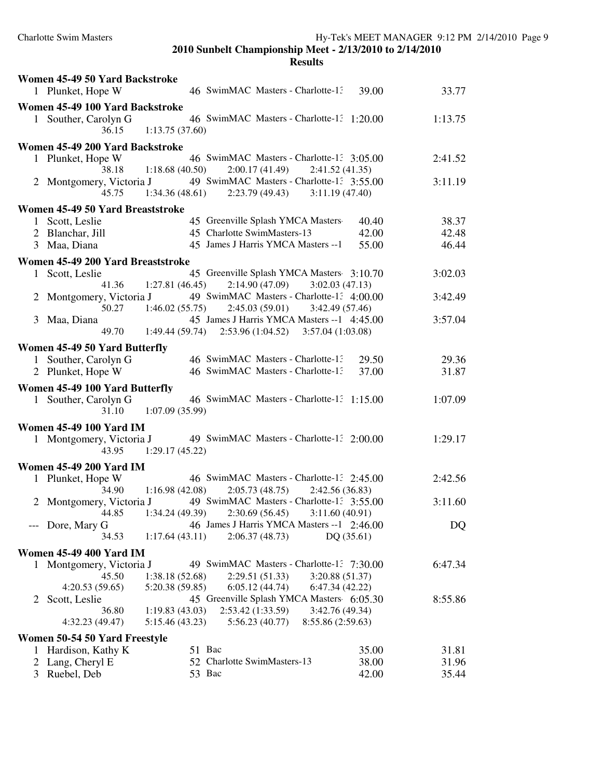|   | Women 45-49 50 Yard Backstroke    |                                                             |         |
|---|-----------------------------------|-------------------------------------------------------------|---------|
|   | 1 Plunket, Hope W                 | 46 SwimMAC Masters - Charlotte-1.<br>39.00                  | 33.77   |
|   | Women 45-49 100 Yard Backstroke   |                                                             |         |
|   | 1 Souther, Carolyn G              | 46 SwimMAC Masters - Charlotte-1: 1:20.00                   | 1:13.75 |
|   | 36.15                             | 1:13.75(37.60)                                              |         |
|   |                                   |                                                             |         |
|   | Women 45-49 200 Yard Backstroke   |                                                             |         |
|   | 1 Plunket, Hope W                 | 46 SwimMAC Masters - Charlotte-1: 3:05.00                   | 2:41.52 |
|   |                                   | 38.18 1:18.68 (40.50)<br>2:00.17(41.49)<br>2:41.52(41.35)   |         |
|   | 2 Montgomery, Victoria J          | 49 SwimMAC Masters - Charlotte-1: 3:55.00                   | 3:11.19 |
|   | 45.75                             | 1:34.36(48.61)<br>2:23.79 (49.43)<br>3:11.19(47.40)         |         |
|   | Women 45-49 50 Yard Breaststroke  |                                                             |         |
|   | 1 Scott, Leslie                   | 45 Greenville Splash YMCA Masters<br>40.40                  | 38.37   |
|   | 2 Blanchar, Jill                  | 45 Charlotte SwimMasters-13<br>42.00                        | 42.48   |
|   | 3 Maa, Diana                      | 45 James J Harris YMCA Masters -- 1<br>55.00                | 46.44   |
|   |                                   |                                                             |         |
|   | Women 45-49 200 Yard Breaststroke |                                                             |         |
|   | 1 Scott, Leslie                   | 45 Greenville Splash YMCA Masters 3:10.70                   | 3:02.03 |
|   | 41.36                             | 2:14.90(47.09)<br>3:02.03(47.13)<br>1:27.81(46.45)          |         |
|   | 2 Montgomery, Victoria J          | 49 SwimMAC Masters - Charlotte-1: 4:00.00                   | 3:42.49 |
|   |                                   | 2:45.03(59.01)<br>$50.27$ 1:46.02 (55.75)<br>3:42.49(57.46) |         |
|   | 3 Maa, Diana                      | 45 James J Harris YMCA Masters --1 4:45.00                  | 3:57.04 |
|   | 49.70                             | 1:49.44 (59.74)<br>$2:53.96(1:04.52)$ $3:57.04(1:03.08)$    |         |
|   | Women 45-49 50 Yard Butterfly     |                                                             |         |
|   | 1 Souther, Carolyn G              | 46 SwimMAC Masters - Charlotte-1:<br>29.50                  | 29.36   |
|   | 2 Plunket, Hope W                 | 46 SwimMAC Masters - Charlotte-13<br>37.00                  | 31.87   |
|   |                                   |                                                             |         |
|   | Women 45-49 100 Yard Butterfly    |                                                             |         |
|   | 1 Souther, Carolyn G              | 46 SwimMAC Masters - Charlotte-1: 1:15.00                   | 1:07.09 |
|   | 31.10                             | 1:07.09(35.99)                                              |         |
|   | <b>Women 45-49 100 Yard IM</b>    |                                                             |         |
|   | 1 Montgomery, Victoria J          | 49 SwimMAC Masters - Charlotte-1: 2:00.00                   | 1:29.17 |
|   | 43.95                             | 1:29.17(45.22)                                              |         |
|   |                                   |                                                             |         |
|   | <b>Women 45-49 200 Yard IM</b>    |                                                             |         |
|   | 1 Plunket, Hope W                 | 46 SwimMAC Masters - Charlotte-1: 2:45.00                   | 2:42.56 |
|   | 34.90                             | 1:16.98(42.08)<br>2:05.73(48.75)<br>2:42.56(36.83)          |         |
|   | 2 Montgomery, Victoria J          | 49 SwimMAC Masters - Charlotte-1: 3:55.00                   | 3:11.60 |
|   | 44.85                             | 1:34.24 (49.39) 2:30.69 (56.45) 3:11.60 (40.91)             |         |
|   | --- Dore, Mary G                  | 46 James J Harris YMCA Masters --1 2:46.00                  | DQ      |
|   | 34.53                             | 1:17.64(43.11)<br>2:06.37(48.73)<br>DQ(35.61)               |         |
|   | <b>Women 45-49 400 Yard IM</b>    |                                                             |         |
| 1 | Montgomery, Victoria J            | 49 SwimMAC Masters - Charlotte-1: 7:30.00                   | 6:47.34 |
|   | 45.50                             | 2:29.51(51.33)<br>3:20.88 (51.37)<br>1:38.18(52.68)         |         |
|   | 4:20.53(59.65)                    | 5:20.38 (59.85)<br>6:05.12(44.74)<br>6:47.34(42.22)         |         |
| 2 | Scott, Leslie                     | 45 Greenville Splash YMCA Masters 6:05.30                   | 8:55.86 |
|   | 36.80                             | 2:53.42 (1:33.59)<br>3:42.76 (49.34)<br>1:19.83(43.03)      |         |
|   | 4:32.23 (49.47)                   | 5:15.46 (43.23)<br>5:56.23(40.77)<br>8:55.86 (2:59.63)      |         |
|   | Women 50-54 50 Yard Freestyle     |                                                             |         |
| 1 | Hardison, Kathy K                 | 51 Bac<br>35.00                                             | 31.81   |
|   |                                   | 52 Charlotte SwimMasters-13<br>38.00                        | 31.96   |
| 2 | Lang, Cheryl E                    | 53 Bac                                                      |         |
|   | 3 Ruebel, Deb                     | 42.00                                                       | 35.44   |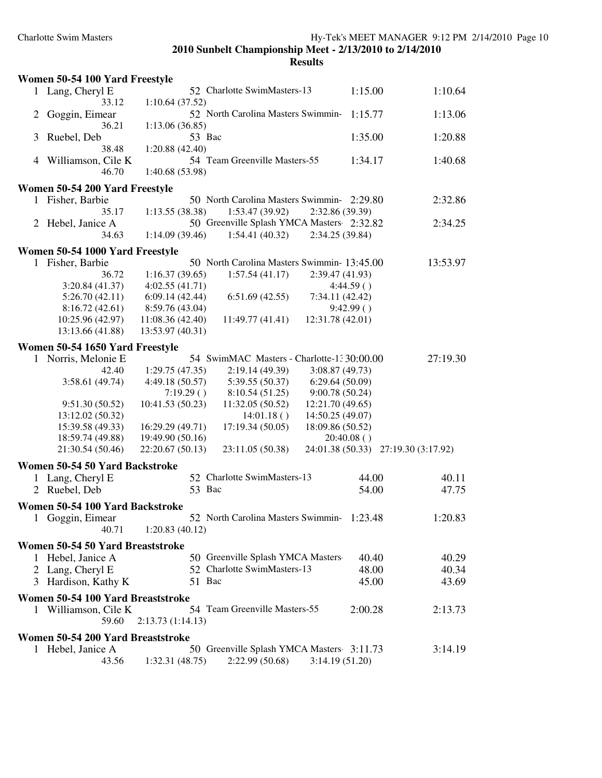|          | Women 50-54 100 Yard Freestyle                                                                                        |                                                                                                                                                                       |                                                                                                                                |                                     |
|----------|-----------------------------------------------------------------------------------------------------------------------|-----------------------------------------------------------------------------------------------------------------------------------------------------------------------|--------------------------------------------------------------------------------------------------------------------------------|-------------------------------------|
|          | 1 Lang, Cheryl E<br>33.12                                                                                             | 52 Charlotte SwimMasters-13<br>1:10.64(37.52)                                                                                                                         |                                                                                                                                | 1:10.64<br>1:15.00                  |
| 2        | Goggin, Eimear<br>36.21                                                                                               | 1:13.06(36.85)                                                                                                                                                        | 52 North Carolina Masters Swimmin-                                                                                             | 1:15.77<br>1:13.06                  |
| 3        | Ruebel, Deb<br>38.48                                                                                                  | 53 Bac<br>1:20.88(42.40)                                                                                                                                              |                                                                                                                                | 1:35.00<br>1:20.88                  |
| 4        | Williamson, Cile K<br>46.70                                                                                           | 54 Team Greenville Masters-55<br>1:40.68 (53.98)                                                                                                                      |                                                                                                                                | 1:40.68<br>1:34.17                  |
|          | Women 50-54 200 Yard Freestyle                                                                                        |                                                                                                                                                                       |                                                                                                                                |                                     |
| 1        | Fisher, Barbie<br>35.17                                                                                               | 1:13.55(38.38)<br>1:53.47(39.92)                                                                                                                                      | 50 North Carolina Masters Swimmin- 2:29.80<br>2:32.86 (39.39)                                                                  | 2:32.86                             |
| 2        | Hebel, Janice A<br>34.63                                                                                              | 1:14.09(39.46)<br>1:54.41(40.32)                                                                                                                                      | 50 Greenville Splash YMCA Masters 2:32.82<br>2:34.25 (39.84)                                                                   | 2:34.25                             |
|          | Women 50-54 1000 Yard Freestyle                                                                                       |                                                                                                                                                                       |                                                                                                                                |                                     |
| 1        | Fisher, Barbie<br>36.72<br>3:20.84(41.37)<br>5:26.70(42.11)<br>8:16.72(42.61)<br>10:25.96 (42.97)<br>13:13.66 (41.88) | 1:16.37(39.65)<br>1:57.54(41.17)<br>4:02.55(41.71)<br>6:09.14(42.44)<br>6:51.69(42.55)<br>8:59.76 (43.04)<br>11:08.36 (42.40)<br>11:49.77 (41.41)<br>13:53.97 (40.31) | 50 North Carolina Masters Swimmin-13:45.00<br>2:39.47 (41.93)<br>4:44.59()<br>7:34.11 (42.42)<br>9:42.99()<br>12:31.78 (42.01) | 13:53.97                            |
|          | Women 50-54 1650 Yard Freestyle                                                                                       |                                                                                                                                                                       |                                                                                                                                |                                     |
| T.       | Norris, Melonie E<br>42.40<br>3:58.61(49.74)<br>9:51.30(50.52)                                                        | 1:29.75(47.35)<br>2:19.14 (49.39)<br>4:49.18(50.57)<br>5:39.55 (50.37)<br>7:19.29()<br>8:10.54(51.25)<br>10:41.53(50.23)<br>11:32.05(50.52)                           | 54 SwimMAC Masters - Charlotte-1: 30:00.00<br>3:08.87 (49.73)<br>6:29.64(50.09)<br>9:00.78 (50.24)<br>12:21.70 (49.65)         | 27:19.30                            |
|          | 13:12.02 (50.32)<br>15:39.58 (49.33)<br>18:59.74 (49.88)<br>21:30.54 (50.46)                                          | 16:29.29 (49.71)<br>17:19.34 (50.05)<br>19:49.90 (50.16)<br>22:20.67 (50.13)<br>23:11.05 (50.38)                                                                      | 14:01.18()<br>14:50.25 (49.07)<br>18:09.86 (50.52)<br>20:40.08()                                                               | 24:01.38 (50.33) 27:19.30 (3:17.92) |
|          | Women 50-54 50 Yard Backstroke                                                                                        |                                                                                                                                                                       |                                                                                                                                |                                     |
| 1        | Lang, Cheryl E<br>2 Ruebel, Deb                                                                                       | 52 Charlotte SwimMasters-13<br>53 Bac                                                                                                                                 |                                                                                                                                | 44.00<br>40.11<br>54.00<br>47.75    |
|          | Women 50-54 100 Yard Backstroke<br>1 Goggin, Eimear<br>40.71                                                          | 1:20.83(40.12)                                                                                                                                                        | 52 North Carolina Masters Swimmin- 1:23.48                                                                                     | 1:20.83                             |
|          | Women 50-54 50 Yard Breaststroke                                                                                      |                                                                                                                                                                       |                                                                                                                                |                                     |
|          | 1 Hebel, Janice A                                                                                                     |                                                                                                                                                                       | 50 Greenville Splash YMCA Masters                                                                                              | 40.40<br>40.29                      |
|          | 2 Lang, Cheryl E<br>3 Hardison, Kathy K                                                                               | 52 Charlotte SwimMasters-13<br>51 Bac                                                                                                                                 |                                                                                                                                | 48.00<br>40.34<br>45.00<br>43.69    |
|          | Women 50-54 100 Yard Breaststroke<br>1 Williamson, Cile K<br>59.60                                                    | 54 Team Greenville Masters-55<br>2:13.73(1:14.13)                                                                                                                     |                                                                                                                                | 2:00.28<br>2:13.73                  |
|          | Women 50-54 200 Yard Breaststroke                                                                                     |                                                                                                                                                                       |                                                                                                                                |                                     |
| $\bf{l}$ | Hebel, Janice A<br>43.56                                                                                              | 1:32.31(48.75)<br>2:22.99(50.68)                                                                                                                                      | 50 Greenville Splash YMCA Masters 3:11.73<br>3:14.19(51.20)                                                                    | 3:14.19                             |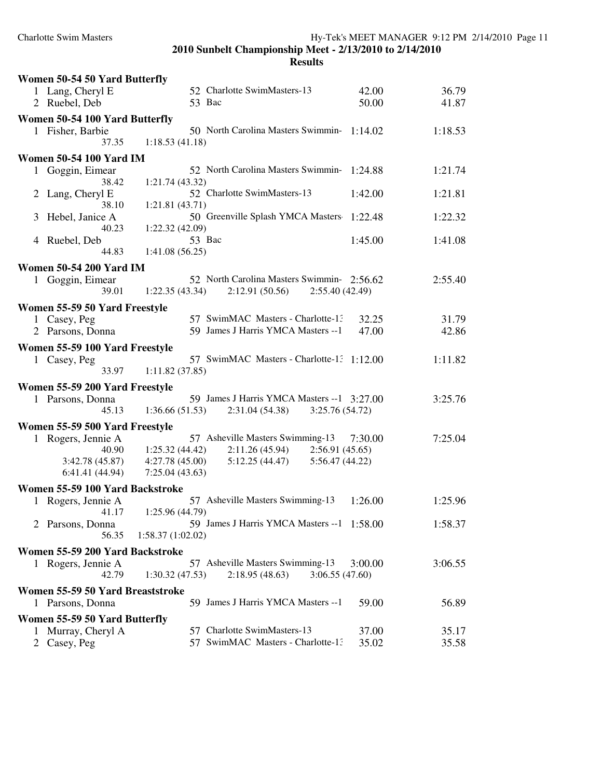|              | Women 50-54 50 Yard Butterfly                                   |                                                                                                                                                                              |                |
|--------------|-----------------------------------------------------------------|------------------------------------------------------------------------------------------------------------------------------------------------------------------------------|----------------|
|              | 1 Lang, Cheryl E<br>2 Ruebel, Deb                               | 52 Charlotte SwimMasters-13<br>42.00<br>53 Bac<br>50.00                                                                                                                      | 36.79<br>41.87 |
|              | Women 50-54 100 Yard Butterfly                                  |                                                                                                                                                                              |                |
|              | 1 Fisher, Barbie<br>37.35                                       | 50 North Carolina Masters Swimmin- 1:14.02<br>1:18.53(41.18)                                                                                                                 | 1:18.53        |
|              | <b>Women 50-54 100 Yard IM</b>                                  |                                                                                                                                                                              |                |
| $\mathbf{1}$ | Goggin, Eimear<br>38.42                                         | 52 North Carolina Masters Swimmin- 1:24.88<br>1:21.74(43.32)                                                                                                                 | 1:21.74        |
|              | 2 Lang, Cheryl E<br>38.10                                       | 52 Charlotte SwimMasters-13<br>1:42.00<br>1:21.81(43.71)                                                                                                                     | 1:21.81        |
| 3            | Hebel, Janice A<br>40.23                                        | 50 Greenville Splash YMCA Masters<br>1:22.48<br>1:22.32(42.09)                                                                                                               | 1:22.32        |
|              | 4 Ruebel, Deb<br>44.83                                          | 53 Bac<br>1:45.00<br>1:41.08(56.25)                                                                                                                                          | 1:41.08        |
|              | <b>Women 50-54 200 Yard IM</b>                                  |                                                                                                                                                                              |                |
|              | 1 Goggin, Eimear<br>39.01                                       | 52 North Carolina Masters Swimmin- 2:56.62<br>2:12.91(50.56)<br>1:22.35(43.34)<br>2:55.40(42.49)                                                                             | 2:55.40        |
|              | Women 55-59 50 Yard Freestyle                                   |                                                                                                                                                                              |                |
|              | 1 Casey, Peg<br>2 Parsons, Donna                                | 57 SwimMAC Masters - Charlotte-1:<br>32.25<br>59 James J Harris YMCA Masters -- 1<br>47.00                                                                                   | 31.79<br>42.86 |
|              | Women 55-59 100 Yard Freestyle                                  |                                                                                                                                                                              |                |
|              | 1 Casey, Peg<br>33.97                                           | 57 SwimMAC Masters - Charlotte-1: 1:12.00<br>1:11.82(37.85)                                                                                                                  | 1:11.82        |
|              | Women 55-59 200 Yard Freestyle                                  |                                                                                                                                                                              |                |
|              | 1 Parsons, Donna<br>45.13                                       | 59 James J Harris YMCA Masters --1 3:27.00<br>1:36.66(51.53)<br>2:31.04 (54.38)<br>3:25.76(54.72)                                                                            | 3:25.76        |
|              | Women 55-59 500 Yard Freestyle                                  |                                                                                                                                                                              |                |
|              | 1 Rogers, Jennie A<br>40.90<br>3:42.78(45.87)<br>6:41.41(44.94) | 57 Asheville Masters Swimming-13<br>7:30.00<br>$2:11.26(45.94)$ $2:56.91(45.65)$<br>1:25.32(44.42)<br>4:27.78(45.00)<br>5:12.25 (44.47)<br>5:56.47 (44.22)<br>7:25.04(43.63) | 7:25.04        |
|              | Women 55-59 100 Yard Backstroke                                 |                                                                                                                                                                              |                |
|              | 1 Rogers, Jennie A<br>41.17                                     | 57 Asheville Masters Swimming-13<br>1:26.00<br>1:25.96 (44.79)                                                                                                               | 1:25.96        |
|              | 2 Parsons, Donna<br>56.35                                       | 59 James J Harris YMCA Masters --1 1:58.00<br>1:58.37(1:02.02)                                                                                                               | 1:58.37        |
|              | Women 55-59 200 Yard Backstroke                                 |                                                                                                                                                                              |                |
|              | 1 Rogers, Jennie A<br>42.79                                     | 57 Asheville Masters Swimming-13<br>3:00.00<br>1:30.32(47.53)<br>3:06.55(47.60)<br>2:18.95(48.63)                                                                            | 3:06.55        |
|              | Women 55-59 50 Yard Breaststroke                                |                                                                                                                                                                              |                |
|              | 1 Parsons, Donna                                                | 59 James J Harris YMCA Masters -- 1<br>59.00                                                                                                                                 | 56.89          |
|              | Women 55-59 50 Yard Butterfly                                   |                                                                                                                                                                              |                |
| 1            | Murray, Cheryl A<br>2 Casey, Peg                                | 57 Charlotte SwimMasters-13<br>37.00<br>57 SwimMAC Masters - Charlotte-1:<br>35.02                                                                                           | 35.17<br>35.58 |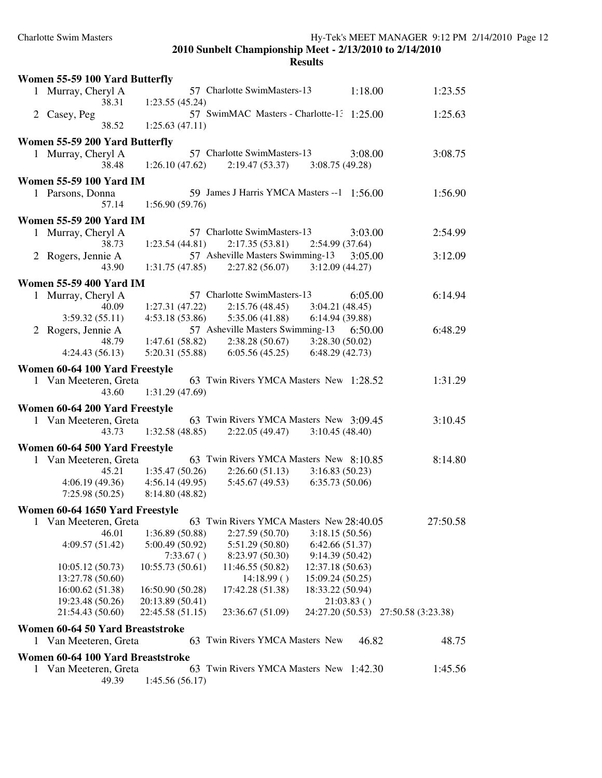|   | Women 55-59 100 Yard Butterfly    |                                  |                                               |                                  |                                     |
|---|-----------------------------------|----------------------------------|-----------------------------------------------|----------------------------------|-------------------------------------|
|   | 1 Murray, Cheryl A<br>38.31       | 1:23.55(45.24)                   | 57 Charlotte SwimMasters-13                   | 1:18.00                          | 1:23.55                             |
|   | 2 Casey, Peg                      | 1:25.63(47.11)                   | 57 SwimMAC Masters - Charlotte-1: 1:25.00     |                                  | 1:25.63                             |
|   | 38.52                             |                                  |                                               |                                  |                                     |
|   | Women 55-59 200 Yard Butterfly    |                                  |                                               |                                  |                                     |
|   | 1 Murray, Cheryl A<br>38.48       | 1:26.10(47.62)                   | 57 Charlotte SwimMasters-13<br>2:19.47(53.37) | 3:08.00<br>3:08.75(49.28)        | 3:08.75                             |
|   | <b>Women 55-59 100 Yard IM</b>    |                                  |                                               |                                  |                                     |
|   | 1 Parsons, Donna<br>57.14         | 1:56.90(59.76)                   | 59 James J Harris YMCA Masters --1 1:56.00    |                                  | 1:56.90                             |
|   | <b>Women 55-59 200 Yard IM</b>    |                                  |                                               |                                  |                                     |
|   | 1 Murray, Cheryl A                |                                  | 57 Charlotte SwimMasters-13                   | 3:03.00                          | 2:54.99                             |
|   | 38.73                             | 1:23.54(44.81)                   | 2:17.35(53.81)                                | 2:54.99 (37.64)                  |                                     |
|   | 2 Rogers, Jennie A                |                                  | 57 Asheville Masters Swimming-13              | 3:05.00                          | 3:12.09                             |
|   | 43.90                             | 1:31.75(47.85)                   | 2:27.82(56.07)                                | 3:12.09(44.27)                   |                                     |
|   | <b>Women 55-59 400 Yard IM</b>    |                                  |                                               |                                  |                                     |
|   | 1 Murray, Cheryl A                |                                  | 57 Charlotte SwimMasters-13                   | 6:05.00                          | 6:14.94                             |
|   | 40.09                             | 1:27.31(47.22)                   | 2:15.76(48.45)                                | 3:04.21(48.45)                   |                                     |
|   | 3:59.32(55.11)                    | 4:53.18(53.86)                   | 5:35.06(41.88)                                | 6:14.94(39.88)                   |                                     |
|   | 2 Rogers, Jennie A                |                                  | 57 Asheville Masters Swimming-13 6:50.00      |                                  | 6:48.29                             |
|   | 48.79                             | 1:47.61(58.82)                   | 2:38.28(50.67)                                | 3:28.30(50.02)                   |                                     |
|   | 4:24.43(56.13)                    |                                  | $5:20.31(55.88)$ $6:05.56(45.25)$             | 6:48.29(42.73)                   |                                     |
|   | Women 60-64 100 Yard Freestyle    |                                  |                                               |                                  |                                     |
|   | 1 Van Meeteren, Greta             |                                  | 63 Twin Rivers YMCA Masters New 1:28.52       |                                  | 1:31.29                             |
|   | 43.60                             | 1:31.29 (47.69)                  |                                               |                                  |                                     |
|   | Women 60-64 200 Yard Freestyle    |                                  |                                               |                                  |                                     |
|   | 1 Van Meeteren, Greta             |                                  | 63 Twin Rivers YMCA Masters New 3:09.45       |                                  | 3:10.45                             |
|   | 43.73                             | 1:32.58(48.85)                   | 2:22.05(49.47)                                | 3:10.45(48.40)                   |                                     |
|   |                                   |                                  |                                               |                                  |                                     |
|   | Women 60-64 500 Yard Freestyle    |                                  |                                               |                                  |                                     |
|   | 1 Van Meeteren, Greta             |                                  | 63 Twin Rivers YMCA Masters New 8:10.85       |                                  | 8:14.80                             |
|   | 45.21<br>4:06.19(49.36)           | 1:35.47(50.26)<br>4:56.14(49.95) | 2:26.60(51.13)<br>5:45.67(49.53)              | 3:16.83(50.23)<br>6:35.73(50.06) |                                     |
|   | 7:25.98(50.25)                    | 8:14.80(48.82)                   |                                               |                                  |                                     |
|   |                                   |                                  |                                               |                                  |                                     |
|   | Women 60-64 1650 Yard Freestyle   |                                  |                                               |                                  |                                     |
| 1 | Van Meeteren, Greta               |                                  | 63 Twin Rivers YMCA Masters New 28:40.05      |                                  | 27:50.58                            |
|   | 46.01                             | 1:36.89(50.88)                   | 2:27.59 (50.70)                               | 3:18.15(50.56)                   |                                     |
|   | 4:09.57(51.42)                    | 5:00.49(50.92)<br>7:33.67()      | 5:51.29 (50.80)<br>8:23.97 (50.30)            | 6:42.66(51.37)<br>9:14.39(50.42) |                                     |
|   | 10:05.12(50.73)                   | 10:55.73(50.61)                  | 11:46.55 (50.82)                              | 12:37.18 (50.63)                 |                                     |
|   | 13:27.78 (50.60)                  |                                  | 14:18.99()                                    | 15:09.24 (50.25)                 |                                     |
|   | 16:00.62 (51.38)                  | 16:50.90 (50.28)                 | 17:42.28 (51.38)                              | 18:33.22 (50.94)                 |                                     |
|   | 19:23.48 (50.26)                  | 20:13.89 (50.41)                 |                                               | 21:03.83()                       |                                     |
|   | 21:54.43 (50.60)                  | 22:45.58 (51.15)                 | 23:36.67 (51.09)                              |                                  | 24:27.20 (50.53) 27:50.58 (3:23.38) |
|   | Women 60-64 50 Yard Breaststroke  |                                  |                                               |                                  |                                     |
| 1 | Van Meeteren, Greta               |                                  | 63 Twin Rivers YMCA Masters New               | 46.82                            | 48.75                               |
|   |                                   |                                  |                                               |                                  |                                     |
|   | Women 60-64 100 Yard Breaststroke |                                  |                                               |                                  |                                     |
| 1 | Van Meeteren, Greta               |                                  | 63 Twin Rivers YMCA Masters New 1:42.30       |                                  | 1:45.56                             |
|   | 49.39                             | 1:45.56(56.17)                   |                                               |                                  |                                     |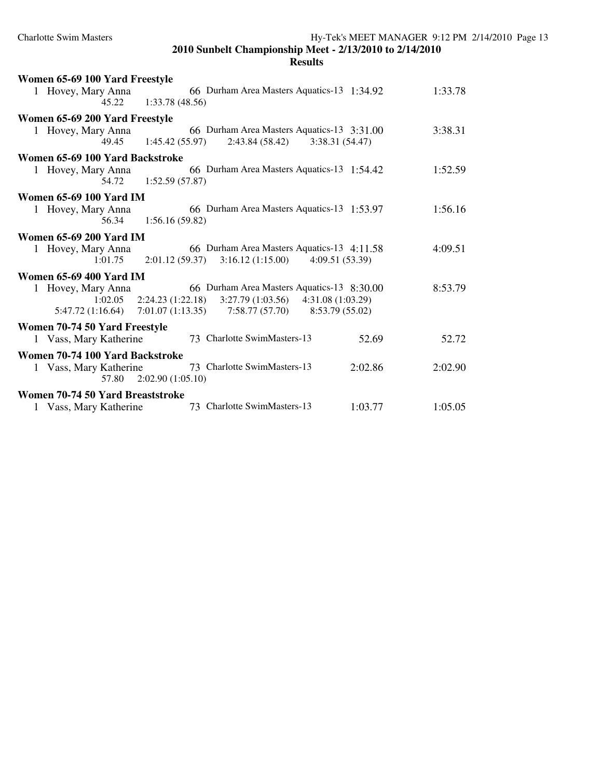| Women 65-69 100 Yard Freestyle                                                                                                                                                                                         |         |
|------------------------------------------------------------------------------------------------------------------------------------------------------------------------------------------------------------------------|---------|
| 66 Durham Area Masters Aquatics-13 1:34.92<br>1 Hovey, Mary Anna<br>45.22 1:33.78 (48.56)                                                                                                                              | 1:33.78 |
| Women 65-69 200 Yard Freestyle                                                                                                                                                                                         |         |
| 66 Durham Area Masters Aquatics-13 3:31.00<br>1 Hovey, Mary Anna<br>49.45 1:45.42 (55.97)<br>2:43.84 (58.42)<br>3:38.31(54.47)                                                                                         | 3:38.31 |
| Women 65-69 100 Yard Backstroke                                                                                                                                                                                        |         |
| 66 Durham Area Masters Aquatics-13 1:54.42<br>1 Hovey, Mary Anna<br>54.72   1:52.59 (57.87)                                                                                                                            | 1:52.59 |
| <b>Women 65-69 100 Yard IM</b>                                                                                                                                                                                         |         |
| 66 Durham Area Masters Aquatics-13 1:53.97<br>1 Hovey, Mary Anna<br>1:56.16(59.82)<br>56.34                                                                                                                            | 1:56.16 |
| <b>Women 65-69 200 Yard IM</b>                                                                                                                                                                                         |         |
| 66 Durham Area Masters Aquatics-13 4:11.58<br>1 Hovey, Mary Anna<br>1:01.75<br>3:16.12(1:15.00)<br>2:01.12(59.37)<br>4:09.51(53.39)                                                                                    | 4:09.51 |
| <b>Women 65-69 400 Yard IM</b>                                                                                                                                                                                         |         |
| 66 Durham Area Masters Aquatics-13 8:30.00<br>1 Hovey, Mary Anna<br>$1:02.05$ $2:24.23$ (1:22.18) $3:27.79$ (1:03.56) $4:31.08$ (1:03.29)<br>$7:01.07(1:13.35)$ $7:58.77(57.70)$ $8:53.79(55.02)$<br>5:47.72 (1:16.64) | 8:53.79 |
| Women 70-74 50 Yard Freestyle                                                                                                                                                                                          |         |
| 73 Charlotte SwimMasters-13<br>1 Vass, Mary Katherine<br>52.69                                                                                                                                                         | 52.72   |
| Women 70-74 100 Yard Backstroke                                                                                                                                                                                        |         |
| 73 Charlotte SwimMasters-13<br>2:02.86<br>1 Vass, Mary Katherine<br>2:02.90(1:05.10)<br>57.80                                                                                                                          | 2:02.90 |
| Women 70-74 50 Yard Breaststroke                                                                                                                                                                                       |         |
| 73 Charlotte SwimMasters-13<br>1:03.77<br>1 Vass, Mary Katherine                                                                                                                                                       | 1:05.05 |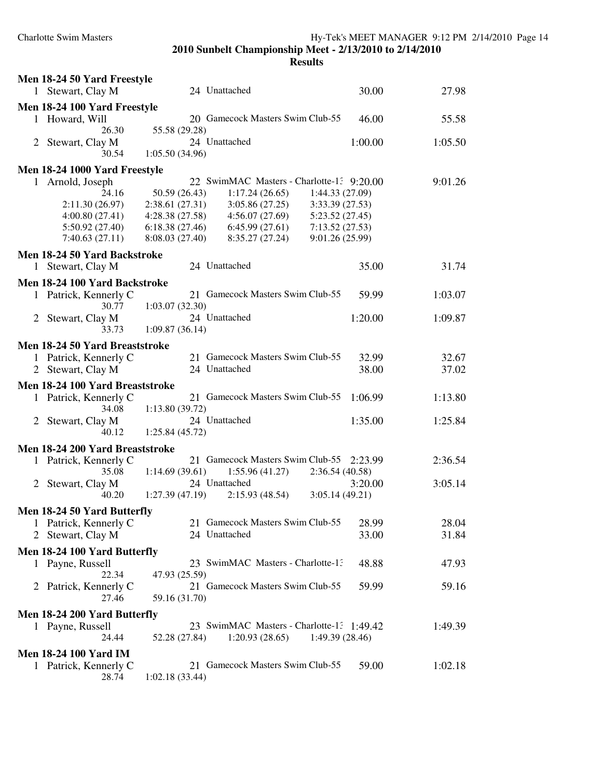|                | Men 18-24 50 Yard Freestyle     |                 |                                           |                 |         |         |
|----------------|---------------------------------|-----------------|-------------------------------------------|-----------------|---------|---------|
|                | 1 Stewart, Clay M               |                 | 24 Unattached                             |                 | 30.00   | 27.98   |
|                | Men 18-24 100 Yard Freestyle    |                 |                                           |                 |         |         |
|                | 1 Howard, Will                  |                 | 20 Gamecock Masters Swim Club-55          |                 | 46.00   | 55.58   |
|                | 26.30                           | 55.58 (29.28)   |                                           |                 |         |         |
|                | 2 Stewart, Clay M               |                 | 24 Unattached                             |                 | 1:00.00 | 1:05.50 |
|                | 30.54                           | 1:05.50(34.96)  |                                           |                 |         |         |
|                | Men 18-24 1000 Yard Freestyle   |                 |                                           |                 |         |         |
|                | 1 Arnold, Joseph                |                 | 22 SwimMAC Masters - Charlotte-1: 9:20.00 |                 |         | 9:01.26 |
|                | 24.16                           | 50.59 (26.43)   | 1:17.24(26.65)                            | 1:44.33(27.09)  |         |         |
|                | 2:11.30(26.97)                  | 2:38.61(27.31)  | 3:05.86(27.25)                            | 3:33.39(27.53)  |         |         |
|                | 4:00.80(27.41)                  | 4:28.38(27.58)  | 4:56.07(27.69)                            | 5:23.52(27.45)  |         |         |
|                | 5:50.92(27.40)                  | 6:18.38 (27.46) | 6:45.99(27.61)                            | 7:13.52(27.53)  |         |         |
|                | 7:40.63(27.11)                  | 8:08.03(27.40)  | 8:35.27(27.24)                            | 9:01.26 (25.99) |         |         |
|                | Men 18-24 50 Yard Backstroke    |                 |                                           |                 |         |         |
|                | 1 Stewart, Clay M               |                 | 24 Unattached                             |                 | 35.00   | 31.74   |
|                |                                 |                 |                                           |                 |         |         |
|                | Men 18-24 100 Yard Backstroke   |                 |                                           |                 |         |         |
|                | 1 Patrick, Kennerly C           |                 | 21 Gamecock Masters Swim Club-55          |                 | 59.99   | 1:03.07 |
|                | 30.77                           | 1:03.07(32.30)  |                                           |                 |         |         |
|                | 2 Stewart, Clay M               |                 | 24 Unattached                             |                 | 1:20.00 | 1:09.87 |
|                | 33.73                           | 1:09.87(36.14)  |                                           |                 |         |         |
|                | Men 18-24 50 Yard Breaststroke  |                 |                                           |                 |         |         |
|                | 1 Patrick, Kennerly C           |                 | 21 Gamecock Masters Swim Club-55          |                 | 32.99   | 32.67   |
|                | 2 Stewart, Clay M               |                 | 24 Unattached                             |                 | 38.00   | 37.02   |
|                | Men 18-24 100 Yard Breaststroke |                 |                                           |                 |         |         |
|                | 1 Patrick, Kennerly C           |                 | 21 Gamecock Masters Swim Club-55          |                 | 1:06.99 | 1:13.80 |
|                | 34.08                           | 1:13.80(39.72)  |                                           |                 |         |         |
|                | 2 Stewart, Clay M               |                 | 24 Unattached                             |                 | 1:35.00 | 1:25.84 |
|                | 40.12                           | 1:25.84(45.72)  |                                           |                 |         |         |
|                | Men 18-24 200 Yard Breaststroke |                 |                                           |                 |         |         |
|                | 1 Patrick, Kennerly C           |                 | 21 Gamecock Masters Swim Club-55 2:23.99  |                 |         | 2:36.54 |
|                | 35.08                           | 1:14.69(39.61)  | 1:55.96(41.27)                            | 2:36.54(40.58)  |         |         |
| 2              | Stewart, Clay M                 |                 | 24 Unattached                             |                 | 3:20.00 | 3:05.14 |
|                | 40.20                           | 1:27.39(47.19)  | 2:15.93(48.54)                            | 3:05.14(49.21)  |         |         |
|                |                                 |                 |                                           |                 |         |         |
|                | Men 18-24 50 Yard Butterfly     |                 |                                           |                 |         |         |
|                | 1 Patrick, Kennerly C           |                 | 21 Gamecock Masters Swim Club-55          |                 | 28.99   | 28.04   |
| $\mathbf{2}^-$ | Stewart, Clay M                 |                 | 24 Unattached                             |                 | 33.00   | 31.84   |
|                | Men 18-24 100 Yard Butterfly    |                 |                                           |                 |         |         |
|                | 1 Payne, Russell                |                 | 23 SwimMAC Masters - Charlotte-1:         |                 | 48.88   | 47.93   |
|                | 22.34                           | 47.93 (25.59)   |                                           |                 |         |         |
|                | 2 Patrick, Kennerly C           |                 | 21 Gamecock Masters Swim Club-55          |                 | 59.99   | 59.16   |
|                | 27.46                           | 59.16 (31.70)   |                                           |                 |         |         |
|                | Men 18-24 200 Yard Butterfly    |                 |                                           |                 |         |         |
|                | 1 Payne, Russell                |                 | 23 SwimMAC Masters - Charlotte-1: 1:49.42 |                 |         | 1:49.39 |
|                | 24.44                           | 52.28 (27.84)   | 1:20.93(28.65)                            | 1:49.39(28.46)  |         |         |
|                | <b>Men 18-24 100 Yard IM</b>    |                 |                                           |                 |         |         |
|                | 1 Patrick, Kennerly C           |                 | 21 Gamecock Masters Swim Club-55          |                 | 59.00   | 1:02.18 |
|                | 28.74                           | 1:02.18(33.44)  |                                           |                 |         |         |
|                |                                 |                 |                                           |                 |         |         |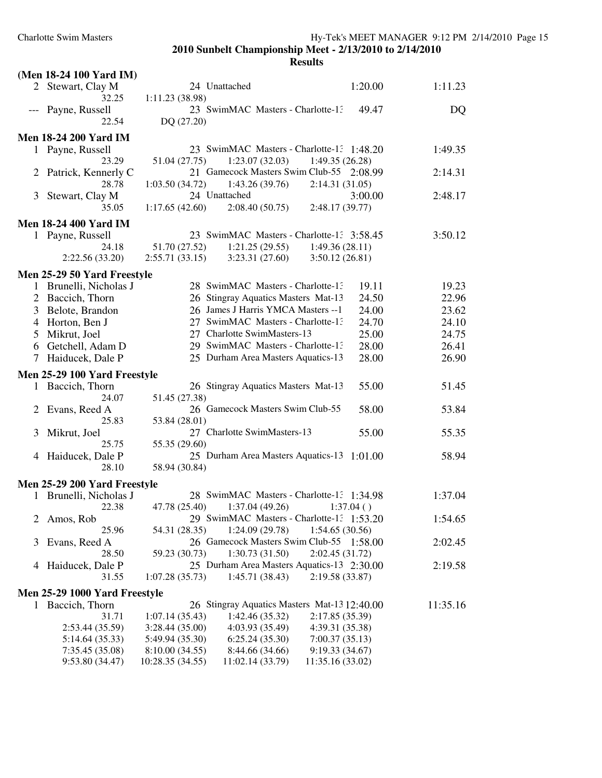|               | (Men 18-24 100 Yard IM)       |                                                          |          |
|---------------|-------------------------------|----------------------------------------------------------|----------|
|               | 2 Stewart, Clay M             | 24 Unattached<br>1:20.00                                 | 1:11.23  |
|               | 32.25                         | 1:11.23(38.98)                                           |          |
|               | --- Payne, Russell            | 23 SwimMAC Masters - Charlotte-1:<br>49.47               | DQ       |
|               | 22.54                         | DQ (27.20)                                               |          |
|               | <b>Men 18-24 200 Yard IM</b>  |                                                          |          |
|               | 1 Payne, Russell              | 23 SwimMAC Masters - Charlotte-1: 1:48.20                | 1:49.35  |
|               | 23.29                         | 51.04 (27.75)<br>1:23.07(32.03)<br>1:49.35(26.28)        |          |
|               | 2 Patrick, Kennerly C         | 21 Gamecock Masters Swim Club-55 2:08.99                 | 2:14.31  |
|               | 28.78                         | 1:03.50(34.72)<br>1:43.26(39.76)<br>2:14.31(31.05)       |          |
|               | 3 Stewart, Clay M             | 24 Unattached<br>3:00.00                                 | 2:48.17  |
|               | 35.05                         | 1:17.65(42.60)<br>2:08.40(50.75)<br>2:48.17 (39.77)      |          |
|               | <b>Men 18-24 400 Yard IM</b>  |                                                          |          |
|               |                               | 23 SwimMAC Masters - Charlotte-1: 3:58.45                | 3:50.12  |
|               | 1 Payne, Russell<br>24.18     | 1:49.36(28.11)<br>51.70 (27.52)<br>1:21.25(29.55)        |          |
|               | 2:22.56 (33.20)               | 2:55.71(33.15)<br>3:23.31(27.60)<br>3:50.12(26.81)       |          |
|               |                               |                                                          |          |
|               | Men 25-29 50 Yard Freestyle   |                                                          |          |
|               | 1 Brunelli, Nicholas J        | 28 SwimMAC Masters - Charlotte-1:<br>19.11               | 19.23    |
| 2             | Baccich, Thorn                | 26 Stingray Aquatics Masters Mat-13<br>24.50             | 22.96    |
|               | 3 Belote, Brandon             | 26 James J Harris YMCA Masters -- 1<br>24.00             | 23.62    |
|               | 4 Horton, Ben J               | 27 SwimMAC Masters - Charlotte-13<br>24.70               | 24.10    |
| 5             | Mikrut, Joel                  | 27 Charlotte SwimMasters-13<br>25.00                     | 24.75    |
|               | 6 Getchell, Adam D            | 29 SwimMAC Masters - Charlotte-1:<br>28.00               | 26.41    |
| $\tau$        | Haiducek, Dale P              | 25 Durham Area Masters Aquatics-13<br>28.00              | 26.90    |
|               | Men 25-29 100 Yard Freestyle  |                                                          |          |
|               | 1 Baccich, Thorn              | 26 Stingray Aquatics Masters Mat-13<br>55.00             | 51.45    |
|               | 24.07                         | 51.45 (27.38)                                            |          |
|               | 2 Evans, Reed A               | 26 Gamecock Masters Swim Club-55<br>58.00                | 53.84    |
|               | 25.83                         | 53.84 (28.01)                                            |          |
| 3             | Mikrut, Joel                  | 27 Charlotte SwimMasters-13<br>55.00                     | 55.35    |
|               | 25.75                         | 55.35 (29.60)                                            |          |
|               | 4 Haiducek, Dale P            | 25 Durham Area Masters Aquatics-13<br>1:01.00            | 58.94    |
|               | 28.10                         | 58.94 (30.84)                                            |          |
|               | Men 25-29 200 Yard Freestyle  |                                                          |          |
|               | 1 Brunelli, Nicholas J        | 28 SwimMAC Masters - Charlotte-1: 1:34.98                | 1:37.04  |
|               | 22.38                         | $47.78(25.40)$ $1:37.04(49.26)$ $1:37.04()$              |          |
| $\mathcal{L}$ | Amos, Rob                     | 29 SwimMAC Masters - Charlotte-1: 1:53.20                | 1:54.65  |
|               | 25.96                         | 1:24.09(29.78)<br>54.31 (28.35)<br>1:54.65(30.56)        |          |
| 3             | Evans, Reed A                 | 26 Gamecock Masters Swim Club-55<br>1:58.00              | 2:02.45  |
|               | 28.50                         | 1:30.73(31.50)<br>2:02.45 (31.72)<br>59.23 (30.73)       |          |
| 4             | Haiducek, Dale P              | 25 Durham Area Masters Aquatics-13 2:30.00               | 2:19.58  |
|               | 31.55                         | 1:45.71(38.43)<br>2:19.58 (33.87)<br>1:07.28(35.73)      |          |
|               | Men 25-29 1000 Yard Freestyle |                                                          |          |
|               |                               | 26 Stingray Aquatics Masters Mat-13 12:40.00             |          |
| 1             | Baccich, Thorn<br>31.71       | 1:42.46 (35.32)<br>1:07.14(35.43)<br>2:17.85 (35.39)     | 11:35.16 |
|               | 2:53.44 (35.59)               | 3:28.44 (35.00)<br>4:03.93 (35.49)<br>4:39.31 (35.38)    |          |
|               | 5:14.64 (35.33)               | 6:25.24(35.30)<br>5:49.94 (35.30)<br>7:00.37(35.13)      |          |
|               | 7:35.45 (35.08)               | 8:10.00 (34.55)<br>8:44.66 (34.66)<br>9:19.33 (34.67)    |          |
|               | 9:53.80 (34.47)               | 10:28.35 (34.55)<br>11:02.14 (33.79)<br>11:35.16 (33.02) |          |
|               |                               |                                                          |          |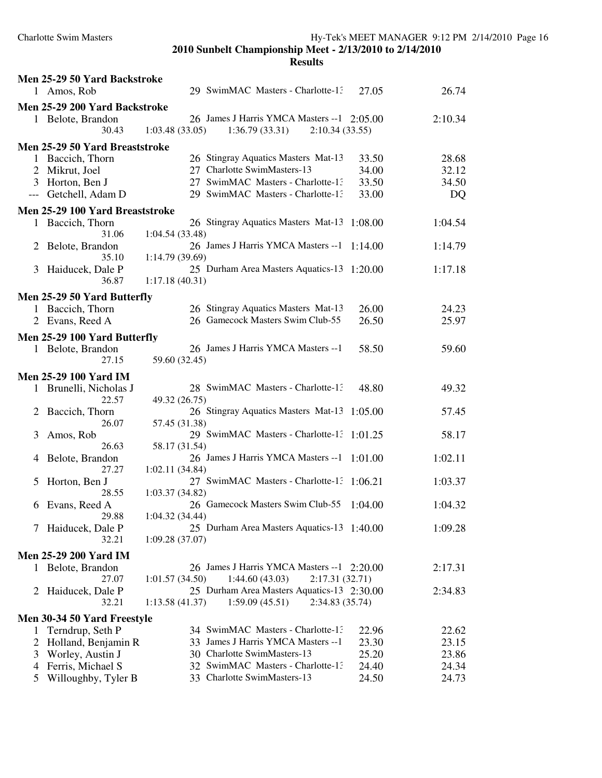|   | Men 25-29 50 Yard Backstroke    |                                                     |         |         |
|---|---------------------------------|-----------------------------------------------------|---------|---------|
|   | 1 Amos, Rob                     | 29 SwimMAC Masters - Charlotte-1:                   | 27.05   | 26.74   |
|   | Men 25-29 200 Yard Backstroke   |                                                     |         |         |
|   | 1 Belote, Brandon               | 26 James J Harris YMCA Masters --1 2:05.00          |         | 2:10.34 |
|   | 30.43                           | 1:03.48(33.05)<br>1:36.79(33.31)<br>2:10.34(33.55)  |         |         |
|   | Men 25-29 50 Yard Breaststroke  |                                                     |         |         |
|   | 1 Baccich, Thorn                | 26 Stingray Aquatics Masters Mat-13                 | 33.50   | 28.68   |
|   | Mikrut, Joel                    | 27 Charlotte SwimMasters-13                         | 34.00   | 32.12   |
|   | 3 Horton, Ben J                 | 27 SwimMAC Masters - Charlotte-1:                   | 33.50   | 34.50   |
|   | Getchell, Adam D                | 29 SwimMAC Masters - Charlotte-1:                   | 33.00   | DQ      |
|   | Men 25-29 100 Yard Breaststroke |                                                     |         |         |
|   | 1 Baccich, Thorn                | 26 Stingray Aquatics Masters Mat-13                 | 1:08.00 | 1:04.54 |
|   | 31.06                           | 1:04.54(33.48)                                      |         |         |
| 2 | Belote, Brandon                 | 26 James J Harris YMCA Masters -- 1                 | 1:14.00 | 1:14.79 |
|   | 35.10                           | 1:14.79 (39.69)                                     |         |         |
| 3 | Haiducek, Dale P                | 25 Durham Area Masters Aquatics-13                  | 1:20.00 | 1:17.18 |
|   | 36.87                           | 1:17.18(40.31)                                      |         |         |
|   | Men 25-29 50 Yard Butterfly     |                                                     |         |         |
|   | 1 Baccich, Thorn                | 26 Stingray Aquatics Masters Mat-13                 | 26.00   | 24.23   |
|   | 2 Evans, Reed A                 | 26 Gamecock Masters Swim Club-55                    | 26.50   | 25.97   |
|   | Men 25-29 100 Yard Butterfly    |                                                     |         |         |
|   | 1 Belote, Brandon               | 26 James J Harris YMCA Masters -- 1                 | 58.50   | 59.60   |
|   | 27.15                           | 59.60 (32.45)                                       |         |         |
|   | <b>Men 25-29 100 Yard IM</b>    |                                                     |         |         |
|   | 1 Brunelli, Nicholas J          | 28 SwimMAC Masters - Charlotte-1.                   | 48.80   | 49.32   |
|   | 22.57                           | 49.32 (26.75)                                       |         |         |
|   | 2 Baccich, Thorn                | 26 Stingray Aquatics Masters Mat-13                 | 1:05.00 | 57.45   |
|   | 26.07                           | 57.45 (31.38)                                       |         |         |
| 3 | Amos, Rob                       | 29 SwimMAC Masters - Charlotte-13                   | 1:01.25 | 58.17   |
|   | 26.63                           | 58.17 (31.54)                                       |         |         |
| 4 | Belote, Brandon                 | 26 James J Harris YMCA Masters -- 1                 | 1:01.00 | 1:02.11 |
|   | 27.27                           | 1:02.11(34.84)                                      |         |         |
| 5 | Horton, Ben J                   | 27 SwimMAC Masters - Charlotte-1:                   | 1:06.21 | 1:03.37 |
|   | 28.55                           | 1:03.37(34.82)                                      |         |         |
|   | 6 Evans, Reed A                 | 26 Gamecock Masters Swim Club-55                    | 1:04.00 | 1:04.32 |
|   | 29.88                           | 1:04.32 (34.44)                                     |         |         |
| 7 | Haiducek, Dale P                | 25 Durham Area Masters Aquatics-13 1:40.00          |         | 1:09.28 |
|   | 32.21                           | 1:09.28(37.07)                                      |         |         |
|   | <b>Men 25-29 200 Yard IM</b>    |                                                     |         |         |
|   | 1 Belote, Brandon               | 26 James J Harris YMCA Masters --1 2:20.00          |         | 2:17.31 |
|   | 27.07                           | 1:01.57(34.50)<br>1:44.60(43.03)<br>2:17.31(32.71)  |         |         |
| 2 | Haiducek, Dale P                | 25 Durham Area Masters Aquatics-13 2:30.00          |         | 2:34.83 |
|   | 32.21                           | 1:13.58(41.37)<br>1:59.09(45.51)<br>2:34.83 (35.74) |         |         |
|   | Men 30-34 50 Yard Freestyle     |                                                     |         |         |
| 1 | Terndrup, Seth P                | 34 SwimMAC Masters - Charlotte-1:                   | 22.96   | 22.62   |
| 2 | Holland, Benjamin R             | 33 James J Harris YMCA Masters -- 1                 | 23.30   | 23.15   |
| 3 | Worley, Austin J                | 30 Charlotte SwimMasters-13                         | 25.20   | 23.86   |
| 4 | Ferris, Michael S               | 32 SwimMAC Masters - Charlotte-1:                   | 24.40   | 24.34   |
| 5 | Willoughby, Tyler B             | 33 Charlotte SwimMasters-13                         | 24.50   | 24.73   |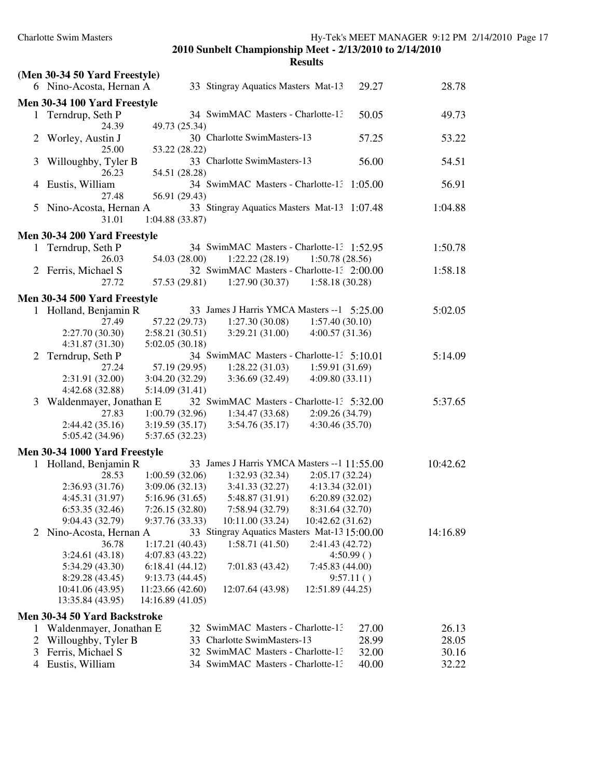| 33 Stingray Aquatics Masters Mat-13<br>6 Nino-Acosta, Hernan A<br>29.27<br>28.78<br>Men 30-34 100 Yard Freestyle<br>34 SwimMAC Masters - Charlotte-1.<br>50.05<br>49.73<br>1 Terndrup, Seth P<br>24.39<br>49.73 (25.34)<br>30 Charlotte SwimMasters-13<br>57.25<br>53.22<br>2 Worley, Austin J<br>25.00<br>53.22 (28.22)<br>33 Charlotte SwimMasters-13<br>56.00<br>Willoughby, Tyler B<br>54.51<br>3<br>26.23<br>54.51 (28.28)<br>34 SwimMAC Masters - Charlotte-1: 1:05.00<br>56.91<br>Eustis, William<br>4<br>27.48<br>56.91 (29.43)<br>33 Stingray Aquatics Masters Mat-13 1:07.48<br>Nino-Acosta, Hernan A<br>1:04.88<br>5<br>31.01<br>1:04.88(33.87)<br>Men 30-34 200 Yard Freestyle<br>34 SwimMAC Masters - Charlotte-1: 1:52.95<br>1:50.78<br>1 Terndrup, Seth P<br>26.03<br>54.03 (28.00)<br>1:22.22(28.19)<br>1:50.78(28.56)<br>32 SwimMAC Masters - Charlotte-1: 2:00.00<br>1:58.18<br>2 Ferris, Michael S<br>27.72<br>57.53 (29.81)<br>1:27.90(30.37)<br>1:58.18(30.28)<br>Men 30-34 500 Yard Freestyle<br>33 James J Harris YMCA Masters --1 5:25.00<br>5:02.05<br>1 Holland, Benjamin R<br>27.49<br>57.22 (29.73)<br>1:27.30(30.08)<br>1:57.40(30.10)<br>2:27.70 (30.30)<br>2:58.21(30.51)<br>3:29.21(31.00)<br>4:00.57(31.36)<br>4:31.87 (31.30)<br>5:02.05(30.18)<br>Terndrup, Seth P<br>34 SwimMAC Masters - Charlotte-1: 5:10.01<br>5:14.09<br>2<br>1:28.22(31.03)<br>1:59.91(31.69)<br>27.24<br>57.19 (29.95)<br>2:31.91 (32.00)<br>3:04.20(32.29)<br>3:36.69(32.49)<br>4:09.80(33.11)<br>4:42.68 (32.88)<br>5:14.09(31.41)<br>32 SwimMAC Masters - Charlotte-1: 5:32.00<br>5:37.65<br>Waldenmayer, Jonathan E<br>3<br>1:00.79(32.96)<br>2:09.26 (34.79)<br>27.83<br>1:34.47(33.68)<br>3:19.59(35.17)<br>2:44.42(35.16)<br>3:54.76(35.17)<br>4:30.46(35.70)<br>5:05.42 (34.96)<br>5:37.65 (32.23)<br>Men 30-34 1000 Yard Freestyle<br>33 James J Harris YMCA Masters -- 1 11:55.00<br>10:42.62<br>1 Holland, Benjamin R<br>28.53<br>1:00.59(32.06)<br>1:32.93(32.34)<br>2:05.17(32.24)<br>2:36.93(31.76)<br>3:09.06(32.13)<br>3:41.33(32.27)<br>4:13.34(32.01)<br>4:45.31 (31.97)<br>5:16.96(31.65)<br>5:48.87 (31.91)<br>6:20.89(32.02)<br>6:53.35(32.46)<br>7:26.15(32.80)<br>7:58.94(32.79)<br>8:31.64 (32.70)<br>9:04.43 (32.79)<br>9:37.76 (33.33)<br>10:11.00 (33.24)<br>10:42.62 (31.62)<br>33 Stingray Aquatics Masters Mat-13 15:00.00<br>Nino-Acosta, Hernan A<br>14:16.89<br>2<br>1:58.71(41.50)<br>36.78<br>1:17.21(40.43)<br>2:41.43 (42.72)<br>3:24.61(43.18)<br>4:07.83 (43.22)<br>4:50.99()<br>7:45.83 (44.00)<br>5:34.29 (43.30)<br>6:18.41(44.12)<br>7:01.83 (43.42)<br>8:29.28 (43.45)<br>9:13.73(44.45)<br>9:57.11()<br>10:41.06 (43.95)<br>11:23.66 (42.60)<br>12:07.64 (43.98)<br>12:51.89 (44.25)<br>13:35.84 (43.95)<br>14:16.89 (41.05)<br>Men 30-34 50 Yard Backstroke<br>32 SwimMAC Masters - Charlotte-13<br>Waldenmayer, Jonathan E<br>27.00<br>26.13<br>1<br>Willoughby, Tyler B<br>33 Charlotte SwimMasters-13<br>28.99<br>28.05<br>2<br>32 SwimMAC Masters - Charlotte-1:<br>Ferris, Michael S<br>32.00<br>30.16<br>3<br>34 SwimMAC Masters - Charlotte-1:<br>Eustis, William<br>40.00<br>32.22<br>4 | (Men 30-34 50 Yard Freestyle) |  |  |
|---------------------------------------------------------------------------------------------------------------------------------------------------------------------------------------------------------------------------------------------------------------------------------------------------------------------------------------------------------------------------------------------------------------------------------------------------------------------------------------------------------------------------------------------------------------------------------------------------------------------------------------------------------------------------------------------------------------------------------------------------------------------------------------------------------------------------------------------------------------------------------------------------------------------------------------------------------------------------------------------------------------------------------------------------------------------------------------------------------------------------------------------------------------------------------------------------------------------------------------------------------------------------------------------------------------------------------------------------------------------------------------------------------------------------------------------------------------------------------------------------------------------------------------------------------------------------------------------------------------------------------------------------------------------------------------------------------------------------------------------------------------------------------------------------------------------------------------------------------------------------------------------------------------------------------------------------------------------------------------------------------------------------------------------------------------------------------------------------------------------------------------------------------------------------------------------------------------------------------------------------------------------------------------------------------------------------------------------------------------------------------------------------------------------------------------------------------------------------------------------------------------------------------------------------------------------------------------------------------------------------------------------------------------------------------------------------------------------------------------------------------------------------------------------------------------------------------------------------------------------------------------------------------------------------------------------------------------------------------------------------------------------------------------------------------------------------------------------------------------------------------------------------------|-------------------------------|--|--|
|                                                                                                                                                                                                                                                                                                                                                                                                                                                                                                                                                                                                                                                                                                                                                                                                                                                                                                                                                                                                                                                                                                                                                                                                                                                                                                                                                                                                                                                                                                                                                                                                                                                                                                                                                                                                                                                                                                                                                                                                                                                                                                                                                                                                                                                                                                                                                                                                                                                                                                                                                                                                                                                                                                                                                                                                                                                                                                                                                                                                                                                                                                                                                         |                               |  |  |
|                                                                                                                                                                                                                                                                                                                                                                                                                                                                                                                                                                                                                                                                                                                                                                                                                                                                                                                                                                                                                                                                                                                                                                                                                                                                                                                                                                                                                                                                                                                                                                                                                                                                                                                                                                                                                                                                                                                                                                                                                                                                                                                                                                                                                                                                                                                                                                                                                                                                                                                                                                                                                                                                                                                                                                                                                                                                                                                                                                                                                                                                                                                                                         |                               |  |  |
|                                                                                                                                                                                                                                                                                                                                                                                                                                                                                                                                                                                                                                                                                                                                                                                                                                                                                                                                                                                                                                                                                                                                                                                                                                                                                                                                                                                                                                                                                                                                                                                                                                                                                                                                                                                                                                                                                                                                                                                                                                                                                                                                                                                                                                                                                                                                                                                                                                                                                                                                                                                                                                                                                                                                                                                                                                                                                                                                                                                                                                                                                                                                                         |                               |  |  |
|                                                                                                                                                                                                                                                                                                                                                                                                                                                                                                                                                                                                                                                                                                                                                                                                                                                                                                                                                                                                                                                                                                                                                                                                                                                                                                                                                                                                                                                                                                                                                                                                                                                                                                                                                                                                                                                                                                                                                                                                                                                                                                                                                                                                                                                                                                                                                                                                                                                                                                                                                                                                                                                                                                                                                                                                                                                                                                                                                                                                                                                                                                                                                         |                               |  |  |
|                                                                                                                                                                                                                                                                                                                                                                                                                                                                                                                                                                                                                                                                                                                                                                                                                                                                                                                                                                                                                                                                                                                                                                                                                                                                                                                                                                                                                                                                                                                                                                                                                                                                                                                                                                                                                                                                                                                                                                                                                                                                                                                                                                                                                                                                                                                                                                                                                                                                                                                                                                                                                                                                                                                                                                                                                                                                                                                                                                                                                                                                                                                                                         |                               |  |  |
|                                                                                                                                                                                                                                                                                                                                                                                                                                                                                                                                                                                                                                                                                                                                                                                                                                                                                                                                                                                                                                                                                                                                                                                                                                                                                                                                                                                                                                                                                                                                                                                                                                                                                                                                                                                                                                                                                                                                                                                                                                                                                                                                                                                                                                                                                                                                                                                                                                                                                                                                                                                                                                                                                                                                                                                                                                                                                                                                                                                                                                                                                                                                                         |                               |  |  |
|                                                                                                                                                                                                                                                                                                                                                                                                                                                                                                                                                                                                                                                                                                                                                                                                                                                                                                                                                                                                                                                                                                                                                                                                                                                                                                                                                                                                                                                                                                                                                                                                                                                                                                                                                                                                                                                                                                                                                                                                                                                                                                                                                                                                                                                                                                                                                                                                                                                                                                                                                                                                                                                                                                                                                                                                                                                                                                                                                                                                                                                                                                                                                         |                               |  |  |
|                                                                                                                                                                                                                                                                                                                                                                                                                                                                                                                                                                                                                                                                                                                                                                                                                                                                                                                                                                                                                                                                                                                                                                                                                                                                                                                                                                                                                                                                                                                                                                                                                                                                                                                                                                                                                                                                                                                                                                                                                                                                                                                                                                                                                                                                                                                                                                                                                                                                                                                                                                                                                                                                                                                                                                                                                                                                                                                                                                                                                                                                                                                                                         |                               |  |  |
|                                                                                                                                                                                                                                                                                                                                                                                                                                                                                                                                                                                                                                                                                                                                                                                                                                                                                                                                                                                                                                                                                                                                                                                                                                                                                                                                                                                                                                                                                                                                                                                                                                                                                                                                                                                                                                                                                                                                                                                                                                                                                                                                                                                                                                                                                                                                                                                                                                                                                                                                                                                                                                                                                                                                                                                                                                                                                                                                                                                                                                                                                                                                                         |                               |  |  |
|                                                                                                                                                                                                                                                                                                                                                                                                                                                                                                                                                                                                                                                                                                                                                                                                                                                                                                                                                                                                                                                                                                                                                                                                                                                                                                                                                                                                                                                                                                                                                                                                                                                                                                                                                                                                                                                                                                                                                                                                                                                                                                                                                                                                                                                                                                                                                                                                                                                                                                                                                                                                                                                                                                                                                                                                                                                                                                                                                                                                                                                                                                                                                         |                               |  |  |
|                                                                                                                                                                                                                                                                                                                                                                                                                                                                                                                                                                                                                                                                                                                                                                                                                                                                                                                                                                                                                                                                                                                                                                                                                                                                                                                                                                                                                                                                                                                                                                                                                                                                                                                                                                                                                                                                                                                                                                                                                                                                                                                                                                                                                                                                                                                                                                                                                                                                                                                                                                                                                                                                                                                                                                                                                                                                                                                                                                                                                                                                                                                                                         |                               |  |  |
|                                                                                                                                                                                                                                                                                                                                                                                                                                                                                                                                                                                                                                                                                                                                                                                                                                                                                                                                                                                                                                                                                                                                                                                                                                                                                                                                                                                                                                                                                                                                                                                                                                                                                                                                                                                                                                                                                                                                                                                                                                                                                                                                                                                                                                                                                                                                                                                                                                                                                                                                                                                                                                                                                                                                                                                                                                                                                                                                                                                                                                                                                                                                                         |                               |  |  |
|                                                                                                                                                                                                                                                                                                                                                                                                                                                                                                                                                                                                                                                                                                                                                                                                                                                                                                                                                                                                                                                                                                                                                                                                                                                                                                                                                                                                                                                                                                                                                                                                                                                                                                                                                                                                                                                                                                                                                                                                                                                                                                                                                                                                                                                                                                                                                                                                                                                                                                                                                                                                                                                                                                                                                                                                                                                                                                                                                                                                                                                                                                                                                         |                               |  |  |
|                                                                                                                                                                                                                                                                                                                                                                                                                                                                                                                                                                                                                                                                                                                                                                                                                                                                                                                                                                                                                                                                                                                                                                                                                                                                                                                                                                                                                                                                                                                                                                                                                                                                                                                                                                                                                                                                                                                                                                                                                                                                                                                                                                                                                                                                                                                                                                                                                                                                                                                                                                                                                                                                                                                                                                                                                                                                                                                                                                                                                                                                                                                                                         |                               |  |  |
|                                                                                                                                                                                                                                                                                                                                                                                                                                                                                                                                                                                                                                                                                                                                                                                                                                                                                                                                                                                                                                                                                                                                                                                                                                                                                                                                                                                                                                                                                                                                                                                                                                                                                                                                                                                                                                                                                                                                                                                                                                                                                                                                                                                                                                                                                                                                                                                                                                                                                                                                                                                                                                                                                                                                                                                                                                                                                                                                                                                                                                                                                                                                                         |                               |  |  |
|                                                                                                                                                                                                                                                                                                                                                                                                                                                                                                                                                                                                                                                                                                                                                                                                                                                                                                                                                                                                                                                                                                                                                                                                                                                                                                                                                                                                                                                                                                                                                                                                                                                                                                                                                                                                                                                                                                                                                                                                                                                                                                                                                                                                                                                                                                                                                                                                                                                                                                                                                                                                                                                                                                                                                                                                                                                                                                                                                                                                                                                                                                                                                         |                               |  |  |
|                                                                                                                                                                                                                                                                                                                                                                                                                                                                                                                                                                                                                                                                                                                                                                                                                                                                                                                                                                                                                                                                                                                                                                                                                                                                                                                                                                                                                                                                                                                                                                                                                                                                                                                                                                                                                                                                                                                                                                                                                                                                                                                                                                                                                                                                                                                                                                                                                                                                                                                                                                                                                                                                                                                                                                                                                                                                                                                                                                                                                                                                                                                                                         |                               |  |  |
|                                                                                                                                                                                                                                                                                                                                                                                                                                                                                                                                                                                                                                                                                                                                                                                                                                                                                                                                                                                                                                                                                                                                                                                                                                                                                                                                                                                                                                                                                                                                                                                                                                                                                                                                                                                                                                                                                                                                                                                                                                                                                                                                                                                                                                                                                                                                                                                                                                                                                                                                                                                                                                                                                                                                                                                                                                                                                                                                                                                                                                                                                                                                                         |                               |  |  |
|                                                                                                                                                                                                                                                                                                                                                                                                                                                                                                                                                                                                                                                                                                                                                                                                                                                                                                                                                                                                                                                                                                                                                                                                                                                                                                                                                                                                                                                                                                                                                                                                                                                                                                                                                                                                                                                                                                                                                                                                                                                                                                                                                                                                                                                                                                                                                                                                                                                                                                                                                                                                                                                                                                                                                                                                                                                                                                                                                                                                                                                                                                                                                         |                               |  |  |
|                                                                                                                                                                                                                                                                                                                                                                                                                                                                                                                                                                                                                                                                                                                                                                                                                                                                                                                                                                                                                                                                                                                                                                                                                                                                                                                                                                                                                                                                                                                                                                                                                                                                                                                                                                                                                                                                                                                                                                                                                                                                                                                                                                                                                                                                                                                                                                                                                                                                                                                                                                                                                                                                                                                                                                                                                                                                                                                                                                                                                                                                                                                                                         |                               |  |  |
|                                                                                                                                                                                                                                                                                                                                                                                                                                                                                                                                                                                                                                                                                                                                                                                                                                                                                                                                                                                                                                                                                                                                                                                                                                                                                                                                                                                                                                                                                                                                                                                                                                                                                                                                                                                                                                                                                                                                                                                                                                                                                                                                                                                                                                                                                                                                                                                                                                                                                                                                                                                                                                                                                                                                                                                                                                                                                                                                                                                                                                                                                                                                                         |                               |  |  |
|                                                                                                                                                                                                                                                                                                                                                                                                                                                                                                                                                                                                                                                                                                                                                                                                                                                                                                                                                                                                                                                                                                                                                                                                                                                                                                                                                                                                                                                                                                                                                                                                                                                                                                                                                                                                                                                                                                                                                                                                                                                                                                                                                                                                                                                                                                                                                                                                                                                                                                                                                                                                                                                                                                                                                                                                                                                                                                                                                                                                                                                                                                                                                         |                               |  |  |
|                                                                                                                                                                                                                                                                                                                                                                                                                                                                                                                                                                                                                                                                                                                                                                                                                                                                                                                                                                                                                                                                                                                                                                                                                                                                                                                                                                                                                                                                                                                                                                                                                                                                                                                                                                                                                                                                                                                                                                                                                                                                                                                                                                                                                                                                                                                                                                                                                                                                                                                                                                                                                                                                                                                                                                                                                                                                                                                                                                                                                                                                                                                                                         |                               |  |  |
|                                                                                                                                                                                                                                                                                                                                                                                                                                                                                                                                                                                                                                                                                                                                                                                                                                                                                                                                                                                                                                                                                                                                                                                                                                                                                                                                                                                                                                                                                                                                                                                                                                                                                                                                                                                                                                                                                                                                                                                                                                                                                                                                                                                                                                                                                                                                                                                                                                                                                                                                                                                                                                                                                                                                                                                                                                                                                                                                                                                                                                                                                                                                                         |                               |  |  |
|                                                                                                                                                                                                                                                                                                                                                                                                                                                                                                                                                                                                                                                                                                                                                                                                                                                                                                                                                                                                                                                                                                                                                                                                                                                                                                                                                                                                                                                                                                                                                                                                                                                                                                                                                                                                                                                                                                                                                                                                                                                                                                                                                                                                                                                                                                                                                                                                                                                                                                                                                                                                                                                                                                                                                                                                                                                                                                                                                                                                                                                                                                                                                         |                               |  |  |
|                                                                                                                                                                                                                                                                                                                                                                                                                                                                                                                                                                                                                                                                                                                                                                                                                                                                                                                                                                                                                                                                                                                                                                                                                                                                                                                                                                                                                                                                                                                                                                                                                                                                                                                                                                                                                                                                                                                                                                                                                                                                                                                                                                                                                                                                                                                                                                                                                                                                                                                                                                                                                                                                                                                                                                                                                                                                                                                                                                                                                                                                                                                                                         |                               |  |  |
|                                                                                                                                                                                                                                                                                                                                                                                                                                                                                                                                                                                                                                                                                                                                                                                                                                                                                                                                                                                                                                                                                                                                                                                                                                                                                                                                                                                                                                                                                                                                                                                                                                                                                                                                                                                                                                                                                                                                                                                                                                                                                                                                                                                                                                                                                                                                                                                                                                                                                                                                                                                                                                                                                                                                                                                                                                                                                                                                                                                                                                                                                                                                                         |                               |  |  |
|                                                                                                                                                                                                                                                                                                                                                                                                                                                                                                                                                                                                                                                                                                                                                                                                                                                                                                                                                                                                                                                                                                                                                                                                                                                                                                                                                                                                                                                                                                                                                                                                                                                                                                                                                                                                                                                                                                                                                                                                                                                                                                                                                                                                                                                                                                                                                                                                                                                                                                                                                                                                                                                                                                                                                                                                                                                                                                                                                                                                                                                                                                                                                         |                               |  |  |
|                                                                                                                                                                                                                                                                                                                                                                                                                                                                                                                                                                                                                                                                                                                                                                                                                                                                                                                                                                                                                                                                                                                                                                                                                                                                                                                                                                                                                                                                                                                                                                                                                                                                                                                                                                                                                                                                                                                                                                                                                                                                                                                                                                                                                                                                                                                                                                                                                                                                                                                                                                                                                                                                                                                                                                                                                                                                                                                                                                                                                                                                                                                                                         |                               |  |  |
|                                                                                                                                                                                                                                                                                                                                                                                                                                                                                                                                                                                                                                                                                                                                                                                                                                                                                                                                                                                                                                                                                                                                                                                                                                                                                                                                                                                                                                                                                                                                                                                                                                                                                                                                                                                                                                                                                                                                                                                                                                                                                                                                                                                                                                                                                                                                                                                                                                                                                                                                                                                                                                                                                                                                                                                                                                                                                                                                                                                                                                                                                                                                                         |                               |  |  |
|                                                                                                                                                                                                                                                                                                                                                                                                                                                                                                                                                                                                                                                                                                                                                                                                                                                                                                                                                                                                                                                                                                                                                                                                                                                                                                                                                                                                                                                                                                                                                                                                                                                                                                                                                                                                                                                                                                                                                                                                                                                                                                                                                                                                                                                                                                                                                                                                                                                                                                                                                                                                                                                                                                                                                                                                                                                                                                                                                                                                                                                                                                                                                         |                               |  |  |
|                                                                                                                                                                                                                                                                                                                                                                                                                                                                                                                                                                                                                                                                                                                                                                                                                                                                                                                                                                                                                                                                                                                                                                                                                                                                                                                                                                                                                                                                                                                                                                                                                                                                                                                                                                                                                                                                                                                                                                                                                                                                                                                                                                                                                                                                                                                                                                                                                                                                                                                                                                                                                                                                                                                                                                                                                                                                                                                                                                                                                                                                                                                                                         |                               |  |  |
|                                                                                                                                                                                                                                                                                                                                                                                                                                                                                                                                                                                                                                                                                                                                                                                                                                                                                                                                                                                                                                                                                                                                                                                                                                                                                                                                                                                                                                                                                                                                                                                                                                                                                                                                                                                                                                                                                                                                                                                                                                                                                                                                                                                                                                                                                                                                                                                                                                                                                                                                                                                                                                                                                                                                                                                                                                                                                                                                                                                                                                                                                                                                                         |                               |  |  |
|                                                                                                                                                                                                                                                                                                                                                                                                                                                                                                                                                                                                                                                                                                                                                                                                                                                                                                                                                                                                                                                                                                                                                                                                                                                                                                                                                                                                                                                                                                                                                                                                                                                                                                                                                                                                                                                                                                                                                                                                                                                                                                                                                                                                                                                                                                                                                                                                                                                                                                                                                                                                                                                                                                                                                                                                                                                                                                                                                                                                                                                                                                                                                         |                               |  |  |
|                                                                                                                                                                                                                                                                                                                                                                                                                                                                                                                                                                                                                                                                                                                                                                                                                                                                                                                                                                                                                                                                                                                                                                                                                                                                                                                                                                                                                                                                                                                                                                                                                                                                                                                                                                                                                                                                                                                                                                                                                                                                                                                                                                                                                                                                                                                                                                                                                                                                                                                                                                                                                                                                                                                                                                                                                                                                                                                                                                                                                                                                                                                                                         |                               |  |  |
|                                                                                                                                                                                                                                                                                                                                                                                                                                                                                                                                                                                                                                                                                                                                                                                                                                                                                                                                                                                                                                                                                                                                                                                                                                                                                                                                                                                                                                                                                                                                                                                                                                                                                                                                                                                                                                                                                                                                                                                                                                                                                                                                                                                                                                                                                                                                                                                                                                                                                                                                                                                                                                                                                                                                                                                                                                                                                                                                                                                                                                                                                                                                                         |                               |  |  |
|                                                                                                                                                                                                                                                                                                                                                                                                                                                                                                                                                                                                                                                                                                                                                                                                                                                                                                                                                                                                                                                                                                                                                                                                                                                                                                                                                                                                                                                                                                                                                                                                                                                                                                                                                                                                                                                                                                                                                                                                                                                                                                                                                                                                                                                                                                                                                                                                                                                                                                                                                                                                                                                                                                                                                                                                                                                                                                                                                                                                                                                                                                                                                         |                               |  |  |
|                                                                                                                                                                                                                                                                                                                                                                                                                                                                                                                                                                                                                                                                                                                                                                                                                                                                                                                                                                                                                                                                                                                                                                                                                                                                                                                                                                                                                                                                                                                                                                                                                                                                                                                                                                                                                                                                                                                                                                                                                                                                                                                                                                                                                                                                                                                                                                                                                                                                                                                                                                                                                                                                                                                                                                                                                                                                                                                                                                                                                                                                                                                                                         |                               |  |  |
|                                                                                                                                                                                                                                                                                                                                                                                                                                                                                                                                                                                                                                                                                                                                                                                                                                                                                                                                                                                                                                                                                                                                                                                                                                                                                                                                                                                                                                                                                                                                                                                                                                                                                                                                                                                                                                                                                                                                                                                                                                                                                                                                                                                                                                                                                                                                                                                                                                                                                                                                                                                                                                                                                                                                                                                                                                                                                                                                                                                                                                                                                                                                                         |                               |  |  |
|                                                                                                                                                                                                                                                                                                                                                                                                                                                                                                                                                                                                                                                                                                                                                                                                                                                                                                                                                                                                                                                                                                                                                                                                                                                                                                                                                                                                                                                                                                                                                                                                                                                                                                                                                                                                                                                                                                                                                                                                                                                                                                                                                                                                                                                                                                                                                                                                                                                                                                                                                                                                                                                                                                                                                                                                                                                                                                                                                                                                                                                                                                                                                         |                               |  |  |
|                                                                                                                                                                                                                                                                                                                                                                                                                                                                                                                                                                                                                                                                                                                                                                                                                                                                                                                                                                                                                                                                                                                                                                                                                                                                                                                                                                                                                                                                                                                                                                                                                                                                                                                                                                                                                                                                                                                                                                                                                                                                                                                                                                                                                                                                                                                                                                                                                                                                                                                                                                                                                                                                                                                                                                                                                                                                                                                                                                                                                                                                                                                                                         |                               |  |  |
|                                                                                                                                                                                                                                                                                                                                                                                                                                                                                                                                                                                                                                                                                                                                                                                                                                                                                                                                                                                                                                                                                                                                                                                                                                                                                                                                                                                                                                                                                                                                                                                                                                                                                                                                                                                                                                                                                                                                                                                                                                                                                                                                                                                                                                                                                                                                                                                                                                                                                                                                                                                                                                                                                                                                                                                                                                                                                                                                                                                                                                                                                                                                                         |                               |  |  |
|                                                                                                                                                                                                                                                                                                                                                                                                                                                                                                                                                                                                                                                                                                                                                                                                                                                                                                                                                                                                                                                                                                                                                                                                                                                                                                                                                                                                                                                                                                                                                                                                                                                                                                                                                                                                                                                                                                                                                                                                                                                                                                                                                                                                                                                                                                                                                                                                                                                                                                                                                                                                                                                                                                                                                                                                                                                                                                                                                                                                                                                                                                                                                         |                               |  |  |
|                                                                                                                                                                                                                                                                                                                                                                                                                                                                                                                                                                                                                                                                                                                                                                                                                                                                                                                                                                                                                                                                                                                                                                                                                                                                                                                                                                                                                                                                                                                                                                                                                                                                                                                                                                                                                                                                                                                                                                                                                                                                                                                                                                                                                                                                                                                                                                                                                                                                                                                                                                                                                                                                                                                                                                                                                                                                                                                                                                                                                                                                                                                                                         |                               |  |  |
|                                                                                                                                                                                                                                                                                                                                                                                                                                                                                                                                                                                                                                                                                                                                                                                                                                                                                                                                                                                                                                                                                                                                                                                                                                                                                                                                                                                                                                                                                                                                                                                                                                                                                                                                                                                                                                                                                                                                                                                                                                                                                                                                                                                                                                                                                                                                                                                                                                                                                                                                                                                                                                                                                                                                                                                                                                                                                                                                                                                                                                                                                                                                                         |                               |  |  |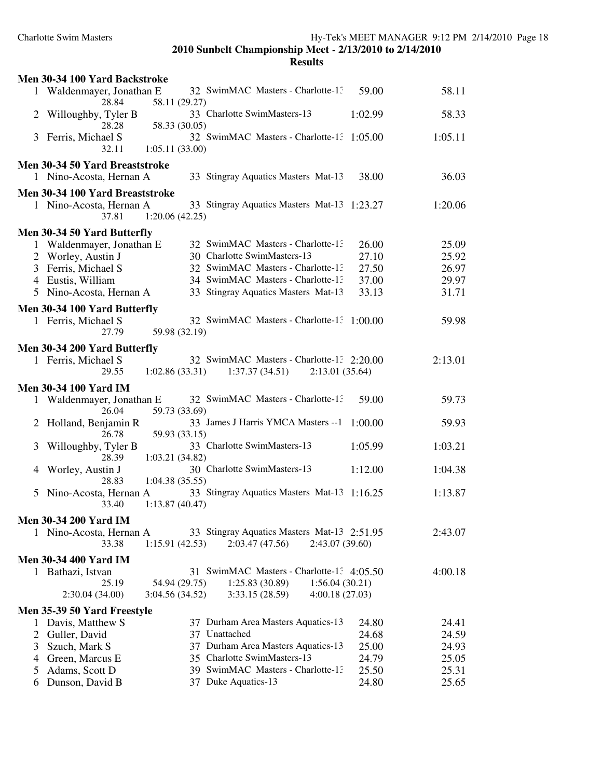|   | Men 30-34 100 Yard Backstroke                       |                                                                               |         |         |
|---|-----------------------------------------------------|-------------------------------------------------------------------------------|---------|---------|
|   | 1 Waldenmayer, Jonathan E<br>28.84<br>58.11 (29.27) | 32 SwimMAC Masters - Charlotte-1.                                             | 59.00   | 58.11   |
| 2 | Willoughby, Tyler B<br>28.28<br>58.33 (30.05)       | 33 Charlotte SwimMasters-13                                                   | 1:02.99 | 58.33   |
|   | 3 Ferris, Michael S<br>1:05.11(33.00)<br>32.11      | 32 SwimMAC Masters - Charlotte-1: 1:05.00                                     |         | 1:05.11 |
|   | Men 30-34 50 Yard Breaststroke                      |                                                                               |         |         |
|   | 1 Nino-Acosta, Hernan A                             | 33 Stingray Aquatics Masters Mat-13                                           | 38.00   | 36.03   |
|   | Men 30-34 100 Yard Breaststroke                     |                                                                               |         |         |
|   | 1 Nino-Acosta, Hernan A<br>37.81<br>1:20.06(42.25)  | 33 Stingray Aquatics Masters Mat-13 1:23.27                                   |         | 1:20.06 |
|   | Men 30-34 50 Yard Butterfly                         |                                                                               |         |         |
|   | 1 Waldenmayer, Jonathan E                           | 32 SwimMAC Masters - Charlotte-1.                                             | 26.00   | 25.09   |
|   | 2 Worley, Austin J                                  | 30 Charlotte SwimMasters-13                                                   | 27.10   | 25.92   |
|   | 3 Ferris, Michael S                                 | 32 SwimMAC Masters - Charlotte-1:                                             | 27.50   | 26.97   |
|   | 4 Eustis, William                                   | 34 SwimMAC Masters - Charlotte-1:                                             | 37.00   | 29.97   |
|   | 5 Nino-Acosta, Hernan A                             | 33 Stingray Aquatics Masters Mat-13                                           | 33.13   | 31.71   |
|   | Men 30-34 100 Yard Butterfly                        |                                                                               |         |         |
|   | 1 Ferris, Michael S<br>27.79<br>59.98 (32.19)       | 32 SwimMAC Masters - Charlotte-1: 1:00.00                                     |         | 59.98   |
|   | Men 30-34 200 Yard Butterfly                        |                                                                               |         |         |
|   | 1 Ferris, Michael S<br>29.55<br>1:02.86(33.31)      | 32 SwimMAC Masters - Charlotte-1: 2:20.00<br>1:37.37(34.51)<br>2:13.01(35.64) |         | 2:13.01 |
|   | <b>Men 30-34 100 Yard IM</b>                        |                                                                               |         |         |
|   | 1 Waldenmayer, Jonathan E<br>26.04<br>59.73 (33.69) | 32 SwimMAC Masters - Charlotte-1:                                             | 59.00   | 59.73   |
|   | 2 Holland, Benjamin R<br>26.78<br>59.93 (33.15)     | 33 James J Harris YMCA Masters -- 1                                           | 1:00.00 | 59.93   |
| 3 | Willoughby, Tyler B<br>28.39<br>1:03.21(34.82)      | 33 Charlotte SwimMasters-13                                                   | 1:05.99 | 1:03.21 |
| 4 | Worley, Austin J<br>28.83<br>1:04.38(35.55)         | 30 Charlotte SwimMasters-13                                                   | 1:12.00 | 1:04.38 |
| 5 | Nino-Acosta, Hernan A<br>1:13.87(40.47)<br>33.40    | 33 Stingray Aquatics Masters Mat-13 1:16.25                                   |         | 1:13.87 |
|   | <b>Men 30-34 200 Yard IM</b>                        |                                                                               |         |         |
|   | 1 Nino-Acosta, Hernan A                             | 33 Stingray Aquatics Masters Mat-13 2:51.95                                   |         | 2:43.07 |
|   | 33.38<br>1:15.91(42.53)                             | 2:03.47 (47.56)<br>2:43.07 (39.60)                                            |         |         |
|   | <b>Men 30-34 400 Yard IM</b>                        |                                                                               |         |         |
|   | 1 Bathazi, Istvan                                   | 31 SwimMAC Masters - Charlotte-1: 4:05.50                                     |         | 4:00.18 |
|   | 25.19<br>54.94 (29.75)                              | 1:56.04(30.21)<br>1:25.83(30.89)                                              |         |         |
|   | 2:30.04(34.00)<br>3:04.56 (34.52)                   | 3:33.15 (28.59)<br>4:00.18(27.03)                                             |         |         |
|   | Men 35-39 50 Yard Freestyle                         |                                                                               |         |         |
| 1 | Davis, Matthew S                                    | 37 Durham Area Masters Aquatics-13                                            | 24.80   | 24.41   |
| 2 | Guller, David                                       | 37 Unattached                                                                 | 24.68   | 24.59   |
| 3 | Szuch, Mark S                                       | 37 Durham Area Masters Aquatics-13                                            | 25.00   | 24.93   |
| 4 | Green, Marcus E                                     | 35 Charlotte SwimMasters-13                                                   | 24.79   | 25.05   |
| 5 | Adams, Scott D                                      | 39 SwimMAC Masters - Charlotte-1:                                             | 25.50   | 25.31   |
| 6 | Dunson, David B                                     | 37 Duke Aquatics-13                                                           | 24.80   | 25.65   |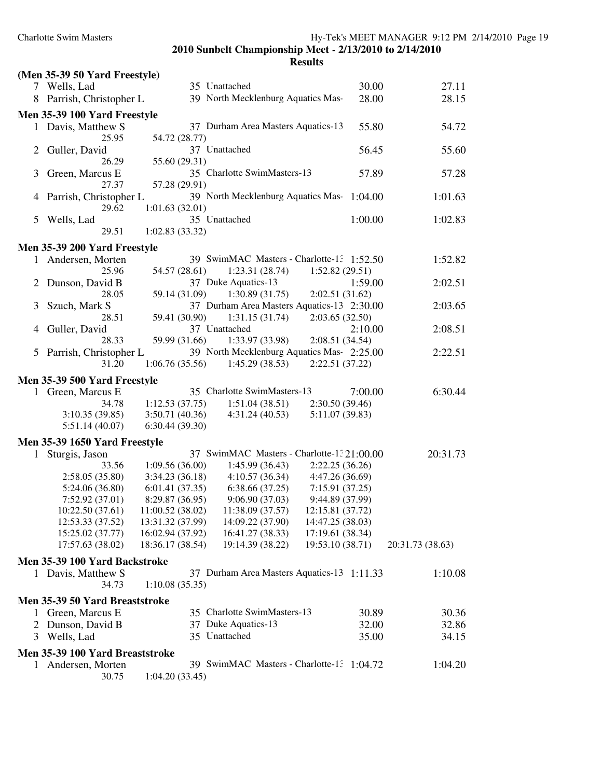|   | (Men 35-39 50 Yard Freestyle)   |                                                                 |                  |
|---|---------------------------------|-----------------------------------------------------------------|------------------|
|   | 7 Wells, Lad                    | 35 Unattached<br>30.00                                          | 27.11            |
| 8 | Parrish, Christopher L          | 39 North Mecklenburg Aquatics Mas-<br>28.00                     | 28.15            |
|   | Men 35-39 100 Yard Freestyle    |                                                                 |                  |
|   | 1 Davis, Matthew S<br>25.95     | 37 Durham Area Masters Aquatics-13<br>55.80<br>54.72 (28.77)    | 54.72            |
| 2 | Guller, David                   | 37 Unattached<br>56.45                                          | 55.60            |
|   | 26.29                           | 55.60 (29.31)                                                   |                  |
| 3 | Green, Marcus E<br>27.37        | 35 Charlotte SwimMasters-13<br>57.89<br>57.28 (29.91)           | 57.28            |
| 4 | Parrish, Christopher L<br>29.62 | 39 North Mecklenburg Aquatics Mas-<br>1:04.00<br>1:01.63(32.01) | 1:01.63          |
| 5 | Wells, Lad                      | 35 Unattached<br>1:00.00                                        | 1:02.83          |
|   | 29.51                           | 1:02.83(33.32)                                                  |                  |
|   | Men 35-39 200 Yard Freestyle    |                                                                 |                  |
| 1 | Andersen, Morten                | 39 SwimMAC Masters - Charlotte-1: 1:52.50                       | 1:52.82          |
|   | 25.96                           | 54.57 (28.61)<br>1:23.31(28.74)<br>1:52.82(29.51)               |                  |
| 2 | Dunson, David B                 | 37 Duke Aquatics-13<br>1:59.00                                  | 2:02.51          |
|   | 28.05                           | 1:30.89(31.75)<br>59.14 (31.09)<br>2:02.51(31.62)               |                  |
| 3 | Szuch, Mark S                   | 37 Durham Area Masters Aquatics-13 2:30.00                      | 2:03.65          |
|   | 28.51                           | 1:31.15(31.74)<br>59.41 (30.90)<br>2:03.65(32.50)               |                  |
| 4 | Guller, David                   | 37 Unattached<br>2:10.00                                        | 2:08.51          |
|   | 28.33                           | 59.99 (31.66)<br>1:33.97 (33.98)<br>2:08.51 (34.54)             |                  |
|   | 5 Parrish, Christopher L        | 39 North Mecklenburg Aquatics Mas 2:25.00                       | 2:22.51          |
|   | 31.20                           | 1:06.76(35.56)<br>1:45.29(38.53)<br>2:22.51 (37.22)             |                  |
|   | Men 35-39 500 Yard Freestyle    |                                                                 |                  |
|   | 1 Green, Marcus E               | 35 Charlotte SwimMasters-13<br>7:00.00                          | 6:30.44          |
|   | 34.78                           | 1:12.53(37.75)<br>1:51.04(38.51)<br>2:30.50(39.46)              |                  |
|   | 3:10.35(39.85)                  | 3:50.71 (40.36)<br>4:31.24(40.53)<br>5:11.07 (39.83)            |                  |
|   | 5:51.14(40.07)                  | 6:30.44(39.30)                                                  |                  |
|   | Men 35-39 1650 Yard Freestyle   |                                                                 |                  |
| 1 | Sturgis, Jason                  | 37 SwimMAC Masters - Charlotte-1: 21:00.00                      | 20:31.73         |
|   | 33.56                           | 1:09.56(36.00)<br>1:45.99(36.43)<br>2:22.25(36.26)              |                  |
|   | 2:58.05(35.80)                  | 3:34.23(36.18)<br>4:10.57(36.34)<br>4:47.26 (36.69)             |                  |
|   | 5:24.06 (36.80)                 | 6:01.41(37.35)<br>6:38.66(37.25)<br>7:15.91 (37.25)             |                  |
|   | 7:52.92 (37.01)                 | 8:29.87 (36.95)<br>9:06.90 (37.03)<br>9:44.89 (37.99)           |                  |
|   | 10:22.50 (37.61)                | 11:00.52 (38.02)<br>11:38.09 (37.57)<br>12:15.81 (37.72)        |                  |
|   | 12:53.33 (37.52)                | 13:31.32 (37.99)<br>14:09.22 (37.90)<br>14:47.25 (38.03)        |                  |
|   | 15:25.02 (37.77)                | 16:02.94 (37.92)<br>16:41.27 (38.33)<br>17:19.61 (38.34)        |                  |
|   | 17:57.63 (38.02)                | 18:36.17 (38.54)<br>19:14.39 (38.22)<br>19:53.10 (38.71)        | 20:31.73 (38.63) |
|   | Men 35-39 100 Yard Backstroke   |                                                                 |                  |
|   | 1 Davis, Matthew S              | 37 Durham Area Masters Aquatics-13 1:11.33                      | 1:10.08          |
|   | 34.73                           | 1:10.08(35.35)                                                  |                  |
|   | Men 35-39 50 Yard Breaststroke  |                                                                 |                  |
|   | 1 Green, Marcus E               | 35 Charlotte SwimMasters-13<br>30.89                            | 30.36            |
| 2 | Dunson, David B                 | 37 Duke Aquatics-13<br>32.00                                    | 32.86            |
|   | 3 Wells, Lad                    | 35 Unattached<br>35.00                                          | 34.15            |
|   | Men 35-39 100 Yard Breaststroke |                                                                 |                  |
| 1 | Andersen, Morten                | 39 SwimMAC Masters - Charlotte-1: 1:04.72                       | 1:04.20          |
|   | 30.75                           | 1:04.20(33.45)                                                  |                  |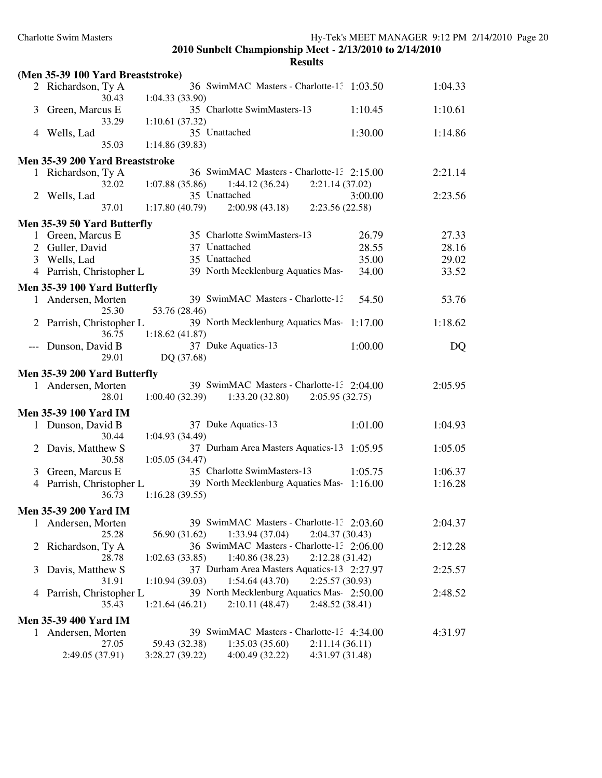|              | (Men 35-39 100 Yard Breaststroke) |                                                                                                  |         |         |
|--------------|-----------------------------------|--------------------------------------------------------------------------------------------------|---------|---------|
|              | 2 Richardson, Ty A<br>30.43       | 36 SwimMAC Masters - Charlotte-1: 1:03.50<br>1:04.33(33.90)                                      |         | 1:04.33 |
| 3            | Green, Marcus E                   | 35 Charlotte SwimMasters-13                                                                      | 1:10.45 | 1:10.61 |
|              | 33.29                             | 1:10.61(37.32)                                                                                   |         |         |
| 4            | Wells, Lad                        | 35 Unattached                                                                                    | 1:30.00 | 1:14.86 |
|              | 35.03                             | 1:14.86 (39.83)                                                                                  |         |         |
|              | Men 35-39 200 Yard Breaststroke   |                                                                                                  |         |         |
|              | 1 Richardson, Ty A                | 36 SwimMAC Masters - Charlotte-1: 2:15.00                                                        |         | 2:21.14 |
|              | 32.02                             | 1:07.88(35.86)<br>1:44.12(36.24)<br>2:21.14 (37.02)                                              |         |         |
|              | 2 Wells, Lad                      | 35 Unattached                                                                                    | 3:00.00 | 2:23.56 |
|              | 37.01                             | 2:00.98(43.18)<br>1:17.80(40.79)<br>2:23.56 (22.58)                                              |         |         |
|              | Men 35-39 50 Yard Butterfly       |                                                                                                  |         |         |
|              | 1 Green, Marcus E                 | 35 Charlotte SwimMasters-13                                                                      | 26.79   | 27.33   |
| 2            | Guller, David                     | 37 Unattached                                                                                    | 28.55   | 28.16   |
| 3            | Wells, Lad                        | 35 Unattached                                                                                    | 35.00   | 29.02   |
|              | 4 Parrish, Christopher L          | 39 North Mecklenburg Aquatics Mas-                                                               | 34.00   | 33.52   |
|              | Men 35-39 100 Yard Butterfly      |                                                                                                  |         |         |
| $\mathbf{1}$ | Andersen, Morten                  | 39 SwimMAC Masters - Charlotte-1:                                                                | 54.50   | 53.76   |
|              | 25.30                             | 53.76 (28.46)                                                                                    |         |         |
| 2            | Parrish, Christopher L            | 39 North Mecklenburg Aquatics Mas-                                                               | 1:17.00 | 1:18.62 |
|              | 36.75                             | 1:18.62(41.87)                                                                                   |         |         |
|              | Dunson, David B                   | 37 Duke Aquatics-13                                                                              | 1:00.00 | DQ      |
|              | 29.01                             | DQ (37.68)                                                                                       |         |         |
|              | Men 35-39 200 Yard Butterfly      |                                                                                                  |         |         |
|              |                                   |                                                                                                  |         |         |
|              |                                   | 39 SwimMAC Masters - Charlotte-1: 2:04.00                                                        |         | 2:05.95 |
|              | 1 Andersen, Morten<br>28.01       | 1:33.20(32.80)<br>1:00.40(32.39)<br>2:05.95(32.75)                                               |         |         |
|              |                                   |                                                                                                  |         |         |
|              | <b>Men 35-39 100 Yard IM</b>      |                                                                                                  |         |         |
|              | 1 Dunson, David B                 | 37 Duke Aquatics-13                                                                              | 1:01.00 | 1:04.93 |
|              | 30.44                             | 1:04.93(34.49)                                                                                   |         |         |
| 2            | Davis, Matthew S                  | 37 Durham Area Masters Aquatics-13 1:05.95                                                       |         | 1:05.05 |
|              | 30.58                             | 1:05.05(34.47)                                                                                   |         |         |
| 3            | Green, Marcus E                   | 35 Charlotte SwimMasters-13                                                                      | 1:05.75 | 1:06.37 |
| 4            | Parrish, Christopher L<br>36.73   | 39 North Mecklenburg Aquatics Mas-<br>1:16.28(39.55)                                             | 1:16.00 | 1:16.28 |
|              |                                   |                                                                                                  |         |         |
|              | <b>Men 35-39 200 Yard IM</b>      |                                                                                                  |         |         |
| 1            | Andersen, Morten                  | 39 SwimMAC Masters - Charlotte-1: 2:03.60                                                        |         | 2:04.37 |
|              | 25.28                             | 1:33.94(37.04)<br>2:04.37 (30.43)<br>56.90 (31.62)                                               |         |         |
| 2            | Richardson, Ty A                  | 36 SwimMAC Masters - Charlotte-1: 2:06.00                                                        |         | 2:12.28 |
|              | 28.78                             | 1:40.86 (38.23)<br>1:02.63(33.85)<br>2:12.28 (31.42)                                             |         |         |
| 3            | Davis, Matthew S                  | 37 Durham Area Masters Aquatics-13 2:27.97                                                       |         | 2:25.57 |
| 4            | 31.91                             | 1:10.94(39.03)<br>1:54.64(43.70)<br>2:25.57 (30.93)<br>39 North Mecklenburg Aquatics Mas 2:50.00 |         |         |
|              | Parrish, Christopher L<br>35.43   | 2:10.11(48.47)<br>2:48.52 (38.41)<br>1:21.64(46.21)                                              |         | 2:48.52 |
|              |                                   |                                                                                                  |         |         |
|              | <b>Men 35-39 400 Yard IM</b>      |                                                                                                  |         |         |
|              | 1 Andersen, Morten<br>27.05       | 39 SwimMAC Masters - Charlotte-1: 4:34.00<br>1:35.03(35.60)<br>2:11.14(36.11)<br>59.43 (32.38)   |         | 4:31.97 |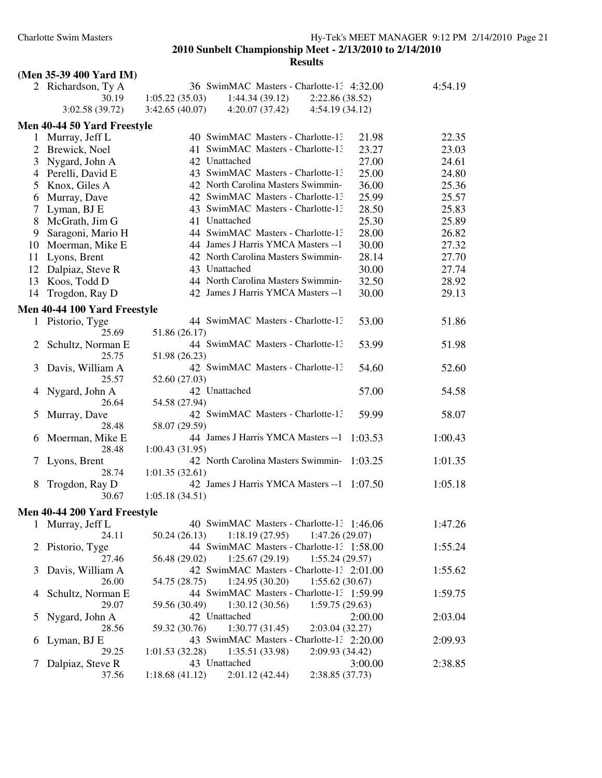# **(Men 35-39 400 Yard IM)**

| 2              | Richardson, Ty A                                        | 36 SwimMAC Masters - Charlotte-1: 4:32.00                        | 4:54.19 |
|----------------|---------------------------------------------------------|------------------------------------------------------------------|---------|
|                | 30.19                                                   | 1:44.34(39.12)<br>1:05.22(35.03)<br>2:22.86 (38.52)              |         |
|                | 3:02.58 (39.72)                                         | 4:20.07(37.42)<br>4:54.19 (34.12)<br>3:42.65(40.07)              |         |
|                | Men 40-44 50 Yard Freestyle                             |                                                                  |         |
| 1              | Murray, Jeff L                                          | 40 SwimMAC Masters - Charlotte-1:<br>21.98                       | 22.35   |
| $\overline{2}$ | Brewick, Noel                                           | 41 SwimMAC Masters - Charlotte-1:<br>23.27                       | 23.03   |
| 3              | Nygard, John A                                          | 42 Unattached<br>27.00                                           | 24.61   |
|                | 4 Perelli, David E                                      | 43 SwimMAC Masters - Charlotte-1:<br>25.00                       | 24.80   |
| 5              | Knox, Giles A                                           | 42 North Carolina Masters Swimmin-<br>36.00                      | 25.36   |
| 6              | Murray, Dave                                            | 42 SwimMAC Masters - Charlotte-1:<br>25.99                       | 25.57   |
| 7              | Lyman, BJ E                                             | 43 SwimMAC Masters - Charlotte-1:<br>28.50                       | 25.83   |
| 8              | McGrath, Jim G                                          | 41 Unattached<br>25.30                                           | 25.89   |
| 9              | Saragoni, Mario H                                       | 44 SwimMAC Masters - Charlotte-1:<br>28.00                       | 26.82   |
| 10             | Moerman, Mike E                                         | 44 James J Harris YMCA Masters -- 1<br>30.00                     | 27.32   |
| 11             | Lyons, Brent                                            | 42 North Carolina Masters Swimmin-<br>28.14                      | 27.70   |
| 12             | Dalpiaz, Steve R                                        | 43 Unattached<br>30.00                                           | 27.74   |
| 13             | Koos, Todd D                                            | 32.50<br>44 North Carolina Masters Swimmin-                      | 28.92   |
| 14             | Trogdon, Ray D                                          | 42 James J Harris YMCA Masters -- 1<br>30.00                     | 29.13   |
|                |                                                         |                                                                  |         |
|                | Men 40-44 100 Yard Freestyle                            |                                                                  |         |
| $\mathbf{1}$   | Pistorio, Tyge<br>25.69                                 | 44 SwimMAC Masters - Charlotte-1.<br>53.00<br>51.86 (26.17)      | 51.86   |
| 2              | Schultz, Norman E<br>25.75                              | 44 SwimMAC Masters - Charlotte-1:<br>53.99<br>51.98 (26.23)      | 51.98   |
| 3              | Davis, William A                                        | 42 SwimMAC Masters - Charlotte-1:<br>54.60                       | 52.60   |
| 4              | 25.57<br>Nygard, John A                                 | 52.60 (27.03)<br>42 Unattached<br>57.00                          | 54.58   |
|                | 26.64                                                   | 54.58 (27.94)                                                    |         |
| 5              | Murray, Dave                                            | 42 SwimMAC Masters - Charlotte-1.<br>59.99                       | 58.07   |
|                | 28.48                                                   | 58.07 (29.59)                                                    |         |
| 6              | Moerman, Mike E<br>28.48                                | 44 James J Harris YMCA Masters -- 1<br>1:03.53<br>1:00.43(31.95) | 1:00.43 |
| 7              | Lyons, Brent                                            | 42 North Carolina Masters Swimmin-<br>1:03.25                    | 1:01.35 |
|                | 28.74                                                   | 1:01.35(32.61)                                                   |         |
| 8              | Trogdon, Ray D                                          | 42 James J Harris YMCA Masters -- 1<br>1:07.50                   | 1:05.18 |
|                | 30.67                                                   | 1:05.18(34.51)                                                   |         |
|                |                                                         |                                                                  |         |
|                | <b>Men 40-44 200 Yard Freestyle</b><br>1 Murray, Jeff L | 40 SwimMAC Masters - Charlotte-1: 1:46.06                        | 1:47.26 |
|                | 24.11                                                   | 1:18.19(27.95)<br>1:47.26(29.07)<br>50.24 (26.13)                |         |
|                | Pistorio, Tyge                                          | 44 SwimMAC Masters - Charlotte-1: 1:58.00                        | 1:55.24 |
| $\mathbb{Z}$   | 27.46                                                   | 1:25.67(29.19)<br>1:55.24(29.57)<br>56.48 (29.02)                |         |
| 3              | Davis, William A                                        | 42 SwimMAC Masters - Charlotte-1: 2:01.00                        | 1:55.62 |
|                | 26.00                                                   | 1:24.95(30.20)<br>54.75 (28.75)<br>1:55.62(30.67)                |         |
| 4              | Schultz, Norman E                                       | 44 SwimMAC Masters - Charlotte-1: 1:59.99                        | 1:59.75 |
|                | 29.07                                                   | 1:30.12(30.56)<br>1:59.75(29.63)<br>59.56 (30.49)                |         |
| 5              | Nygard, John A                                          | 42 Unattached<br>2:00.00                                         | 2:03.04 |
|                | 28.56                                                   | 1:30.77(31.45)<br>2:03.04(32.27)<br>59.32 (30.76)                |         |
| b              | Lyman, BJ E                                             | 43 SwimMAC Masters - Charlotte-1: 2:20.00                        | 2:09.93 |
|                | 29.25                                                   | 1:35.51(33.98)<br>2:09.93 (34.42)<br>1:01.53(32.28)              |         |
| $\frac{1}{2}$  | Dalpiaz, Steve R                                        | 43 Unattached<br>3:00.00                                         | 2:38.85 |
|                | 37.56                                                   | $1:18.68(41.12)$ $2:01.12(42.44)$<br>2:38.85 (37.73)             |         |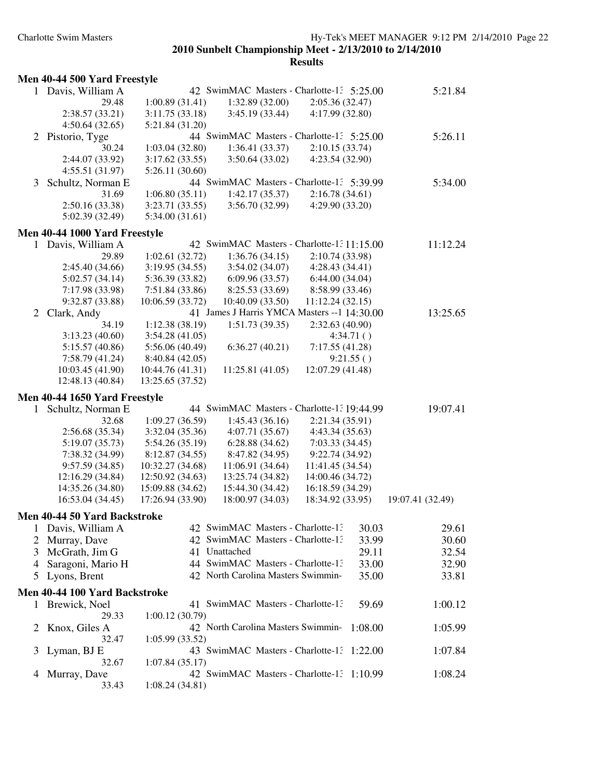|  | Men 40-44 500 Yard Freestyle |
|--|------------------------------|
|--|------------------------------|

|              | 1 Davis, William A                   | 42 SwimMAC Masters - Charlotte-1: 5:25.00                   | 5:21.84          |
|--------------|--------------------------------------|-------------------------------------------------------------|------------------|
|              | 29.48                                | 1:00.89(31.41)<br>1:32.89(32.00)<br>2:05.36(32.47)          |                  |
|              | 2:38.57(33.21)                       | 3:11.75(33.18)<br>3:45.19(33.44)<br>4:17.99 (32.80)         |                  |
|              | 4:50.64(32.65)                       | 5:21.84 (31.20)                                             |                  |
| 2            | Pistorio, Tyge                       | 44 SwimMAC Masters - Charlotte-1: 5:25.00                   | 5:26.11          |
|              | 30.24                                | 1:03.04(32.80)<br>1:36.41(33.37)<br>2:10.15(33.74)          |                  |
|              | 2:44.07 (33.92)                      | 3:17.62(33.55)<br>3:50.64(33.02)<br>4:23.54 (32.90)         |                  |
|              | 4:55.51(31.97)                       | 5:26.11(30.60)                                              |                  |
| 3            | Schultz, Norman E                    | 44 SwimMAC Masters - Charlotte-1: 5:39.99                   | 5:34.00          |
|              | 31.69                                | 1:42.17(35.37)                                              |                  |
|              |                                      | 1:06.80(35.11)<br>2:16.78(34.61)                            |                  |
|              | 2:50.16(33.38)                       | 3:23.71(33.55)<br>3:56.70(32.99)<br>4:29.90 (33.20)         |                  |
|              | 5:02.39 (32.49)                      | 5:34.00(31.61)                                              |                  |
|              | <b>Men 40-44 1000 Yard Freestyle</b> |                                                             |                  |
|              | 1 Davis, William A                   | 42 SwimMAC Masters - Charlotte-1: 11:15.00                  | 11:12.24         |
|              | 29.89                                | 1:02.61(32.72)<br>1:36.76(34.15)<br>2:10.74 (33.98)         |                  |
|              | 2:45.40 (34.66)                      | 3:19.95(34.55)<br>3:54.02(34.07)<br>4:28.43(34.41)          |                  |
|              | 5:02.57(34.14)                       | 6:09.96(33.57)<br>5:36.39 (33.82)<br>6:44.00(34.04)         |                  |
|              | 7:17.98 (33.98)                      | 7:51.84(33.86)<br>8:25.53 (33.69)<br>8:58.99 (33.46)        |                  |
|              | 9:32.87 (33.88)                      | 10:40.09 (33.50)                                            |                  |
|              |                                      | 10:06.59 (33.72)<br>11:12.24(32.15)                         |                  |
| 2            | Clark, Andy                          | 41 James J Harris YMCA Masters -- 1 14:30.00                | 13:25.65         |
|              | 34.19                                | 1:12.38(38.19)<br>1:51.73(39.35)<br>2:32.63(40.90)          |                  |
|              | 3:13.23(40.60)                       | 3:54.28(41.05)<br>4:34.71()                                 |                  |
|              | 5:15.57(40.86)                       | 5:56.06(40.49)<br>6:36.27(40.21)<br>7:17.55(41.28)          |                  |
|              | 7:58.79 (41.24)                      | 8:40.84(42.05)<br>9:21.55()                                 |                  |
|              | 10:03.45 (41.90)                     | 11:25.81(41.05)<br>10:44.76 (41.31)<br>12:07.29 (41.48)     |                  |
|              | 12:48.13 (40.84)                     | 13:25.65 (37.52)                                            |                  |
|              | Men 40-44 1650 Yard Freestyle        |                                                             |                  |
|              | 1 Schultz, Norman E                  | 44 SwimMAC Masters - Charlotte-1: 19:44.99                  | 19:07.41         |
|              | 32.68                                | 1:09.27(36.59)<br>1:45.43(36.16)<br>2:21.34 (35.91)         |                  |
|              | 2:56.68 (35.34)                      | 3:32.04 (35.36)<br>4:07.71(35.67)<br>4:43.34 (35.63)        |                  |
|              | 5:19.07 (35.73)                      | 5:54.26 (35.19)<br>6:28.88(34.62)<br>7:03.33(34.45)         |                  |
|              |                                      |                                                             |                  |
|              | 7:38.32 (34.99)                      | 8:12.87 (34.55)<br>8:47.82 (34.95)<br>9:22.74 (34.92)       |                  |
|              | 9:57.59(34.85)                       | 11:06.91 (34.64)<br>10:32.27 (34.68)<br>11:41.45 (34.54)    |                  |
|              | 12:16.29 (34.84)                     | 12:50.92 (34.63)<br>13:25.74 (34.82)<br>14:00.46 (34.72)    |                  |
|              | 14:35.26 (34.80)                     | 15:09.88 (34.62)<br>15:44.30 (34.42)<br>16:18.59 (34.29)    |                  |
|              | 16:53.04 (34.45)                     | 17:26.94 (33.90)<br>18:00.97 (34.03)<br>18:34.92 (33.95)    | 19:07.41 (32.49) |
|              | Men 40-44 50 Yard Backstroke         |                                                             |                  |
| $\mathbf{I}$ | Davis, William A                     | 42 SwimMAC Masters - Charlotte-13<br>30.03                  | 29.61            |
| 2            | Murray, Dave                         | 42 SwimMAC Masters - Charlotte-1.<br>33.99                  | 30.60            |
| 3            | McGrath, Jim G                       | 41 Unattached<br>29.11                                      | 32.54            |
|              |                                      | 44 SwimMAC Masters - Charlotte-13                           |                  |
| 4            | Saragoni, Mario H                    | 33.00                                                       | 32.90            |
| 5            | Lyons, Brent                         | 42 North Carolina Masters Swimmin-<br>35.00                 | 33.81            |
|              | Men 40-44 100 Yard Backstroke        |                                                             |                  |
| 1            | Brewick, Noel                        | 41 SwimMAC Masters - Charlotte-1:<br>59.69                  | 1:00.12          |
|              | 29.33                                | 1:00.12 (30.79)                                             |                  |
| 2            | Knox, Giles A                        | 42 North Carolina Masters Swimmin-<br>1:08.00               | 1:05.99          |
|              | 32.47                                | 1:05.99(33.52)                                              |                  |
| 3            | Lyman, BJ E                          | 43 SwimMAC Masters - Charlotte-1: 1:22.00                   | 1:07.84          |
|              | 32.67                                | 1:07.84(35.17)                                              |                  |
|              |                                      |                                                             |                  |
|              |                                      |                                                             |                  |
| 4            | Murray, Dave<br>33.43                | 42 SwimMAC Masters - Charlotte-1: 1:10.99<br>1:08.24(34.81) | 1:08.24          |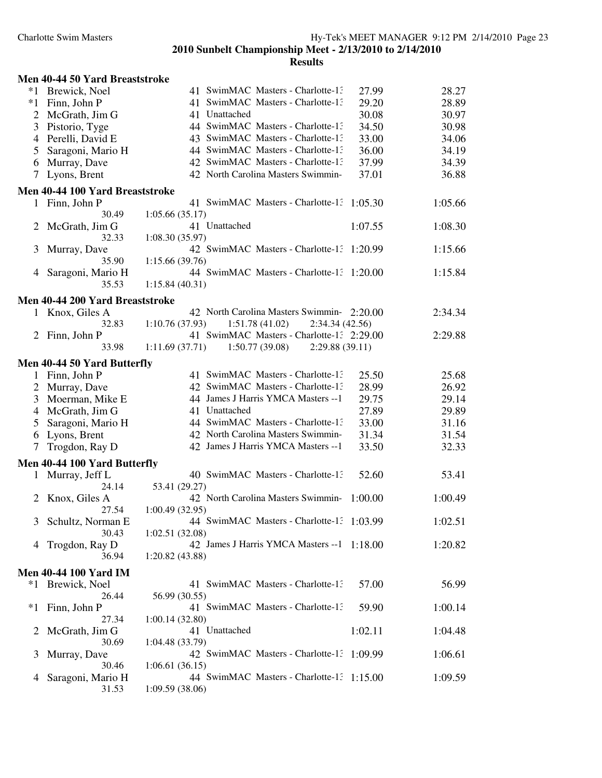|                | <b>Men 40-44 50 Yard Breaststroke</b> |                                                              |         |         |
|----------------|---------------------------------------|--------------------------------------------------------------|---------|---------|
|                | *1 Brewick, Noel                      | 41 SwimMAC Masters - Charlotte-13                            | 27.99   | 28.27   |
| $*1$           | Finn, John P                          | 41 SwimMAC Masters - Charlotte-1.                            | 29.20   | 28.89   |
| $\overline{2}$ | McGrath, Jim G                        | 41 Unattached                                                | 30.08   | 30.97   |
| 3              | Pistorio, Tyge                        | 44 SwimMAC Masters - Charlotte-13                            | 34.50   | 30.98   |
| 4              | Perelli, David E                      | 43 SwimMAC Masters - Charlotte-1:                            | 33.00   | 34.06   |
| 5              | Saragoni, Mario H                     | 44 SwimMAC Masters - Charlotte-1:                            | 36.00   | 34.19   |
| 6              | Murray, Dave                          | 42 SwimMAC Masters - Charlotte-1:                            | 37.99   | 34.39   |
| 7              | Lyons, Brent                          | 42 North Carolina Masters Swimmin-                           | 37.01   | 36.88   |
|                | Men 40-44 100 Yard Breaststroke       |                                                              |         |         |
| 1              | Finn, John P                          | 41 SwimMAC Masters - Charlotte-1: 1:05.30                    |         | 1:05.66 |
|                | 30.49                                 | 1:05.66(35.17)                                               |         |         |
|                | 2 McGrath, Jim G                      | 41 Unattached                                                | 1:07.55 | 1:08.30 |
|                | 32.33                                 | 1:08.30(35.97)                                               |         |         |
| 3              | Murray, Dave                          | 42 SwimMAC Masters - Charlotte-1: 1:20.99                    |         | 1:15.66 |
|                | 35.90                                 | 1:15.66(39.76)                                               |         |         |
| 4              | Saragoni, Mario H                     | 44 SwimMAC Masters - Charlotte-1: 1:20.00                    |         | 1:15.84 |
|                | 35.53                                 | 1:15.84(40.31)                                               |         |         |
|                | Men 40-44 200 Yard Breaststroke       |                                                              |         |         |
|                | 1 Knox, Giles A                       | 42 North Carolina Masters Swimmin-2:20.00                    |         | 2:34.34 |
|                | 32.83                                 | 1:10.76(37.93)<br>1:51.78(41.02)<br>2:34.34(42.56)           |         |         |
|                | 2 Finn, John P                        | 41 SwimMAC Masters - Charlotte-1: 2:29.00                    |         | 2:29.88 |
|                | 33.98                                 | 1:11.69(37.71)<br>1:50.77(39.08)<br>2:29.88(39.11)           |         |         |
|                | Men 40-44 50 Yard Butterfly           |                                                              |         |         |
| 1              | Finn, John P                          | 41 SwimMAC Masters - Charlotte-1:                            | 25.50   | 25.68   |
| $\overline{2}$ | Murray, Dave                          | 42 SwimMAC Masters - Charlotte-1:                            | 28.99   | 26.92   |
| 3              | Moerman, Mike E                       | 44 James J Harris YMCA Masters -- 1                          | 29.75   | 29.14   |
| 4              | McGrath, Jim G                        | 41 Unattached                                                | 27.89   | 29.89   |
| 5              | Saragoni, Mario H                     | 44 SwimMAC Masters - Charlotte-1:                            | 33.00   | 31.16   |
| 6              | Lyons, Brent                          | 42 North Carolina Masters Swimmin-                           | 31.34   | 31.54   |
| 7              | Trogdon, Ray D                        | 42 James J Harris YMCA Masters -- 1                          | 33.50   | 32.33   |
|                |                                       |                                                              |         |         |
|                | Men 40-44 100 Yard Butterfly          |                                                              |         |         |
| 1              | Murray, Jeff L                        | 40 SwimMAC Masters - Charlotte-1:                            | 52.60   | 53.41   |
|                | 24.14                                 | 53.41 (29.27)                                                |         |         |
| 2              | Knox, Giles A                         | 42 North Carolina Masters Swimmin-                           | 1:00.00 | 1:00.49 |
| 3              | 27.54                                 | 1:00.49 (32.95)<br>44 SwimMAC Masters - Charlotte-1: 1:03.99 |         | 1:02.51 |
|                | Schultz, Norman E<br>30.43            | 1:02.51(32.08)                                               |         |         |
| 4              | Trogdon, Ray D                        | 42 James J Harris YMCA Masters -- 1 1:18.00                  |         | 1:20.82 |
|                | 36.94                                 | 1:20.82(43.88)                                               |         |         |
|                |                                       |                                                              |         |         |
|                | <b>Men 40-44 100 Yard IM</b>          | 41 SwimMAC Masters - Charlotte-1:                            |         |         |
| $*1$           | Brewick, Noel<br>26.44                |                                                              | 57.00   | 56.99   |
| $*1$           |                                       | 56.99 (30.55)<br>41 SwimMAC Masters - Charlotte-1:           | 59.90   |         |
|                | Finn, John P<br>27.34                 | 1:00.14(32.80)                                               |         | 1:00.14 |
| $\mathbf{2}$   | McGrath, Jim G                        | 41 Unattached                                                | 1:02.11 | 1:04.48 |
|                | 30.69                                 | 1:04.48 (33.79)                                              |         |         |
| 3              | Murray, Dave                          | 42 SwimMAC Masters - Charlotte-1: 1:09.99                    |         | 1:06.61 |
|                | 30.46                                 | 1:06.61(36.15)                                               |         |         |
| 4              | Saragoni, Mario H                     | 44 SwimMAC Masters - Charlotte-1: 1:15.00                    |         | 1:09.59 |
|                | 31.53                                 | 1:09.59(38.06)                                               |         |         |
|                |                                       |                                                              |         |         |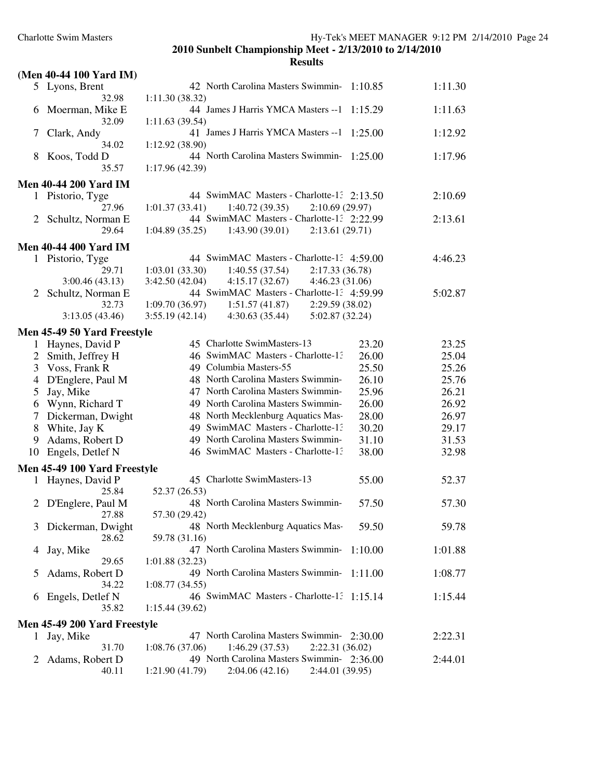|                | (Men 40-44 100 Yard IM)      |                                                                 |         |
|----------------|------------------------------|-----------------------------------------------------------------|---------|
|                | 5 Lyons, Brent<br>32.98      | 42 North Carolina Masters Swimmin-<br>1:10.85<br>1:11.30(38.32) | 1:11.30 |
| 6              | Moerman, Mike E              | 44 James J Harris YMCA Masters -- 1<br>1:15.29                  | 1:11.63 |
|                | 32.09                        | 1:11.63(39.54)<br>41 James J Harris YMCA Masters --1 1:25.00    | 1:12.92 |
| 7              | Clark, Andy<br>34.02         | 1:12.92 (38.90)                                                 |         |
| 8              | Koos, Todd D                 | 44 North Carolina Masters Swimmin-<br>1:25.00                   | 1:17.96 |
|                | 35.57                        | 1:17.96 (42.39)                                                 |         |
|                | <b>Men 40-44 200 Yard IM</b> |                                                                 |         |
|                | 1 Pistorio, Tyge             | 44 SwimMAC Masters - Charlotte-1: 2:13.50                       | 2:10.69 |
|                | 27.96                        | 1:01.37(33.41)<br>1:40.72(39.35)<br>2:10.69(29.97)              |         |
|                | 2 Schultz, Norman E          | 44 SwimMAC Masters - Charlotte-1: 2:22.99                       | 2:13.61 |
|                | 29.64                        | 1:04.89(35.25)<br>1:43.90(39.01)<br>2:13.61(29.71)              |         |
|                | <b>Men 40-44 400 Yard IM</b> |                                                                 |         |
| $\mathbf{1}$   | Pistorio, Tyge               | 44 SwimMAC Masters - Charlotte-1: 4:59.00                       | 4:46.23 |
|                | 29.71                        | 1:03.01(33.30)<br>1:40.55(37.54)<br>2:17.33(36.78)              |         |
|                | 3:00.46(43.13)               | 4:15.17(32.67)<br>3:42.50(42.04)<br>4:46.23(31.06)              |         |
| 2              | Schultz, Norman E            | 44 SwimMAC Masters - Charlotte-1: 4:59.99                       | 5:02.87 |
|                | 32.73                        | 1:09.70(36.97)<br>1:51.57(41.87)<br>2:29.59 (38.02)             |         |
|                | 3:13.05(43.46)               | 3:55.19(42.14)<br>4:30.63(35.44)<br>5:02.87 (32.24)             |         |
|                | Men 45-49 50 Yard Freestyle  |                                                                 |         |
| $\mathbf{1}$   | Haynes, David P              | 45 Charlotte SwimMasters-13<br>23.20                            | 23.25   |
| $\overline{2}$ | Smith, Jeffrey H             | 46 SwimMAC Masters - Charlotte-1:<br>26.00                      | 25.04   |
| 3              | Voss, Frank R                | 49 Columbia Masters-55<br>25.50                                 | 25.26   |
| 4              | D'Englere, Paul M            | 48 North Carolina Masters Swimmin-<br>26.10                     | 25.76   |
| 5              | Jay, Mike                    | 47 North Carolina Masters Swimmin-<br>25.96                     | 26.21   |
| 6              |                              | 49 North Carolina Masters Swimmin-<br>26.00                     | 26.92   |
| 7              | Wynn, Richard T              | 28.00<br>48 North Mecklenburg Aquatics Mas-                     |         |
|                | Dickerman, Dwight            | 49 SwimMAC Masters - Charlotte-1:                               | 26.97   |
| 8              | White, Jay K                 | 30.20                                                           | 29.17   |
| 9              | Adams, Robert D              | 49 North Carolina Masters Swimmin-<br>31.10                     | 31.53   |
| 10             | Engels, Detlef N             | 46 SwimMAC Masters - Charlotte-1:<br>38.00                      | 32.98   |
|                | Men 45-49 100 Yard Freestyle |                                                                 |         |
| $\mathbf{1}$   | Haynes, David P              | 45 Charlotte SwimMasters-13<br>55.00                            | 52.37   |
|                | 25.84                        | 52.37 (26.53)                                                   |         |
|                | 2 D'Englere, Paul M          | 48 North Carolina Masters Swimmin-<br>57.50                     | 57.30   |
|                | 27.88                        | 57.30 (29.42)                                                   |         |
| 3              | Dickerman, Dwight            | 48 North Mecklenburg Aquatics Mas-<br>59.50                     | 59.78   |
|                | 28.62                        | 59.78 (31.16)                                                   |         |
| 4              | Jay, Mike                    | 47 North Carolina Masters Swimmin-<br>1:10.00                   | 1:01.88 |
|                | 29.65                        | 1:01.88(32.23)                                                  |         |
| 5              | Adams, Robert D              | 49 North Carolina Masters Swimmin-<br>1:11.00                   | 1:08.77 |
|                | 34.22                        | 1:08.77(34.55)                                                  |         |
| 6              | Engels, Detlef N             | 46 SwimMAC Masters - Charlotte-1: 1:15.14                       | 1:15.44 |
|                | 35.82                        | 1:15.44(39.62)                                                  |         |
|                | Men 45-49 200 Yard Freestyle |                                                                 |         |
| 1              | Jay, Mike                    | 47 North Carolina Masters Swimmin- 2:30.00                      | 2:22.31 |
|                | 31.70                        | 1:46.29(37.53)<br>2:22.31 (36.02)<br>1:08.76(37.06)             |         |
| $\overline{2}$ | Adams, Robert D              | 49 North Carolina Masters Swimmin- 2:36.00                      | 2:44.01 |
|                | 40.11                        | 2:44.01 (39.95)<br>1:21.90 (41.79)<br>2:04.06(42.16)            |         |
|                |                              |                                                                 |         |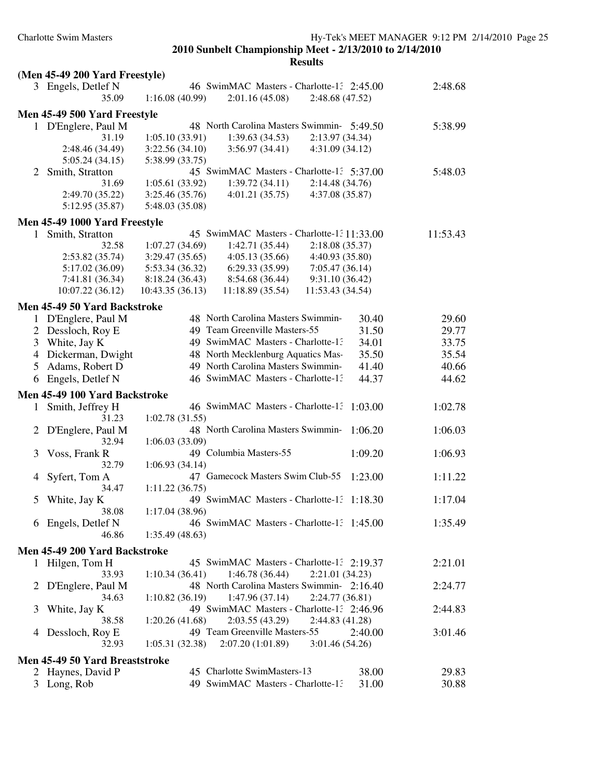|                | (Men 45-49 200 Yard Freestyle) |                                                         |          |
|----------------|--------------------------------|---------------------------------------------------------|----------|
|                | 3 Engels, Detlef N             | 46 SwimMAC Masters - Charlotte-1: 2:45.00               | 2:48.68  |
|                | 35.09                          | 1:16.08(40.99)<br>2:01.16(45.08)<br>2:48.68(47.52)      |          |
|                |                                |                                                         |          |
|                | Men 45-49 500 Yard Freestyle   |                                                         |          |
|                | 1 D'Englere, Paul M            | 48 North Carolina Masters Swimmin- 5:49.50              | 5:38.99  |
|                | 31.19                          | 1:39.63(34.53)<br>1:05.10(33.91)<br>2:13.97 (34.34)     |          |
|                | 2:48.46 (34.49)                | 3:22.56(34.10)<br>3:56.97(34.41)<br>4:31.09(34.12)      |          |
|                | 5:05.24(34.15)                 | 5:38.99 (33.75)                                         |          |
| 2              | Smith, Stratton                | 45 SwimMAC Masters - Charlotte-1: 5:37.00               | 5:48.03  |
|                | 31.69                          | 1:39.72(34.11)<br>2:14.48(34.76)<br>1:05.61(33.92)      |          |
|                | 2:49.70 (35.22)                | 3:25.46 (35.76)<br>4:01.21(35.75)<br>4:37.08 (35.87)    |          |
|                | 5:12.95 (35.87)                | 5:48.03 (35.08)                                         |          |
|                | Men 45-49 1000 Yard Freestyle  |                                                         |          |
| $\mathbf{1}$   | Smith, Stratton                | 45 SwimMAC Masters - Charlotte-1: 11:33.00              | 11:53.43 |
|                | 32.58                          | 2:18.08(35.37)<br>1:07.27(34.69)<br>1:42.71(35.44)      |          |
|                | 2:53.82 (35.74)                | 3:29.47(35.65)<br>4:05.13(35.66)<br>4:40.93 (35.80)     |          |
|                | 5:17.02 (36.09)                | 5:53.34 (36.32)<br>6:29.33(35.99)<br>7:05.47(36.14)     |          |
|                | 7:41.81 (36.34)                | 8:18.24 (36.43)<br>8:54.68 (36.44)<br>9:31.10(36.42)    |          |
|                | 10:07.22 (36.12)               | 10:43.35 (36.13)<br>11:18.89(35.54)<br>11:53.43 (34.54) |          |
|                |                                |                                                         |          |
|                | Men 45-49 50 Yard Backstroke   | 48 North Carolina Masters Swimmin-                      |          |
| $\mathbf{1}$   | D'Englere, Paul M              | 30.40                                                   | 29.60    |
| 2              | Dessloch, Roy E                | 49 Team Greenville Masters-55<br>31.50                  | 29.77    |
|                | 3 White, Jay K                 | 49 SwimMAC Masters - Charlotte-1:<br>34.01              | 33.75    |
|                | 4 Dickerman, Dwight            | 48 North Mecklenburg Aquatics Mas-<br>35.50             | 35.54    |
| 5              | Adams, Robert D                | 49 North Carolina Masters Swimmin-<br>41.40             | 40.66    |
| 6              | Engels, Detlef N               | 46 SwimMAC Masters - Charlotte-1:<br>44.37              | 44.62    |
|                | Men 45-49 100 Yard Backstroke  |                                                         |          |
| 1              | Smith, Jeffrey H               | 46 SwimMAC Masters - Charlotte-1.<br>1:03.00            | 1:02.78  |
|                | 31.23                          | 1:02.78(31.55)                                          |          |
| 2              | D'Englere, Paul M              | 48 North Carolina Masters Swimmin-<br>1:06.20           | 1:06.03  |
|                | 32.94                          | 1:06.03(33.09)                                          |          |
| 3              | Voss, Frank R                  | 49 Columbia Masters-55<br>1:09.20                       | 1:06.93  |
|                | 32.79                          | 1:06.93(34.14)                                          |          |
| 4              | Syfert, Tom A                  | 47 Gamecock Masters Swim Club-55<br>1:23.00             | 1:11.22  |
|                | 34.47                          | 1:11.22(36.75)                                          |          |
| 5              | White, Jay K                   | 49 SwimMAC Masters - Charlotte-1: 1:18.30               | 1:17.04  |
|                | 38.08                          | 1:17.04 (38.96)                                         |          |
|                | 6 Engels, Detlef N             | 46 SwimMAC Masters - Charlotte-1: 1:45.00               | 1:35.49  |
|                | 46.86                          | 1:35.49(48.63)                                          |          |
|                |                                |                                                         |          |
|                | Men 45-49 200 Yard Backstroke  |                                                         |          |
|                | 1 Hilgen, Tom H                | 45 SwimMAC Masters - Charlotte-1: 2:19.37               | 2:21.01  |
|                | 33.93                          | 1:46.78(36.44)<br>2:21.01 (34.23)<br>1:10.34(36.41)     |          |
| $\overline{2}$ | D'Englere, Paul M              | 48 North Carolina Masters Swimmin- 2:16.40              | 2:24.77  |
|                | 34.63                          | 1:47.96(37.14)<br>2:24.77 (36.81)<br>1:10.82(36.19)     |          |
| 3              | White, Jay K                   | 49 SwimMAC Masters - Charlotte-1: 2:46.96               | 2:44.83  |
|                | 38.58                          | 2:03.55(43.29)<br>1:20.26(41.68)<br>2:44.83 (41.28)     |          |
| 4              | Dessloch, Roy E                | 49 Team Greenville Masters-55<br>2:40.00                | 3:01.46  |
|                | 32.93                          | 2:07.20 (1:01.89)<br>1:05.31(32.38)<br>3:01.46(54.26)   |          |
|                | Men 45-49 50 Yard Breaststroke |                                                         |          |
| 2              | Haynes, David P                | 45 Charlotte SwimMasters-13<br>38.00                    | 29.83    |
|                | 3 Long, Rob                    | 49 SwimMAC Masters - Charlotte-13<br>31.00              | 30.88    |
|                |                                |                                                         |          |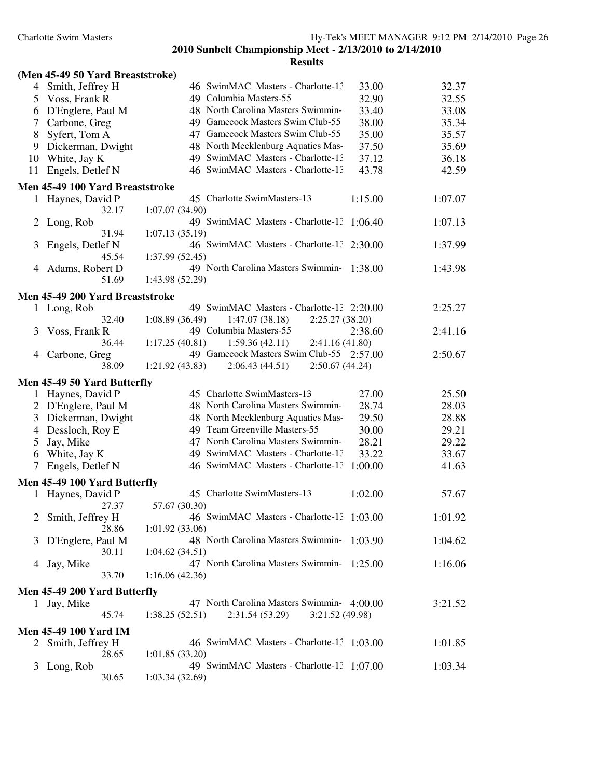|                | (Men 45-49 50 Yard Breaststroke) |                                                      |         |         |
|----------------|----------------------------------|------------------------------------------------------|---------|---------|
|                | 4 Smith, Jeffrey H               | 46 SwimMAC Masters - Charlotte-1:                    | 33.00   | 32.37   |
| 5              | Voss, Frank R                    | 49 Columbia Masters-55                               | 32.90   | 32.55   |
| 6              | D'Englere, Paul M                | 48 North Carolina Masters Swimmin-                   | 33.40   | 33.08   |
| 7              | Carbone, Greg                    | 49 Gamecock Masters Swim Club-55                     | 38.00   | 35.34   |
| 8              | Syfert, Tom A                    | 47 Gamecock Masters Swim Club-55                     | 35.00   | 35.57   |
| 9              | Dickerman, Dwight                | 48 North Mecklenburg Aquatics Mas-                   | 37.50   | 35.69   |
| 10             | White, Jay K                     | 49 SwimMAC Masters - Charlotte-1:                    | 37.12   | 36.18   |
| 11             | Engels, Detlef N                 | 46 SwimMAC Masters - Charlotte-1:                    | 43.78   | 42.59   |
|                | Men 45-49 100 Yard Breaststroke  |                                                      |         |         |
| 1              | Haynes, David P                  | 45 Charlotte SwimMasters-13                          | 1:15.00 | 1:07.07 |
|                | 32.17                            | 1:07.07(34.90)                                       |         |         |
| $\overline{2}$ | Long, Rob                        | 49 SwimMAC Masters - Charlotte-1.                    | 1:06.40 | 1:07.13 |
|                | 31.94                            | 1:07.13(35.19)                                       |         |         |
| 3              | Engels, Detlef N                 | 46 SwimMAC Masters - Charlotte-1: 2:30.00            |         | 1:37.99 |
|                | 45.54                            | 1:37.99(52.45)                                       |         |         |
| 4              | Adams, Robert D                  | 49 North Carolina Masters Swimmin-                   | 1:38.00 | 1:43.98 |
|                | 51.69                            | 1:43.98 (52.29)                                      |         |         |
|                | Men 45-49 200 Yard Breaststroke  |                                                      |         |         |
| 1              | Long, Rob                        | 49 SwimMAC Masters - Charlotte-1: 2:20.00            |         | 2:25.27 |
|                | 32.40                            | 1:08.89(36.49)<br>1:47.07(38.18)<br>2:25.27 (38.20)  |         |         |
| 3              | Voss, Frank R                    | 49 Columbia Masters-55                               | 2:38.60 | 2:41.16 |
|                | 36.44                            | 1:17.25(40.81)<br>1:59.36(42.11)<br>2:41.16 (41.80)  |         |         |
| 4              | Carbone, Greg                    | 49 Gamecock Masters Swim Club-55 2:57.00             |         | 2:50.67 |
|                | 38.09                            | 1:21.92(43.83)<br>2:06.43(44.51)<br>2:50.67(44.24)   |         |         |
|                | Men 45-49 50 Yard Butterfly      |                                                      |         |         |
| $\mathbf{1}$   | Haynes, David P                  | 45 Charlotte SwimMasters-13                          | 27.00   | 25.50   |
| 2              | D'Englere, Paul M                | 48 North Carolina Masters Swimmin-                   | 28.74   | 28.03   |
| 3              | Dickerman, Dwight                | 48 North Mecklenburg Aquatics Mas-                   | 29.50   | 28.88   |
| $\overline{4}$ | Dessloch, Roy E                  | 49 Team Greenville Masters-55                        | 30.00   | 29.21   |
| 5              | Jay, Mike                        | 47 North Carolina Masters Swimmin-                   | 28.21   | 29.22   |
| 6              | White, Jay K                     | 49 SwimMAC Masters - Charlotte-1:                    | 33.22   | 33.67   |
| 7              | Engels, Detlef N                 | 46 SwimMAC Masters - Charlotte-1:                    | 1:00.00 | 41.63   |
|                |                                  |                                                      |         |         |
|                | Men 45-49 100 Yard Butterfly     |                                                      |         |         |
| 1              | Haynes, David P                  | 45 Charlotte SwimMasters-13                          | 1:02.00 | 57.67   |
|                | 27.37                            | 57.67 (30.30)                                        |         |         |
| 2              | Smith, Jeffrey H                 | 46 SwimMAC Masters - Charlotte-1: 1:03.00            |         | 1:01.92 |
|                | 28.86                            | 1:01.92(33.06)                                       |         |         |
| 3              | D'Englere, Paul M                | 48 North Carolina Masters Swimmin-                   | 1:03.90 | 1:04.62 |
|                | 30.11                            | 1:04.62(34.51)<br>47 North Carolina Masters Swimmin- | 1:25.00 |         |
| 4              | Jay, Mike<br>33.70               | 1:16.06(42.36)                                       |         | 1:16.06 |
|                |                                  |                                                      |         |         |
|                | Men 45-49 200 Yard Butterfly     |                                                      |         |         |
|                | 1 Jay, Mike                      | 47 North Carolina Masters Swimmin-4:00.00            |         | 3:21.52 |
|                | 45.74                            | 2:31.54(53.29)<br>3:21.52 (49.98)<br>1:38.25(52.51)  |         |         |
|                | <b>Men 45-49 100 Yard IM</b>     |                                                      |         |         |
| 2              | Smith, Jeffrey H                 | 46 SwimMAC Masters - Charlotte-1: 1:03.00            |         | 1:01.85 |
|                | 28.65                            | 1:01.85(33.20)                                       |         |         |
| 3              | Long, Rob                        | 49 SwimMAC Masters - Charlotte-1: 1:07.00            |         | 1:03.34 |
|                | 30.65                            | 1:03.34(32.69)                                       |         |         |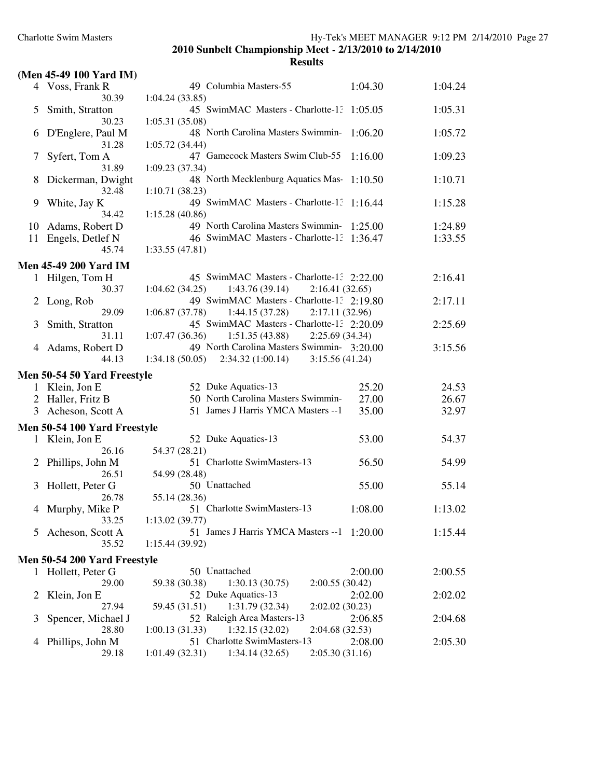#### **(Men 45-49 100 Yard IM)**

| 49 Columbia Masters-55<br>4 Voss, Frank R<br>30.39<br>1:04.24(33.85)<br>45 SwimMAC Masters - Charlotte-1:<br>1:05.05<br>5<br>Smith, Stratton<br>30.23<br>1:05.31(35.08)<br>D'Englere, Paul M<br>48 North Carolina Masters Swimmin-<br>1:06.20<br>6<br>31.28<br>1:05.72(34.44)<br>47 Gamecock Masters Swim Club-55<br>1:16.00<br>7<br>Syfert, Tom A<br>31.89<br>1:09.23(37.34)<br>48 North Mecklenburg Aquatics Mas-<br>Dickerman, Dwight<br>8<br>32.48<br>1:10.71(38.23)<br>49 SwimMAC Masters - Charlotte-1:<br>9<br>White, Jay K<br>1:16.44<br>34.42<br>1:15.28(40.86)<br>49 North Carolina Masters Swimmin-<br>Adams, Robert D<br>1:25.00<br>10<br>46 SwimMAC Masters - Charlotte-1:<br>Engels, Detlef N<br>1:36.47<br>11<br>45.74<br>1:33.55(47.81)<br><b>Men 45-49 200 Yard IM</b><br>45 SwimMAC Masters - Charlotte-1: 2:22.00<br>1 Hilgen, Tom H<br>1:43.76(39.14)<br>30.37<br>1:04.62(34.25)<br>2:16.41(32.65)<br>49 SwimMAC Masters - Charlotte-1: 2:19.80<br>Long, Rob<br>$\mathbf{2}$<br>29.09<br>1:06.87(37.78)<br>1:44.15 (37.28)<br>2:17.11(32.96)<br>45 SwimMAC Masters - Charlotte-1: 2:20.09<br>Smith, Stratton<br>3<br>31.11<br>1:51.35(43.88)<br>2:25.69 (34.34)<br>1:07.47(36.36)<br>49 North Carolina Masters Swimmin-3:20.00<br>4 Adams, Robert D<br>44.13<br>1:34.18(50.05)<br>$2:34.32(1:00.14)$ $3:15.56(41.24)$<br><b>Men 50-54 50 Yard Freestyle</b><br>52 Duke Aquatics-13<br>1 Klein, Jon E<br>50 North Carolina Masters Swimmin-<br>2 Haller, Fritz B<br>51 James J Harris YMCA Masters -- 1<br>3 Acheson, Scott A<br><b>Men 50-54 100 Yard Freestyle</b><br>52 Duke Aquatics-13<br>1 Klein, Jon E<br>26.16<br>54.37 (28.21)<br>51 Charlotte SwimMasters-13<br>Phillips, John M<br>2<br>54.99 (28.48)<br>26.51<br>50 Unattached<br>Hollett, Peter G<br>3<br>26.78<br>55.14 (28.36)<br>51 Charlotte SwimMasters-13<br>1:08.00<br>4 Murphy, Mike P<br>1:13.02(39.77)<br>33.25<br>Acheson, Scott A<br>5<br>35.52<br>1:15.44(39.92)<br><b>Men 50-54 200 Yard Freestyle</b><br>50 Unattached<br>Hollett, Peter G<br>2:00.00<br>1<br>29.00<br>59.38 (30.38)<br>1:30.13(30.75)<br>2:00.55(30.42)<br>52 Duke Aquatics-13<br>Klein, Jon E<br>2:02.00<br>2<br>27.94<br>59.45 (31.51)<br>1:31.79 (32.34)<br>2:02.02(30.23)<br>52 Raleigh Area Masters-13<br>Spencer, Michael J<br>2:06.85<br>3<br>28.80<br>1:00.13(31.33)<br>1:32.15(32.02)<br>2:04.68 (32.53)<br>51 Charlotte SwimMasters-13<br>Phillips, John M<br>2:08.00<br>4 |       |                                                    |         |
|------------------------------------------------------------------------------------------------------------------------------------------------------------------------------------------------------------------------------------------------------------------------------------------------------------------------------------------------------------------------------------------------------------------------------------------------------------------------------------------------------------------------------------------------------------------------------------------------------------------------------------------------------------------------------------------------------------------------------------------------------------------------------------------------------------------------------------------------------------------------------------------------------------------------------------------------------------------------------------------------------------------------------------------------------------------------------------------------------------------------------------------------------------------------------------------------------------------------------------------------------------------------------------------------------------------------------------------------------------------------------------------------------------------------------------------------------------------------------------------------------------------------------------------------------------------------------------------------------------------------------------------------------------------------------------------------------------------------------------------------------------------------------------------------------------------------------------------------------------------------------------------------------------------------------------------------------------------------------------------------------------------------------------------------------------------------------------------------------------------------------------------------------------------------------------------------------------------------------------------------------------------------------------------------------------------------------------------------------------------------------------------------------------------------------------------------------|-------|----------------------------------------------------|---------|
|                                                                                                                                                                                                                                                                                                                                                                                                                                                                                                                                                                                                                                                                                                                                                                                                                                                                                                                                                                                                                                                                                                                                                                                                                                                                                                                                                                                                                                                                                                                                                                                                                                                                                                                                                                                                                                                                                                                                                                                                                                                                                                                                                                                                                                                                                                                                                                                                                                                      |       | 1:04.30                                            | 1:04.24 |
|                                                                                                                                                                                                                                                                                                                                                                                                                                                                                                                                                                                                                                                                                                                                                                                                                                                                                                                                                                                                                                                                                                                                                                                                                                                                                                                                                                                                                                                                                                                                                                                                                                                                                                                                                                                                                                                                                                                                                                                                                                                                                                                                                                                                                                                                                                                                                                                                                                                      |       |                                                    | 1:05.31 |
|                                                                                                                                                                                                                                                                                                                                                                                                                                                                                                                                                                                                                                                                                                                                                                                                                                                                                                                                                                                                                                                                                                                                                                                                                                                                                                                                                                                                                                                                                                                                                                                                                                                                                                                                                                                                                                                                                                                                                                                                                                                                                                                                                                                                                                                                                                                                                                                                                                                      |       |                                                    |         |
|                                                                                                                                                                                                                                                                                                                                                                                                                                                                                                                                                                                                                                                                                                                                                                                                                                                                                                                                                                                                                                                                                                                                                                                                                                                                                                                                                                                                                                                                                                                                                                                                                                                                                                                                                                                                                                                                                                                                                                                                                                                                                                                                                                                                                                                                                                                                                                                                                                                      |       |                                                    | 1:05.72 |
|                                                                                                                                                                                                                                                                                                                                                                                                                                                                                                                                                                                                                                                                                                                                                                                                                                                                                                                                                                                                                                                                                                                                                                                                                                                                                                                                                                                                                                                                                                                                                                                                                                                                                                                                                                                                                                                                                                                                                                                                                                                                                                                                                                                                                                                                                                                                                                                                                                                      |       |                                                    | 1:09.23 |
|                                                                                                                                                                                                                                                                                                                                                                                                                                                                                                                                                                                                                                                                                                                                                                                                                                                                                                                                                                                                                                                                                                                                                                                                                                                                                                                                                                                                                                                                                                                                                                                                                                                                                                                                                                                                                                                                                                                                                                                                                                                                                                                                                                                                                                                                                                                                                                                                                                                      |       |                                                    |         |
|                                                                                                                                                                                                                                                                                                                                                                                                                                                                                                                                                                                                                                                                                                                                                                                                                                                                                                                                                                                                                                                                                                                                                                                                                                                                                                                                                                                                                                                                                                                                                                                                                                                                                                                                                                                                                                                                                                                                                                                                                                                                                                                                                                                                                                                                                                                                                                                                                                                      |       | 1:10.50                                            | 1:10.71 |
|                                                                                                                                                                                                                                                                                                                                                                                                                                                                                                                                                                                                                                                                                                                                                                                                                                                                                                                                                                                                                                                                                                                                                                                                                                                                                                                                                                                                                                                                                                                                                                                                                                                                                                                                                                                                                                                                                                                                                                                                                                                                                                                                                                                                                                                                                                                                                                                                                                                      |       |                                                    | 1:15.28 |
|                                                                                                                                                                                                                                                                                                                                                                                                                                                                                                                                                                                                                                                                                                                                                                                                                                                                                                                                                                                                                                                                                                                                                                                                                                                                                                                                                                                                                                                                                                                                                                                                                                                                                                                                                                                                                                                                                                                                                                                                                                                                                                                                                                                                                                                                                                                                                                                                                                                      |       |                                                    |         |
|                                                                                                                                                                                                                                                                                                                                                                                                                                                                                                                                                                                                                                                                                                                                                                                                                                                                                                                                                                                                                                                                                                                                                                                                                                                                                                                                                                                                                                                                                                                                                                                                                                                                                                                                                                                                                                                                                                                                                                                                                                                                                                                                                                                                                                                                                                                                                                                                                                                      |       |                                                    | 1:24.89 |
|                                                                                                                                                                                                                                                                                                                                                                                                                                                                                                                                                                                                                                                                                                                                                                                                                                                                                                                                                                                                                                                                                                                                                                                                                                                                                                                                                                                                                                                                                                                                                                                                                                                                                                                                                                                                                                                                                                                                                                                                                                                                                                                                                                                                                                                                                                                                                                                                                                                      |       |                                                    | 1:33.55 |
|                                                                                                                                                                                                                                                                                                                                                                                                                                                                                                                                                                                                                                                                                                                                                                                                                                                                                                                                                                                                                                                                                                                                                                                                                                                                                                                                                                                                                                                                                                                                                                                                                                                                                                                                                                                                                                                                                                                                                                                                                                                                                                                                                                                                                                                                                                                                                                                                                                                      |       |                                                    |         |
|                                                                                                                                                                                                                                                                                                                                                                                                                                                                                                                                                                                                                                                                                                                                                                                                                                                                                                                                                                                                                                                                                                                                                                                                                                                                                                                                                                                                                                                                                                                                                                                                                                                                                                                                                                                                                                                                                                                                                                                                                                                                                                                                                                                                                                                                                                                                                                                                                                                      |       |                                                    |         |
|                                                                                                                                                                                                                                                                                                                                                                                                                                                                                                                                                                                                                                                                                                                                                                                                                                                                                                                                                                                                                                                                                                                                                                                                                                                                                                                                                                                                                                                                                                                                                                                                                                                                                                                                                                                                                                                                                                                                                                                                                                                                                                                                                                                                                                                                                                                                                                                                                                                      |       |                                                    | 2:16.41 |
|                                                                                                                                                                                                                                                                                                                                                                                                                                                                                                                                                                                                                                                                                                                                                                                                                                                                                                                                                                                                                                                                                                                                                                                                                                                                                                                                                                                                                                                                                                                                                                                                                                                                                                                                                                                                                                                                                                                                                                                                                                                                                                                                                                                                                                                                                                                                                                                                                                                      |       |                                                    |         |
|                                                                                                                                                                                                                                                                                                                                                                                                                                                                                                                                                                                                                                                                                                                                                                                                                                                                                                                                                                                                                                                                                                                                                                                                                                                                                                                                                                                                                                                                                                                                                                                                                                                                                                                                                                                                                                                                                                                                                                                                                                                                                                                                                                                                                                                                                                                                                                                                                                                      |       |                                                    | 2:17.11 |
|                                                                                                                                                                                                                                                                                                                                                                                                                                                                                                                                                                                                                                                                                                                                                                                                                                                                                                                                                                                                                                                                                                                                                                                                                                                                                                                                                                                                                                                                                                                                                                                                                                                                                                                                                                                                                                                                                                                                                                                                                                                                                                                                                                                                                                                                                                                                                                                                                                                      |       |                                                    |         |
|                                                                                                                                                                                                                                                                                                                                                                                                                                                                                                                                                                                                                                                                                                                                                                                                                                                                                                                                                                                                                                                                                                                                                                                                                                                                                                                                                                                                                                                                                                                                                                                                                                                                                                                                                                                                                                                                                                                                                                                                                                                                                                                                                                                                                                                                                                                                                                                                                                                      |       |                                                    | 2:25.69 |
|                                                                                                                                                                                                                                                                                                                                                                                                                                                                                                                                                                                                                                                                                                                                                                                                                                                                                                                                                                                                                                                                                                                                                                                                                                                                                                                                                                                                                                                                                                                                                                                                                                                                                                                                                                                                                                                                                                                                                                                                                                                                                                                                                                                                                                                                                                                                                                                                                                                      |       |                                                    |         |
|                                                                                                                                                                                                                                                                                                                                                                                                                                                                                                                                                                                                                                                                                                                                                                                                                                                                                                                                                                                                                                                                                                                                                                                                                                                                                                                                                                                                                                                                                                                                                                                                                                                                                                                                                                                                                                                                                                                                                                                                                                                                                                                                                                                                                                                                                                                                                                                                                                                      |       |                                                    | 3:15.56 |
|                                                                                                                                                                                                                                                                                                                                                                                                                                                                                                                                                                                                                                                                                                                                                                                                                                                                                                                                                                                                                                                                                                                                                                                                                                                                                                                                                                                                                                                                                                                                                                                                                                                                                                                                                                                                                                                                                                                                                                                                                                                                                                                                                                                                                                                                                                                                                                                                                                                      |       |                                                    |         |
|                                                                                                                                                                                                                                                                                                                                                                                                                                                                                                                                                                                                                                                                                                                                                                                                                                                                                                                                                                                                                                                                                                                                                                                                                                                                                                                                                                                                                                                                                                                                                                                                                                                                                                                                                                                                                                                                                                                                                                                                                                                                                                                                                                                                                                                                                                                                                                                                                                                      |       |                                                    |         |
|                                                                                                                                                                                                                                                                                                                                                                                                                                                                                                                                                                                                                                                                                                                                                                                                                                                                                                                                                                                                                                                                                                                                                                                                                                                                                                                                                                                                                                                                                                                                                                                                                                                                                                                                                                                                                                                                                                                                                                                                                                                                                                                                                                                                                                                                                                                                                                                                                                                      |       | 25.20                                              | 24.53   |
|                                                                                                                                                                                                                                                                                                                                                                                                                                                                                                                                                                                                                                                                                                                                                                                                                                                                                                                                                                                                                                                                                                                                                                                                                                                                                                                                                                                                                                                                                                                                                                                                                                                                                                                                                                                                                                                                                                                                                                                                                                                                                                                                                                                                                                                                                                                                                                                                                                                      |       | 27.00                                              | 26.67   |
|                                                                                                                                                                                                                                                                                                                                                                                                                                                                                                                                                                                                                                                                                                                                                                                                                                                                                                                                                                                                                                                                                                                                                                                                                                                                                                                                                                                                                                                                                                                                                                                                                                                                                                                                                                                                                                                                                                                                                                                                                                                                                                                                                                                                                                                                                                                                                                                                                                                      |       | 35.00                                              | 32.97   |
|                                                                                                                                                                                                                                                                                                                                                                                                                                                                                                                                                                                                                                                                                                                                                                                                                                                                                                                                                                                                                                                                                                                                                                                                                                                                                                                                                                                                                                                                                                                                                                                                                                                                                                                                                                                                                                                                                                                                                                                                                                                                                                                                                                                                                                                                                                                                                                                                                                                      |       |                                                    |         |
|                                                                                                                                                                                                                                                                                                                                                                                                                                                                                                                                                                                                                                                                                                                                                                                                                                                                                                                                                                                                                                                                                                                                                                                                                                                                                                                                                                                                                                                                                                                                                                                                                                                                                                                                                                                                                                                                                                                                                                                                                                                                                                                                                                                                                                                                                                                                                                                                                                                      |       | 53.00                                              | 54.37   |
|                                                                                                                                                                                                                                                                                                                                                                                                                                                                                                                                                                                                                                                                                                                                                                                                                                                                                                                                                                                                                                                                                                                                                                                                                                                                                                                                                                                                                                                                                                                                                                                                                                                                                                                                                                                                                                                                                                                                                                                                                                                                                                                                                                                                                                                                                                                                                                                                                                                      |       |                                                    |         |
|                                                                                                                                                                                                                                                                                                                                                                                                                                                                                                                                                                                                                                                                                                                                                                                                                                                                                                                                                                                                                                                                                                                                                                                                                                                                                                                                                                                                                                                                                                                                                                                                                                                                                                                                                                                                                                                                                                                                                                                                                                                                                                                                                                                                                                                                                                                                                                                                                                                      |       | 56.50                                              | 54.99   |
|                                                                                                                                                                                                                                                                                                                                                                                                                                                                                                                                                                                                                                                                                                                                                                                                                                                                                                                                                                                                                                                                                                                                                                                                                                                                                                                                                                                                                                                                                                                                                                                                                                                                                                                                                                                                                                                                                                                                                                                                                                                                                                                                                                                                                                                                                                                                                                                                                                                      |       |                                                    |         |
|                                                                                                                                                                                                                                                                                                                                                                                                                                                                                                                                                                                                                                                                                                                                                                                                                                                                                                                                                                                                                                                                                                                                                                                                                                                                                                                                                                                                                                                                                                                                                                                                                                                                                                                                                                                                                                                                                                                                                                                                                                                                                                                                                                                                                                                                                                                                                                                                                                                      |       | 55.00                                              | 55.14   |
|                                                                                                                                                                                                                                                                                                                                                                                                                                                                                                                                                                                                                                                                                                                                                                                                                                                                                                                                                                                                                                                                                                                                                                                                                                                                                                                                                                                                                                                                                                                                                                                                                                                                                                                                                                                                                                                                                                                                                                                                                                                                                                                                                                                                                                                                                                                                                                                                                                                      |       |                                                    |         |
|                                                                                                                                                                                                                                                                                                                                                                                                                                                                                                                                                                                                                                                                                                                                                                                                                                                                                                                                                                                                                                                                                                                                                                                                                                                                                                                                                                                                                                                                                                                                                                                                                                                                                                                                                                                                                                                                                                                                                                                                                                                                                                                                                                                                                                                                                                                                                                                                                                                      |       |                                                    | 1:13.02 |
|                                                                                                                                                                                                                                                                                                                                                                                                                                                                                                                                                                                                                                                                                                                                                                                                                                                                                                                                                                                                                                                                                                                                                                                                                                                                                                                                                                                                                                                                                                                                                                                                                                                                                                                                                                                                                                                                                                                                                                                                                                                                                                                                                                                                                                                                                                                                                                                                                                                      |       |                                                    |         |
|                                                                                                                                                                                                                                                                                                                                                                                                                                                                                                                                                                                                                                                                                                                                                                                                                                                                                                                                                                                                                                                                                                                                                                                                                                                                                                                                                                                                                                                                                                                                                                                                                                                                                                                                                                                                                                                                                                                                                                                                                                                                                                                                                                                                                                                                                                                                                                                                                                                      |       | 51 James J Harris YMCA Masters --1 1:20.00         | 1:15.44 |
|                                                                                                                                                                                                                                                                                                                                                                                                                                                                                                                                                                                                                                                                                                                                                                                                                                                                                                                                                                                                                                                                                                                                                                                                                                                                                                                                                                                                                                                                                                                                                                                                                                                                                                                                                                                                                                                                                                                                                                                                                                                                                                                                                                                                                                                                                                                                                                                                                                                      |       |                                                    |         |
|                                                                                                                                                                                                                                                                                                                                                                                                                                                                                                                                                                                                                                                                                                                                                                                                                                                                                                                                                                                                                                                                                                                                                                                                                                                                                                                                                                                                                                                                                                                                                                                                                                                                                                                                                                                                                                                                                                                                                                                                                                                                                                                                                                                                                                                                                                                                                                                                                                                      |       |                                                    |         |
|                                                                                                                                                                                                                                                                                                                                                                                                                                                                                                                                                                                                                                                                                                                                                                                                                                                                                                                                                                                                                                                                                                                                                                                                                                                                                                                                                                                                                                                                                                                                                                                                                                                                                                                                                                                                                                                                                                                                                                                                                                                                                                                                                                                                                                                                                                                                                                                                                                                      |       |                                                    | 2:00.55 |
|                                                                                                                                                                                                                                                                                                                                                                                                                                                                                                                                                                                                                                                                                                                                                                                                                                                                                                                                                                                                                                                                                                                                                                                                                                                                                                                                                                                                                                                                                                                                                                                                                                                                                                                                                                                                                                                                                                                                                                                                                                                                                                                                                                                                                                                                                                                                                                                                                                                      |       |                                                    |         |
|                                                                                                                                                                                                                                                                                                                                                                                                                                                                                                                                                                                                                                                                                                                                                                                                                                                                                                                                                                                                                                                                                                                                                                                                                                                                                                                                                                                                                                                                                                                                                                                                                                                                                                                                                                                                                                                                                                                                                                                                                                                                                                                                                                                                                                                                                                                                                                                                                                                      |       |                                                    | 2:02.02 |
|                                                                                                                                                                                                                                                                                                                                                                                                                                                                                                                                                                                                                                                                                                                                                                                                                                                                                                                                                                                                                                                                                                                                                                                                                                                                                                                                                                                                                                                                                                                                                                                                                                                                                                                                                                                                                                                                                                                                                                                                                                                                                                                                                                                                                                                                                                                                                                                                                                                      |       |                                                    |         |
|                                                                                                                                                                                                                                                                                                                                                                                                                                                                                                                                                                                                                                                                                                                                                                                                                                                                                                                                                                                                                                                                                                                                                                                                                                                                                                                                                                                                                                                                                                                                                                                                                                                                                                                                                                                                                                                                                                                                                                                                                                                                                                                                                                                                                                                                                                                                                                                                                                                      |       |                                                    | 2:04.68 |
|                                                                                                                                                                                                                                                                                                                                                                                                                                                                                                                                                                                                                                                                                                                                                                                                                                                                                                                                                                                                                                                                                                                                                                                                                                                                                                                                                                                                                                                                                                                                                                                                                                                                                                                                                                                                                                                                                                                                                                                                                                                                                                                                                                                                                                                                                                                                                                                                                                                      |       |                                                    |         |
|                                                                                                                                                                                                                                                                                                                                                                                                                                                                                                                                                                                                                                                                                                                                                                                                                                                                                                                                                                                                                                                                                                                                                                                                                                                                                                                                                                                                                                                                                                                                                                                                                                                                                                                                                                                                                                                                                                                                                                                                                                                                                                                                                                                                                                                                                                                                                                                                                                                      |       |                                                    | 2:05.30 |
|                                                                                                                                                                                                                                                                                                                                                                                                                                                                                                                                                                                                                                                                                                                                                                                                                                                                                                                                                                                                                                                                                                                                                                                                                                                                                                                                                                                                                                                                                                                                                                                                                                                                                                                                                                                                                                                                                                                                                                                                                                                                                                                                                                                                                                                                                                                                                                                                                                                      | 29.18 | 1:01.49(32.31)<br>1:34.14(32.65)<br>2:05.30(31.16) |         |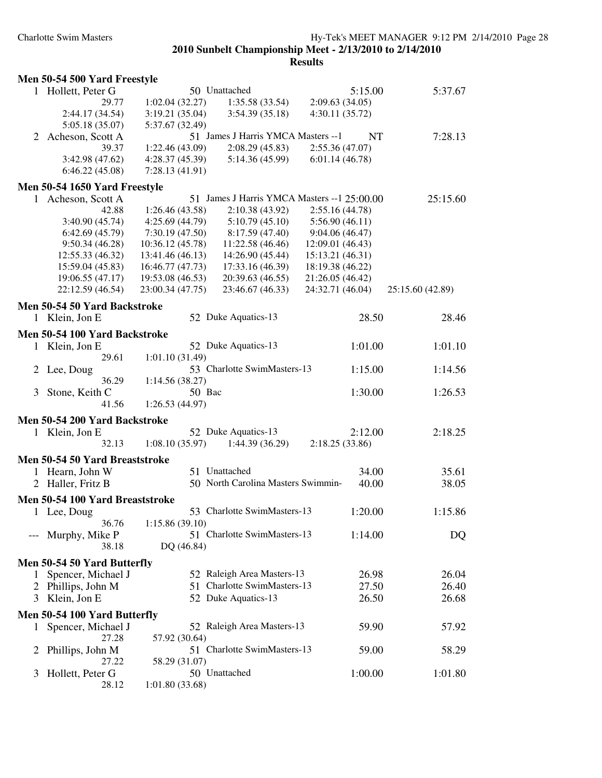|                | Men 50-54 500 Yard Freestyle    |                  |                                     |                                              |                  |
|----------------|---------------------------------|------------------|-------------------------------------|----------------------------------------------|------------------|
|                | 1 Hollett, Peter G              |                  | 50 Unattached                       | 5:15.00                                      | 5:37.67          |
|                | 29.77                           | 1:02.04(32.27)   | 1:35.58(33.54)                      | 2:09.63(34.05)                               |                  |
|                | 2:44.17 (34.54)                 | 3:19.21 (35.04)  | 3:54.39(35.18)                      | 4:30.11 (35.72)                              |                  |
|                | 5:05.18 (35.07)                 | 5:37.67 (32.49)  |                                     |                                              |                  |
| 2              | Acheson, Scott A                |                  | 51 James J Harris YMCA Masters -- 1 | <b>NT</b>                                    | 7:28.13          |
|                | 39.37                           | 1:22.46 (43.09)  | 2:08.29(45.83)                      | 2:55.36(47.07)                               |                  |
|                | 3:42.98 (47.62)                 | 4:28.37 (45.39)  | 5:14.36 (45.99)                     | 6:01.14(46.78)                               |                  |
|                | 6:46.22(45.08)                  | 7:28.13(41.91)   |                                     |                                              |                  |
|                | Men 50-54 1650 Yard Freestyle   |                  |                                     |                                              |                  |
|                | 1 Acheson, Scott A              |                  |                                     | 51 James J Harris YMCA Masters -- 1 25:00.00 | 25:15.60         |
|                | 42.88                           | 1:26.46(43.58)   | 2:10.38(43.92)                      | 2:55.16(44.78)                               |                  |
|                | 3:40.90(45.74)                  | 4:25.69 (44.79)  | 5:10.79(45.10)                      | 5:56.90(46.11)                               |                  |
|                | 6:42.69(45.79)                  | 7:30.19(47.50)   | 8:17.59 (47.40)                     | 9:04.06(46.47)                               |                  |
|                | 9:50.34(46.28)                  | 10:36.12 (45.78) | 11:22.58 (46.46)                    | 12:09.01 (46.43)                             |                  |
|                | 12:55.33 (46.32)                | 13:41.46 (46.13) | 14:26.90 (45.44)                    | 15:13.21 (46.31)                             |                  |
|                | 15:59.04 (45.83)                | 16:46.77 (47.73) | 17:33.16 (46.39)                    | 18:19.38 (46.22)                             |                  |
|                | 19:06.55 (47.17)                | 19:53.08 (46.53) | 20:39.63 (46.55)                    | 21:26.05 (46.42)                             |                  |
|                | 22:12.59 (46.54)                | 23:00.34 (47.75) | 23:46.67 (46.33)                    | 24:32.71 (46.04)                             | 25:15.60 (42.89) |
|                |                                 |                  |                                     |                                              |                  |
|                | Men 50-54 50 Yard Backstroke    |                  |                                     |                                              |                  |
|                | 1 Klein, Jon E                  |                  | 52 Duke Aquatics-13                 | 28.50                                        | 28.46            |
|                | Men 50-54 100 Yard Backstroke   |                  |                                     |                                              |                  |
|                | 1 Klein, Jon E                  |                  | 52 Duke Aquatics-13                 | 1:01.00                                      | 1:01.10          |
|                | 29.61                           | 1:01.10 (31.49)  |                                     |                                              |                  |
| $\overline{2}$ | Lee, Doug                       |                  | 53 Charlotte SwimMasters-13         | 1:15.00                                      | 1:14.56          |
|                | 36.29                           | 1:14.56(38.27)   |                                     |                                              |                  |
| 3              | Stone, Keith C                  | 50 Bac           |                                     | 1:30.00                                      | 1:26.53          |
|                | 41.56                           | 1:26.53(44.97)   |                                     |                                              |                  |
|                | Men 50-54 200 Yard Backstroke   |                  |                                     |                                              |                  |
|                | 1 Klein, Jon E                  |                  | 52 Duke Aquatics-13                 | 2:12.00                                      | 2:18.25          |
|                | 32.13                           | 1:08.10(35.97)   | 1:44.39(36.29)                      | 2:18.25(33.86)                               |                  |
|                |                                 |                  |                                     |                                              |                  |
|                | Men 50-54 50 Yard Breaststroke  |                  | 51 Unattached                       |                                              |                  |
|                | 1 Hearn, John W                 |                  |                                     | 34.00                                        | 35.61            |
|                | 2 Haller, Fritz B               |                  | 50 North Carolina Masters Swimmin-  | 40.00                                        | 38.05            |
|                | Men 50-54 100 Yard Breaststroke |                  |                                     |                                              |                  |
|                | 1 Lee, Doug                     |                  | 53 Charlotte SwimMasters-13         | 1:20.00                                      | 1:15.86          |
|                | 36.76                           | 1:15.86(39.10)   |                                     |                                              |                  |
|                | Murphy, Mike P                  |                  | 51 Charlotte SwimMasters-13         | 1:14.00                                      | DQ               |
|                | 38.18                           | DQ (46.84)       |                                     |                                              |                  |
|                | Men 50-54 50 Yard Butterfly     |                  |                                     |                                              |                  |
|                | Spencer, Michael J              |                  | 52 Raleigh Area Masters-13          | 26.98                                        | 26.04            |
|                | 2 Phillips, John M              |                  | 51 Charlotte SwimMasters-13         | 27.50                                        | 26.40            |
| 3              | Klein, Jon E                    |                  | 52 Duke Aquatics-13                 | 26.50                                        | 26.68            |
|                |                                 |                  |                                     |                                              |                  |
|                | Men 50-54 100 Yard Butterfly    |                  |                                     |                                              |                  |
| $\mathbf{1}$   | Spencer, Michael J              |                  | 52 Raleigh Area Masters-13          | 59.90                                        | 57.92            |
|                | 27.28                           | 57.92 (30.64)    |                                     |                                              |                  |
| 2              | Phillips, John M                |                  | 51 Charlotte SwimMasters-13         | 59.00                                        | 58.29            |
|                | 27.22                           | 58.29 (31.07)    |                                     |                                              |                  |
| 3              | Hollett, Peter G                |                  | 50 Unattached                       | 1:00.00                                      | 1:01.80          |
|                | 28.12                           | 1:01.80 (33.68)  |                                     |                                              |                  |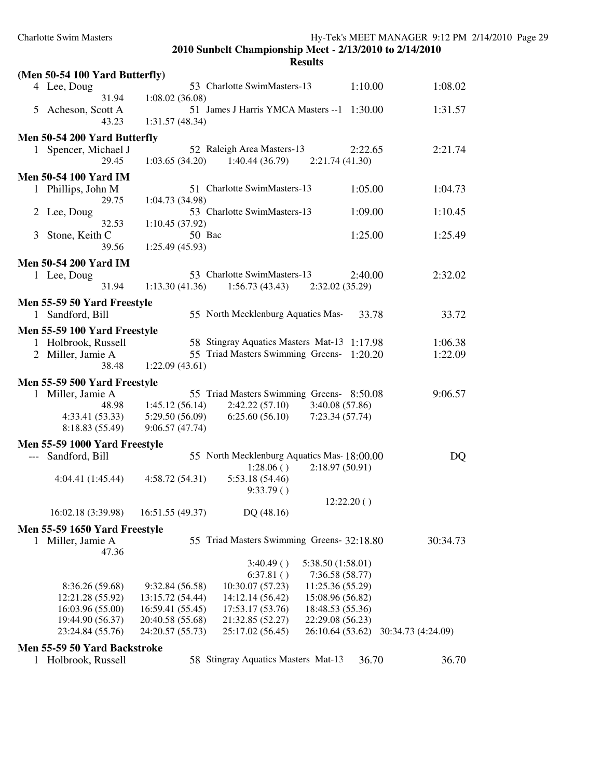|                                    |                  |                                     | 2010 Sunbelt Championship Meet - 2/13/2010 to 2/14/2010<br><b>Results</b>                |                    |
|------------------------------------|------------------|-------------------------------------|------------------------------------------------------------------------------------------|--------------------|
| (Men 50-54 100 Yard Butterfly)     |                  |                                     |                                                                                          |                    |
| 4 Lee, Doug                        |                  | 53 Charlotte SwimMasters-13         | 1:10.00                                                                                  | 1:08.02            |
| 31.94                              | 1:08.02(36.08)   |                                     |                                                                                          |                    |
| 5 Acheson, Scott A                 |                  |                                     | 51 James J Harris YMCA Masters --1 1:30.00                                               | 1:31.57            |
| 43.23                              | 1:31.57 (48.34)  |                                     |                                                                                          |                    |
| Men 50-54 200 Yard Butterfly       |                  |                                     |                                                                                          |                    |
| 1 Spencer, Michael J               |                  | 52 Raleigh Area Masters-13          | 2:22.65                                                                                  | 2:21.74            |
| 29.45                              | 1:03.65(34.20)   | 1:40.44(36.79)                      | 2:21.74(41.30)                                                                           |                    |
| <b>Men 50-54 100 Yard IM</b>       |                  |                                     |                                                                                          |                    |
| 1 Phillips, John M                 |                  | 51 Charlotte SwimMasters-13         | 1:05.00                                                                                  | 1:04.73            |
| 29.75                              | 1:04.73(34.98)   |                                     |                                                                                          |                    |
| 2 Lee, Doug                        |                  | 53 Charlotte SwimMasters-13         | 1:09.00                                                                                  | 1:10.45            |
| 32.53                              | 1:10.45(37.92)   |                                     |                                                                                          |                    |
| Stone, Keith C<br>3                | 50 Bac           |                                     | 1:25.00                                                                                  | 1:25.49            |
| 39.56                              | 1:25.49(45.93)   |                                     |                                                                                          |                    |
| <b>Men 50-54 200 Yard IM</b>       |                  |                                     |                                                                                          |                    |
| 1 Lee, Doug                        |                  | 53 Charlotte SwimMasters-13         | 2:40.00                                                                                  | 2:32.02            |
| 31.94                              | 1:13.30(41.36)   | 1:56.73(43.43)                      | 2:32.02(35.29)                                                                           |                    |
| Men 55-59 50 Yard Freestyle        |                  |                                     |                                                                                          |                    |
| 1 Sandford, Bill                   |                  | 55 North Mecklenburg Aquatics Mas-  | 33.78                                                                                    | 33.72              |
|                                    |                  |                                     |                                                                                          |                    |
| Men 55-59 100 Yard Freestyle       |                  |                                     |                                                                                          |                    |
| 1 Holbrook, Russell                |                  |                                     | 58 Stingray Aquatics Masters Mat-13 1:17.98<br>55 Triad Masters Swimming Greens- 1:20.20 | 1:06.38            |
| 2 Miller, Jamie A<br>38.48         | 1:22.09(43.61)   |                                     |                                                                                          | 1:22.09            |
|                                    |                  |                                     |                                                                                          |                    |
| Men 55-59 500 Yard Freestyle       |                  |                                     |                                                                                          |                    |
| 1 Miller, Jamie A                  |                  |                                     | 55 Triad Masters Swimming Greens-8:50.08                                                 | 9:06.57            |
| 48.98                              | 1:45.12(56.14)   | 2:42.22(57.10)                      | 3:40.08 (57.86)                                                                          |                    |
| 4:33.41 (53.33)<br>8:18.83 (55.49) | 5:29.50 (56.09)  | 6:25.60(56.10)                      | 7:23.34 (57.74)                                                                          |                    |
|                                    | 9:06.57(47.74)   |                                     |                                                                                          |                    |
| Men 55-59 1000 Yard Freestyle      |                  |                                     |                                                                                          |                    |
| Sandford, Bill<br>$---$            |                  |                                     | 55 North Mecklenburg Aquatics Mas-18:00.00                                               | DQ                 |
|                                    |                  | 1:28.06()                           | 2:18.97(50.91)                                                                           |                    |
| 4:04.41 (1:45.44)                  | 4:58.72(54.31)   | 5:53.18 (54.46)                     |                                                                                          |                    |
|                                    |                  | 9:33.79()                           | 12:22.20()                                                                               |                    |
| 16:02.18 (3:39.98)                 | 16:51.55 (49.37) | DQ (48.16)                          |                                                                                          |                    |
|                                    |                  |                                     |                                                                                          |                    |
| Men 55-59 1650 Yard Freestyle      |                  |                                     |                                                                                          |                    |
| Miller, Jamie A<br>I.              |                  |                                     | 55 Triad Masters Swimming Greens- 32:18.80                                               | 30:34.73           |
| 47.36                              |                  | 3:40.49()                           | 5:38.50 (1:58.01)                                                                        |                    |
|                                    |                  | 6:37.81()                           | 7:36.58 (58.77)                                                                          |                    |
| 8:36.26 (59.68)                    | 9:32.84(56.58)   | 10:30.07 (57.23)                    | 11:25.36 (55.29)                                                                         |                    |
| 12:21.28 (55.92)                   | 13:15.72 (54.44) | 14:12.14 (56.42)                    | 15:08.96 (56.82)                                                                         |                    |
| 16:03.96 (55.00)                   | 16:59.41 (55.45) | 17:53.17 (53.76)                    | 18:48.53 (55.36)                                                                         |                    |
| 19:44.90 (56.37)                   | 20:40.58 (55.68) | 21:32.85 (52.27)                    | 22:29.08 (56.23)                                                                         |                    |
| 23:24.84 (55.76)                   | 24:20.57 (55.73) | 25:17.02 (56.45)                    | 26:10.64 (53.62)                                                                         | 30:34.73 (4:24.09) |
| Men 55-59 50 Yard Backstroke       |                  |                                     |                                                                                          |                    |
| 1 Holbrook, Russell                |                  | 58 Stingray Aquatics Masters Mat-13 | 36.70                                                                                    | 36.70              |
|                                    |                  |                                     |                                                                                          |                    |

Charlotte Swim Masters Hy-Tek's MEET MANAGER 9:12 PM 2/14/2010 Page 29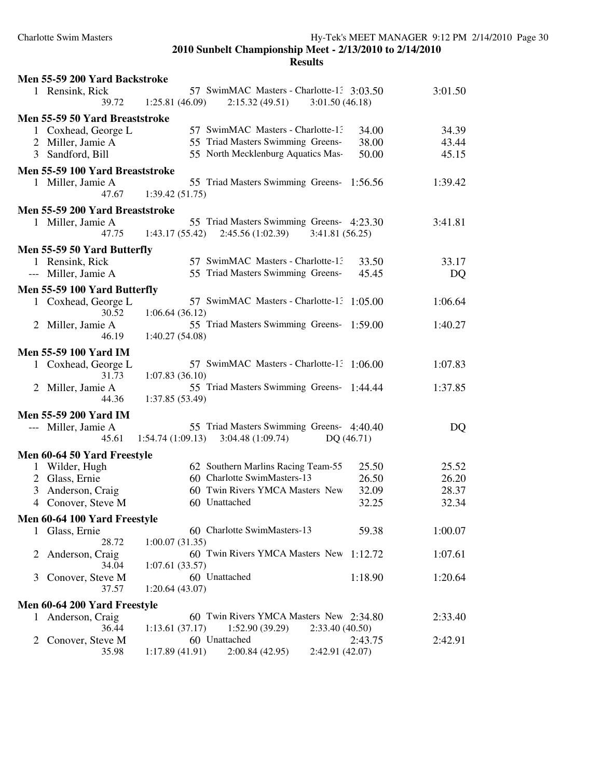|   | Men 55-59 200 Yard Backstroke                  |                                                                                                 |           |         |
|---|------------------------------------------------|-------------------------------------------------------------------------------------------------|-----------|---------|
|   | 1 Rensink, Rick<br>39.72                       | 57 SwimMAC Masters - Charlotte-1: 3:03.50<br>1:25.81(46.09)<br>2:15.32(49.51)<br>3:01.50(46.18) |           | 3:01.50 |
|   | Men 55-59 50 Yard Breaststroke                 |                                                                                                 |           |         |
|   | 1 Coxhead, George L                            | 57 SwimMAC Masters - Charlotte-1:                                                               | 34.00     | 34.39   |
|   | 2 Miller, Jamie A                              | 55 Triad Masters Swimming Greens-                                                               | 38.00     | 43.44   |
|   | 3 Sandford, Bill                               | 55 North Mecklenburg Aquatics Mas-                                                              | 50.00     | 45.15   |
|   | Men 55-59 100 Yard Breaststroke                |                                                                                                 |           |         |
|   | 1 Miller, Jamie A                              | 55 Triad Masters Swimming Greens-                                                               | 1:56.56   | 1:39.42 |
|   | 47.67                                          | 1:39.42(51.75)                                                                                  |           |         |
|   | Men 55-59 200 Yard Breaststroke                |                                                                                                 |           |         |
|   | 1 Miller, Jamie A                              | 55 Triad Masters Swimming Greens- 4:23.30                                                       |           | 3:41.81 |
|   | 47.75                                          | 1:43.17(55.42)<br>2:45.56(1:02.39)<br>3:41.81 (56.25)                                           |           |         |
|   |                                                |                                                                                                 |           |         |
|   | Men 55-59 50 Yard Butterfly<br>1 Rensink, Rick | 57 SwimMAC Masters - Charlotte-1.                                                               | 33.50     | 33.17   |
|   | --- Miller, Jamie A                            | 55 Triad Masters Swimming Greens-                                                               | 45.45     | DQ      |
|   |                                                |                                                                                                 |           |         |
|   | Men 55-59 100 Yard Butterfly                   |                                                                                                 |           |         |
|   | 1 Coxhead, George L<br>30.52                   | 57 SwimMAC Masters - Charlotte-1.<br>1:06.64(36.12)                                             | 1:05.00   | 1:06.64 |
|   | 2 Miller, Jamie A                              | 55 Triad Masters Swimming Greens-                                                               | 1:59.00   | 1:40.27 |
|   | 46.19                                          | 1:40.27(54.08)                                                                                  |           |         |
|   | <b>Men 55-59 100 Yard IM</b>                   |                                                                                                 |           |         |
|   | 1 Coxhead, George L                            | 57 SwimMAC Masters - Charlotte-1: 1:06.00                                                       |           | 1:07.83 |
|   | 31.73                                          | 1:07.83(36.10)                                                                                  |           |         |
|   | 2 Miller, Jamie A                              | 55 Triad Masters Swimming Greens- 1:44.44                                                       |           | 1:37.85 |
|   | 44.36                                          | 1:37.85 (53.49)                                                                                 |           |         |
|   | <b>Men 55-59 200 Yard IM</b>                   |                                                                                                 |           |         |
|   | --- Miller, Jamie A                            | 55 Triad Masters Swimming Greens- 4:40.40                                                       |           | DQ      |
|   | 45.61                                          | 1:54.74(1:09.13)<br>3:04.48(1:09.74)                                                            | DQ(46.71) |         |
|   | Men 60-64 50 Yard Freestyle                    |                                                                                                 |           |         |
|   | 1 Wilder, Hugh                                 | 62 Southern Marlins Racing Team-55                                                              | 25.50     | 25.52   |
|   | 2 Glass, Ernie                                 | 60 Charlotte SwimMasters-13                                                                     | 26.50     | 26.20   |
|   | 3 Anderson, Craig                              | 60 Twin Rivers YMCA Masters New                                                                 | 32.09     | 28.37   |
|   | 4 Conover, Steve M                             | 60 Unattached                                                                                   | 32.25     | 32.34   |
|   | Men 60-64 100 Yard Freestyle                   |                                                                                                 |           |         |
| 1 | Glass, Ernie                                   | 60 Charlotte SwimMasters-13                                                                     | 59.38     | 1:00.07 |
|   | 28.72                                          | 1:00.07(31.35)                                                                                  |           |         |
| 2 | Anderson, Craig                                | 60 Twin Rivers YMCA Masters New 1:12.72                                                         |           | 1:07.61 |
|   | 34.04                                          | 1:07.61(33.57)                                                                                  |           |         |
| 3 | Conover, Steve M                               | 60 Unattached                                                                                   | 1:18.90   | 1:20.64 |
|   | 37.57                                          | 1:20.64(43.07)                                                                                  |           |         |
|   | Men 60-64 200 Yard Freestyle                   |                                                                                                 |           |         |
|   | 1 Anderson, Craig                              | 60 Twin Rivers YMCA Masters New 2:34.80                                                         |           | 2:33.40 |
|   | 36.44                                          | 1:13.61(37.17)<br>1:52.90(39.29)<br>2:33.40 (40.50)                                             |           |         |
| 2 | Conover, Steve M                               | 60 Unattached                                                                                   | 2:43.75   | 2:42.91 |
|   | 35.98                                          | 1:17.89(41.91)<br>2:00.84(42.95)<br>2:42.91 (42.07)                                             |           |         |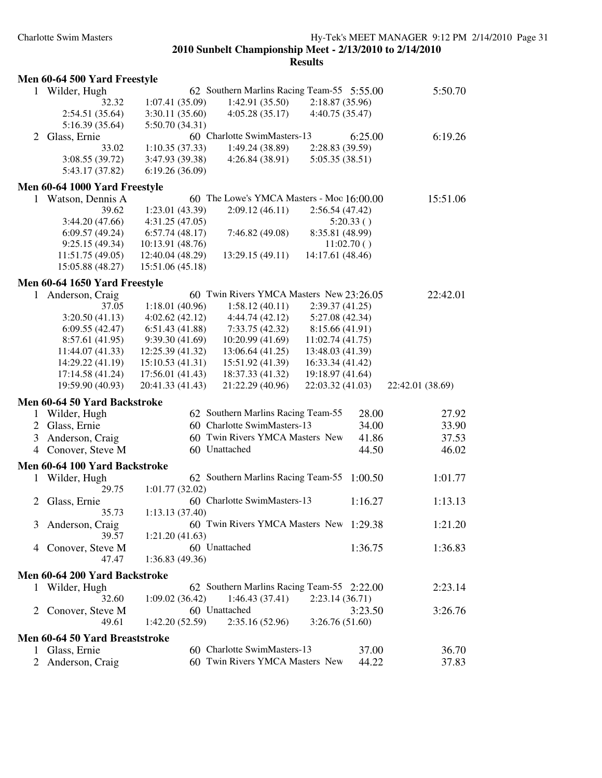|                |                                     |                  |                                            | <b>Results</b>   |            |                  |
|----------------|-------------------------------------|------------------|--------------------------------------------|------------------|------------|------------------|
|                | <b>Men 60-64 500 Yard Freestyle</b> |                  |                                            |                  |            |                  |
|                | 1 Wilder, Hugh                      |                  | 62 Southern Marlins Racing Team-55 5:55.00 |                  |            | 5:50.70          |
|                | 32.32                               | 1:07.41(35.09)   | 1:42.91(35.50)                             | 2:18.87(35.96)   |            |                  |
|                | 2:54.51 (35.64)                     | 3:30.11 (35.60)  | 4:05.28(35.17)                             | 4:40.75(35.47)   |            |                  |
|                | 5:16.39 (35.64)                     | 5:50.70 (34.31)  |                                            |                  |            |                  |
| 2              | Glass, Ernie                        |                  | 60 Charlotte SwimMasters-13                |                  | 6:25.00    | 6:19.26          |
|                | 33.02                               | 1:10.35(37.33)   | 1:49.24(38.89)                             | 2:28.83 (39.59)  |            |                  |
|                | 3:08.55(39.72)                      | 3:47.93 (39.38)  | 4:26.84(38.91)                             | 5:05.35(38.51)   |            |                  |
|                | 5:43.17 (37.82)                     | 6:19.26(36.09)   |                                            |                  |            |                  |
|                | Men 60-64 1000 Yard Freestyle       |                  |                                            |                  |            |                  |
|                | 1 Watson, Dennis A                  |                  | 60 The Lowe's YMCA Masters - Moc 16:00.00  |                  |            | 15:51.06         |
|                | 39.62                               | 1:23.01 (43.39)  | 2:09.12(46.11)                             | 2:56.54(47.42)   |            |                  |
|                | 3:44.20 (47.66)                     | 4:31.25(47.05)   |                                            |                  | 5:20.33()  |                  |
|                | 6:09.57(49.24)                      | 6:57.74(48.17)   | 7:46.82 (49.08)                            | 8:35.81 (48.99)  |            |                  |
|                | 9:25.15(49.34)                      | 10:13.91 (48.76) |                                            |                  | 11:02.70() |                  |
|                | 11:51.75 (49.05)                    | 12:40.04 (48.29) | 13:29.15 (49.11)                           | 14:17.61 (48.46) |            |                  |
|                | 15:05.88 (48.27)                    | 15:51.06 (45.18) |                                            |                  |            |                  |
|                | Men 60-64 1650 Yard Freestyle       |                  |                                            |                  |            |                  |
| 1              | Anderson, Craig                     |                  | 60 Twin Rivers YMCA Masters New 23:26.05   |                  |            | 22:42.01         |
|                | 37.05                               | 1:18.01(40.96)   | 1:58.12(40.11)                             | 2:39.37(41.25)   |            |                  |
|                | 3:20.50(41.13)                      | 4:02.62(42.12)   | 4:44.74 (42.12)                            | 5:27.08 (42.34)  |            |                  |
|                | 6:09.55(42.47)                      | 6:51.43(41.88)   | 7:33.75 (42.32)                            | 8:15.66 (41.91)  |            |                  |
|                | 8:57.61 (41.95)                     | 9:39.30(41.69)   | 10:20.99 (41.69)                           | 11:02.74 (41.75) |            |                  |
|                | 11:44.07 (41.33)                    | 12:25.39 (41.32) | 13:06.64 (41.25)                           | 13:48.03 (41.39) |            |                  |
|                | 14:29.22 (41.19)                    | 15:10.53 (41.31) | 15:51.92 (41.39)                           | 16:33.34 (41.42) |            |                  |
|                | 17:14.58 (41.24)                    | 17:56.01 (41.43) | 18:37.33 (41.32)                           | 19:18.97 (41.64) |            |                  |
|                | 19:59.90 (40.93)                    | 20:41.33 (41.43) | 21:22.29 (40.96)                           | 22:03.32 (41.03) |            | 22:42.01 (38.69) |
|                |                                     |                  |                                            |                  |            |                  |
|                | Men 60-64 50 Yard Backstroke        |                  |                                            |                  |            |                  |
| 1              | Wilder, Hugh                        |                  | 62 Southern Marlins Racing Team-55         |                  | 28.00      | 27.92            |
| 2              | Glass, Ernie                        |                  | 60 Charlotte SwimMasters-13                |                  | 34.00      | 33.90            |
| 3              | Anderson, Craig                     |                  | 60 Twin Rivers YMCA Masters New            |                  | 41.86      | 37.53            |
| $\overline{4}$ | Conover, Steve M                    |                  | 60 Unattached                              |                  | 44.50      | 46.02            |
|                | Men 60-64 100 Yard Backstroke       |                  |                                            |                  |            |                  |
|                | 1 Wilder, Hugh                      |                  | 62 Southern Marlins Racing Team-55 1:00.50 |                  |            | 1:01.77          |
|                | 29.75                               | 1:01.77(32.02)   |                                            |                  |            |                  |
| 2              | Glass, Ernie                        |                  | 60 Charlotte SwimMasters-13                |                  | 1:16.27    | 1:13.13          |
|                | 35.73                               | 1:13.13 (37.40)  |                                            |                  |            |                  |
| 3              | Anderson, Craig                     |                  | 60 Twin Rivers YMCA Masters New            |                  | 1:29.38    | 1:21.20          |
|                | 39.57                               | 1:21.20(41.63)   |                                            |                  |            |                  |
| 4              | Conover, Steve M                    |                  | 60 Unattached                              |                  | 1:36.75    | 1:36.83          |
|                | 47.47                               | 1:36.83(49.36)   |                                            |                  |            |                  |
|                |                                     |                  |                                            |                  |            |                  |
|                | Men 60-64 200 Yard Backstroke       |                  |                                            |                  |            |                  |
| 1              | Wilder, Hugh                        |                  | 62 Southern Marlins Racing Team-55 2:22.00 |                  |            | 2:23.14          |
|                | 32.60                               | 1:09.02(36.42)   | 1:46.43(37.41)                             | 2:23.14(36.71)   |            |                  |
| 2              | Conover, Steve M                    |                  | 60 Unattached                              |                  | 3:23.50    | 3:26.76          |
|                | 49.61                               | 1:42.20(52.59)   | 2:35.16(52.96)                             | 3:26.76(51.60)   |            |                  |
|                | Men 60-64 50 Yard Breaststroke      |                  |                                            |                  |            |                  |
| 1              | Glass, Ernie                        |                  | 60 Charlotte SwimMasters-13                |                  | 37.00      | 36.70            |
| 2              | Anderson, Craig                     |                  | 60 Twin Rivers YMCA Masters New            |                  | 44.22      | 37.83            |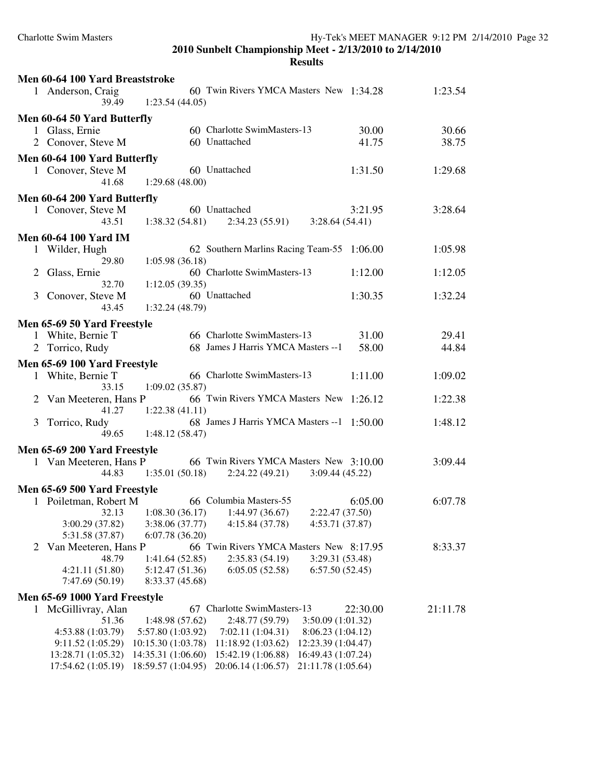|   | Men 60-64 100 Yard Breaststroke |                                                                                               |          |
|---|---------------------------------|-----------------------------------------------------------------------------------------------|----------|
|   | 1 Anderson, Craig<br>39.49      | 60 Twin Rivers YMCA Masters New 1:34.28<br>1:23.54(44.05)                                     | 1:23.54  |
|   | Men 60-64 50 Yard Butterfly     |                                                                                               |          |
|   | 1 Glass, Ernie                  | 60 Charlotte SwimMasters-13<br>30.00                                                          | 30.66    |
|   | 2 Conover, Steve M              | 60 Unattached<br>41.75                                                                        | 38.75    |
|   | Men 60-64 100 Yard Butterfly    |                                                                                               |          |
|   | 1 Conover, Steve M              | 60 Unattached<br>1:31.50                                                                      | 1:29.68  |
|   | 41.68                           | 1:29.68(48.00)                                                                                |          |
|   |                                 |                                                                                               |          |
|   | Men 60-64 200 Yard Butterfly    |                                                                                               |          |
|   | 1 Conover, Steve M              | 60 Unattached<br>3:21.95                                                                      | 3:28.64  |
|   | 43.51                           | $1:38.32(54.81)$ $2:34.23(55.91)$ $3:28.64(54.41)$                                            |          |
|   | <b>Men 60-64 100 Yard IM</b>    |                                                                                               |          |
|   | 1 Wilder, Hugh                  | 62 Southern Marlins Racing Team-55 1:06.00                                                    | 1:05.98  |
|   | 29.80                           | 1:05.98(36.18)                                                                                |          |
|   | 2 Glass, Ernie                  | 60 Charlotte SwimMasters-13<br>1:12.00                                                        | 1:12.05  |
|   | 32.70                           | 1:12.05(39.35)                                                                                |          |
|   | 3 Conover, Steve M              | 60 Unattached<br>1:30.35                                                                      | 1:32.24  |
|   | 43.45                           | 1:32.24 (48.79)                                                                               |          |
|   | Men 65-69 50 Yard Freestyle     |                                                                                               |          |
|   | 1 White, Bernie T               | 66 Charlotte SwimMasters-13<br>31.00                                                          | 29.41    |
|   | 2 Torrico, Rudy                 | 68 James J Harris YMCA Masters -- 1<br>58.00                                                  | 44.84    |
|   | Men 65-69 100 Yard Freestyle    |                                                                                               |          |
|   | 1 White, Bernie T               | 66 Charlotte SwimMasters-13<br>1:11.00                                                        | 1:09.02  |
|   | 33.15                           | 1:09.02(35.87)                                                                                |          |
|   | 2 Van Meeteren, Hans P          | 66 Twin Rivers YMCA Masters New<br>1:26.12                                                    | 1:22.38  |
|   | 41.27                           | 1:22.38(41.11)                                                                                |          |
| 3 | Torrico, Rudy                   | 68 James J Harris YMCA Masters --1 1:50.00                                                    | 1:48.12  |
|   | 49.65                           | 1:48.12(58.47)                                                                                |          |
|   |                                 |                                                                                               |          |
|   | Men 65-69 200 Yard Freestyle    |                                                                                               |          |
|   | 1 Van Meeteren, Hans P          | 66 Twin Rivers YMCA Masters New 3:10.00<br>$1:35.01(50.18)$ $2:24.22(49.21)$ $3:09.44(45.22)$ | 3:09.44  |
|   | 44.83                           |                                                                                               |          |
|   | Men 65-69 500 Yard Freestyle    |                                                                                               |          |
|   | 1 Poiletman, Robert M           | 66 Columbia Masters-55<br>6:05.00                                                             | 6:07.78  |
|   |                                 | 32.13 1:08.30 (36.17) 1:44.97 (36.67)<br>2:22.47 (37.50)                                      |          |
|   | 3:00.29 (37.82)                 | 3:38.06 (37.77)<br>4:15.84 (37.78)<br>4:53.71 (37.87)                                         |          |
|   | 5:31.58 (37.87)                 | 6:07.78(36.20)                                                                                |          |
| 2 | Van Meeteren, Hans P            | 66 Twin Rivers YMCA Masters New 8:17.95                                                       | 8:33.37  |
|   | 48.79                           | 2:35.83(54.19)<br>3:29.31 (53.48)<br>1:41.64(52.85)                                           |          |
|   | 4:21.11(51.80)                  | 5:12.47(51.36)<br>6:05.05(52.58)<br>6:57.50(52.45)                                            |          |
|   | 7:47.69 (50.19)                 | 8:33.37 (45.68)                                                                               |          |
|   | Men 65-69 1000 Yard Freestyle   |                                                                                               |          |
| 1 | McGillivray, Alan               | 67 Charlotte SwimMasters-13<br>22:30.00                                                       | 21:11.78 |
|   | 51.36                           | 2:48.77(59.79)<br>1:48.98 (57.62)<br>3:50.09 (1:01.32)                                        |          |
|   | 4:53.88 (1:03.79)               | 7:02.11 (1:04.31)<br>8:06.23 (1:04.12)<br>5:57.80 (1:03.92)                                   |          |
|   | 9:11.52(1:05.29)                | 11:18.92 (1:03.62)<br>12:23.39 (1:04.47)<br>10:15.30 (1:03.78)                                |          |
|   | 13:28.71 (1:05.32)              | 14:35.31 (1:06.60)<br>15:42.19 (1:06.88)<br>16:49.43 (1:07.24)                                |          |
|   | 17:54.62 (1:05.19)              | 18:59.57 (1:04.95)<br>20:06.14 (1:06.57)<br>21:11.78 (1:05.64)                                |          |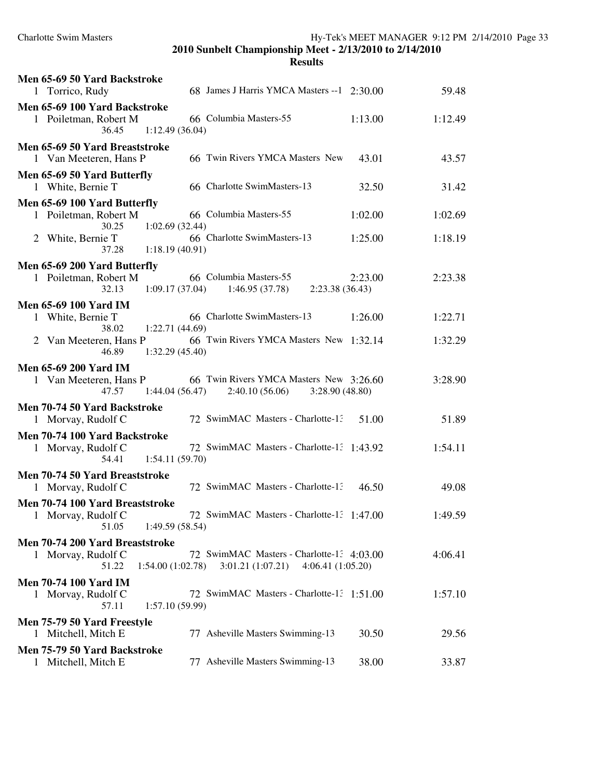| Men 65-69 50 Yard Backstroke<br>68 James J Harris YMCA Masters --1 2:30.00<br>1 Torrico, Rudy                                                                            |         | 59.48   |
|--------------------------------------------------------------------------------------------------------------------------------------------------------------------------|---------|---------|
| Men 65-69 100 Yard Backstroke<br>66 Columbia Masters-55<br>1 Poiletman, Robert M<br>1:12.49(36.04)<br>36.45                                                              | 1:13.00 | 1:12.49 |
| Men 65-69 50 Yard Breaststroke<br>66 Twin Rivers YMCA Masters New<br>1 Van Meeteren, Hans P                                                                              | 43.01   | 43.57   |
| Men 65-69 50 Yard Butterfly<br>66 Charlotte SwimMasters-13<br>1 White, Bernie T                                                                                          | 32.50   | 31.42   |
| Men 65-69 100 Yard Butterfly<br>66 Columbia Masters-55<br>1 Poiletman, Robert M<br>30.25<br>1:02.69(32.44)                                                               | 1:02.00 | 1:02.69 |
| 66 Charlotte SwimMasters-13<br>2 White, Bernie T<br>37.28<br>1:18.19(40.91)                                                                                              | 1:25.00 | 1:18.19 |
| Men 65-69 200 Yard Butterfly<br>66 Columbia Masters-55<br>1 Poiletman, Robert M<br>32.13<br>$1:09.17(37.04)$ $1:46.95(37.78)$<br>2:23.38(36.43)                          | 2:23.00 | 2:23.38 |
| <b>Men 65-69 100 Yard IM</b><br>66 Charlotte SwimMasters-13<br>1 White, Bernie T<br>1:22.71(44.69)<br>38.02                                                              | 1:26.00 | 1:22.71 |
| 66 Twin Rivers YMCA Masters New 1:32.14<br>2 Van Meeteren, Hans P<br>1:32.29(45.40)<br>46.89                                                                             |         | 1:32.29 |
| <b>Men 65-69 200 Yard IM</b><br>1 Van Meeteren, Hans P 66 Twin Rivers YMCA Masters New 3:26.60<br>$1:44.04(56.47)$ $2:40.10(56.06)$<br>3:28.90(48.80)<br>47.57           |         | 3:28.90 |
| Men 70-74 50 Yard Backstroke<br>72 SwimMAC Masters - Charlotte-1.<br>1 Morvay, Rudolf C                                                                                  | 51.00   | 51.89   |
| Men 70-74 100 Yard Backstroke<br>72 SwimMAC Masters - Charlotte-1: 1:43.92<br>1 Morvay, Rudolf C<br>1:54.11(59.70)<br>54.41                                              |         | 1:54.11 |
| Men 70-74 50 Yard Breaststroke<br>1 Morvay, Rudolf C<br>72 SwimMAC Masters - Charlotte-13                                                                                | 46.50   | 49.08   |
| Men 70-74 100 Yard Breaststroke<br>72 SwimMAC Masters - Charlotte-1: 1:47.00<br>1 Morvay, Rudolf C<br>51.05<br>1:49.59 (58.54)                                           |         | 1:49.59 |
| Men 70-74 200 Yard Breaststroke<br>72 SwimMAC Masters - Charlotte-1: 4:03.00<br>1 Morvay, Rudolf C<br>51.22<br>1:54.00(1:02.78)<br>3:01.21(1:07.21)<br>4:06.41 (1:05.20) |         | 4:06.41 |
| <b>Men 70-74 100 Yard IM</b><br>72 SwimMAC Masters - Charlotte-1: 1:51.00<br>1 Morvay, Rudolf C<br>57.11<br>1:57.10(59.99)                                               |         | 1:57.10 |
| Men 75-79 50 Yard Freestyle<br>77 Asheville Masters Swimming-13<br>1 Mitchell, Mitch E                                                                                   | 30.50   | 29.56   |
| Men 75-79 50 Yard Backstroke<br>77 Asheville Masters Swimming-13<br>1 Mitchell, Mitch E                                                                                  | 38.00   | 33.87   |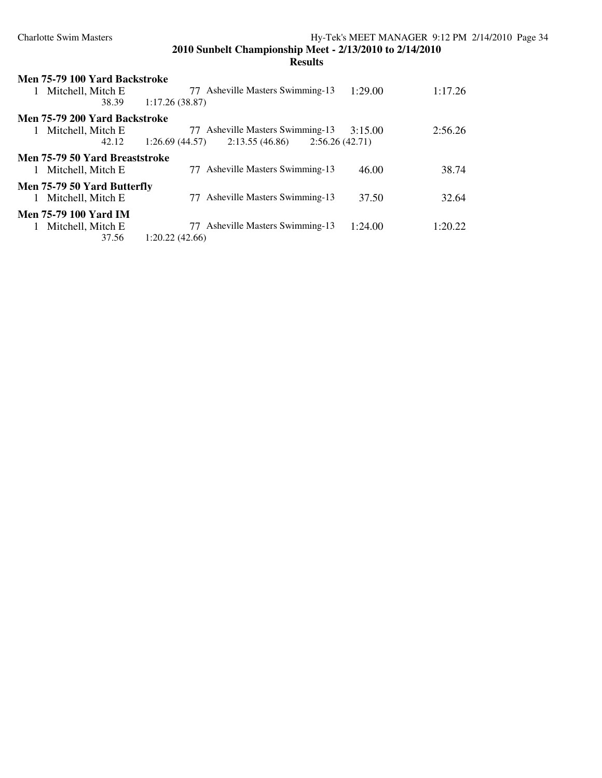| Men 75-79 100 Yard Backstroke     |                                                    |         |         |
|-----------------------------------|----------------------------------------------------|---------|---------|
| 1 Mitchell, Mitch E               | 77 Asheville Masters Swimming-13                   | 1:29.00 | 1:17.26 |
| 38.39                             | 1:17.26(38.87)                                     |         |         |
| Men 75-79 200 Yard Backstroke     |                                                    |         |         |
| Mitchell, Mitch E<br>$\mathbf{1}$ | <b>Asheville Masters Swimming-13</b><br>77         | 3:15.00 | 2:56.26 |
| 42.12                             | 2:13.55(46.86)<br>2:56.26(42.71)<br>1:26.69(44.57) |         |         |
| Men 75-79 50 Yard Breaststroke    |                                                    |         |         |
| 1 Mitchell, Mitch E               | 77 Asheville Masters Swimming-13                   | 46.00   | 38.74   |
| Men 75-79 50 Yard Butterfly       |                                                    |         |         |
| 1 Mitchell, Mitch E               | 77 Asheville Masters Swimming-13                   | 37.50   | 32.64   |
| <b>Men 75-79 100 Yard IM</b>      |                                                    |         |         |
| Mitchell, Mitch E                 | <b>Asheville Masters Swimming-13</b><br>77         | 1:24.00 | 1:20.22 |
| 37.56                             | 1:20.22(42.66)                                     |         |         |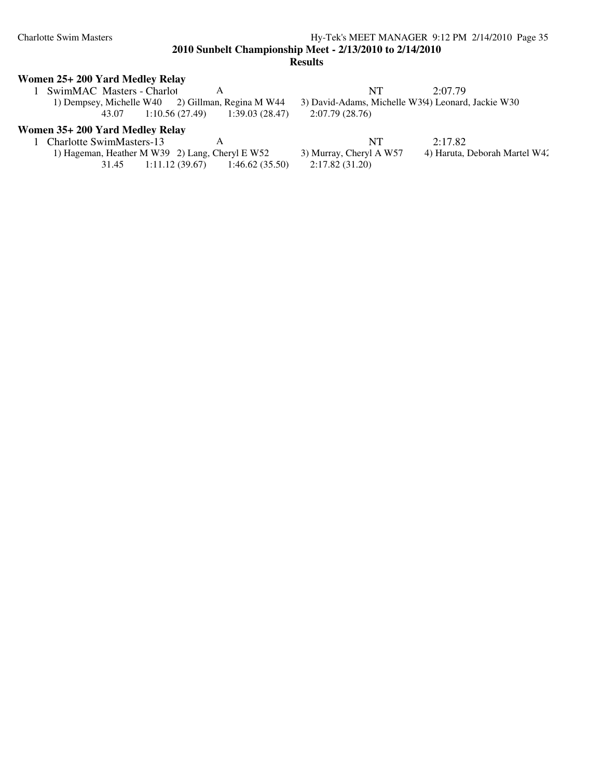#### Charlotte Swim Masters Hy-Tek's MEET MANAGER 9:12 PM 2/14/2010 Page 35 **2010 Sunbelt Championship Meet - 2/13/2010 to 2/14/2010 Results**

#### **Women 25+ 200 Yard Medley Relay**

| 1 SwimMAC Masters - Charlot                                                            |                 | NT -                              | 2:07.79 |
|----------------------------------------------------------------------------------------|-----------------|-----------------------------------|---------|
| 1) Dempsey, Michelle W40 2) Gillman, Regina M W44 3) David-Adams, Michelle W39 Leonard |                 |                                   |         |
| 43.07                                                                                  | 1:10.56 (27.49) | $1:39.03(28.47)$ $2:07.79(28.76)$ |         |

### **Women 35+ 200 Yard Medley Relay**

1 Charlotte SwimMasters-13 A<br>
1) Hageman, Heather M W39 2) Lang, Cheryl E W52 3) Murray, Cheryl A W57 4) Haruta, Deborah Martel W42 1) Hageman, Heather M W39 2) Lang, Cheryl E W52 3) Murray, Cheryl 31.45 1:11.12 (39.67) 1:46.62 (35.50) 2:17.82 (31.20)  $1:11.12(39.67) \qquad 1:46.62(35.50)$ 

14 3) David-Adams, Michelle W34) Leonard, Jackie W30<br>47) 2:07.79 (28.76) 2:07.79 (28.76)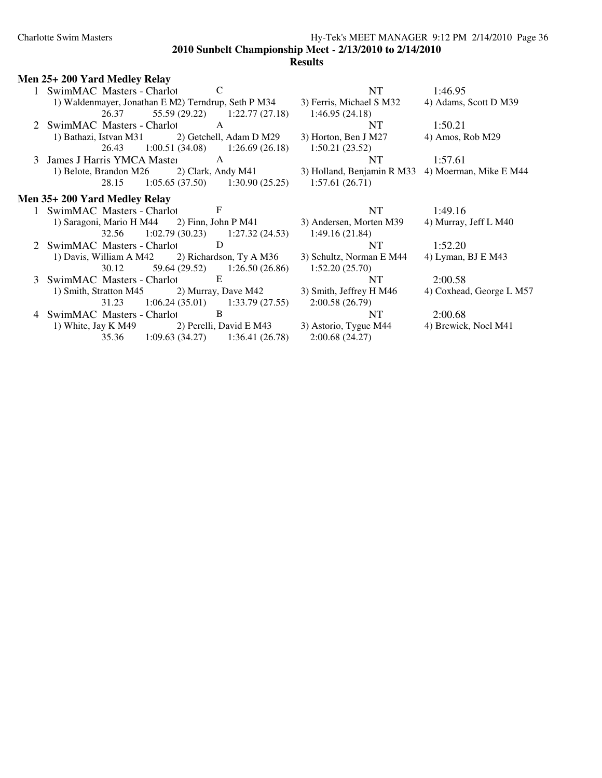#### Charlotte Swim Masters Hy-Tek's MEET MANAGER 9:12 PM 2/14/2010 Page 36 **2010 Sunbelt Championship Meet - 2/13/2010 to 2/14/2010**

#### **Results**

#### **Men 25+ 200 Yard Medley Relay**

|              | SwimMAC Masters - Charlot C                                              | NT                       | 1:46.95    |
|--------------|--------------------------------------------------------------------------|--------------------------|------------|
|              | 1) Waldenmayer, Jonathan E M2) Terndrup, Seth P M34                      | 3) Ferris, Michael S M32 | 4) Adams,  |
|              | 26.37 55.59 (29.22) 1:22.77 (27.18)                                      | 1:46.95(24.18)           |            |
|              | 2 SwimMAC Masters - Charlot A                                            | NT                       | 1:50.21    |
|              | 1) Bathazi, Istvan M31 2) Getchell, Adam D M29                           | 3) Horton, Ben J M27     | 4) Amos, l |
|              | 26.43 1:00.51 (34.08) 1:26.69 (26.18)                                    | 1:50.21(23.52)           |            |
|              | 3 James J Harris YMCA Master A                                           | NT.                      | 1:57.61    |
|              | 1) Belote, Brandon M26 2) Clark, Andy M41 3) Holland, Benjamin R M33     |                          | 4) Moerma  |
|              | 28.15 1:05.65 (37.50) 1:30.90 (25.25) 1:57.61 (26.71)                    |                          |            |
|              | Men 35+ 200 Yard Medley Relay                                            |                          |            |
| $\mathbf{1}$ | SwimMAC Masters - Charlot F                                              | NT.                      | 1:49.16    |
|              | 1) Saragoni, Mario H M44 2) Finn, John P M41                             | 3) Andersen, Morten M39  | 4) Murray  |
|              | 32.56 1:02.79 (30.23) 1:27.32 (24.53) 1:49.16 (21.84)                    |                          |            |
|              | 2 SwimMAC Masters - Charlot D                                            | NT.                      | 1:52.20    |
|              | 1) Davis, William A M42 2) Richardson, Ty A M36 3) Schultz, Norman E M44 |                          | 4) Lyman,  |
|              | $59.64(29.52)$ $1:26.50(26.86)$<br>30.12                                 | 1:52.20(25.70)           |            |
|              | E<br>3 SwimMAC Masters - Charlot                                         | NT.                      | 2:00.58    |
|              | 1) Smith, Stratton M45 2) Murray, Dave M42                               | 3) Smith, Jeffrey H M46  | 4) Coxhea  |
|              | $31.23 \t1:06.24(35.01) \t1:33.79(27.55)$                                | 2:00.58(26.79)           |            |
|              | 4 SwimMAC Masters - Charlot B                                            | NT                       | 2:00.68    |
|              | 1) White, Jay K M49 2) Perelli, David E M43                              | 3) Astorio, Tygue M44    | 4) Brewicl |
|              | 35.36 1:09.63 (34.27) 1:36.41 (26.78)                                    | 2:00.68(24.27)           |            |

erris, Michael S M32 4) Adams, Scott D M39 46.95 (24.18)  $10$  Ben J M27  $4)$  Amos, Rob M29 50.21 (23.52) olland, Benjamin R M33 4) Moerman, Mike E M44 57.61 (26.71) ndersen, Morten M39 4) Murray, Jeff L M40 49.16 (21.84) hultz, Norman E M44 4) Lyman, BJ E M43

52.20 (25.70) 30.58 (26.79) 1) Brewick, Noel M44 3) Brewick, Noel M41

mith, Jeffrey H M46 4) Coxhead, George L M57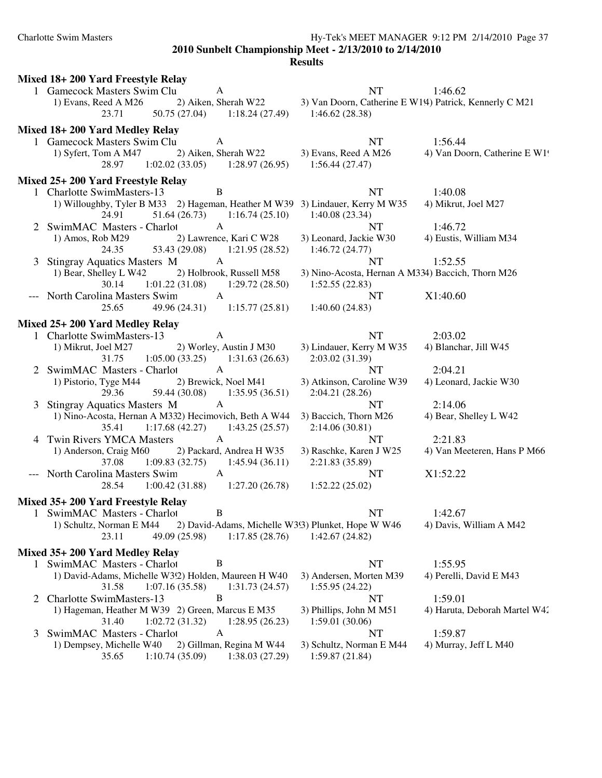# Charlotte Swim Masters Hy-Tek's MEET MANAGER 9:12 PM 2/14/2010 Page 37 **2010 Sunbelt Championship Meet - 2/13/2010 to 2/14/2010**

#### **Results**

|   | Mixed 18+200 Yard Freestyle Relay                                               |                                                                                       |  |
|---|---------------------------------------------------------------------------------|---------------------------------------------------------------------------------------|--|
|   | 1 Gamecock Masters Swim Clu<br>A                                                | NT<br>1:46.62                                                                         |  |
|   | 1) Evans, Reed A M26                                                            | 2) Aiken, Sherah W22 3) Van Doorn, Catherine E W14) Patrick, Kennerly C M21           |  |
|   | 23.71                                                                           | 50.75 (27.04) 1:18.24 (27.49) 1:46.62 (28.38)                                         |  |
|   | Mixed 18+ 200 Yard Medley Relay                                                 |                                                                                       |  |
|   | 1 Gamecock Masters Swim Clu<br>A                                                | <b>NT</b><br>1:56.44                                                                  |  |
|   | 2) Aiken, Sherah W22<br>1) Syfert, Tom A M47                                    | 3) Evans, Reed A M26<br>4) Van Doorn, Catherine E                                     |  |
|   | $1:02.02(33.05)$ $1:28.97(26.95)$<br>28.97                                      | 1:56.44(27.47)                                                                        |  |
|   | Mixed 25+ 200 Yard Freestyle Relay                                              |                                                                                       |  |
|   | $\bf{B}$<br>1 Charlotte SwimMasters-13                                          | <b>NT</b><br>1:40.08                                                                  |  |
|   | 1) Willoughby, Tyler B M33 2) Hageman, Heather M W39 3) Lindauer, Kerry M W35   | 4) Mikrut, Joel M27                                                                   |  |
|   | 24.91                                                                           | $51.64(26.73)$ $1:16.74(25.10)$ $1:40.08(23.34)$                                      |  |
|   | $\mathbf{A}$<br>2 SwimMAC Masters - Charlot                                     | <b>NT</b><br>1:46.72                                                                  |  |
|   | 2) Lawrence, Kari C W28<br>1) Amos, Rob M29                                     | 3) Leonard, Jackie W30<br>4) Eustis, William M34                                      |  |
|   | 53.43 (29.08) 1:21.95 (28.52)<br>24.35                                          | 1:46.72(24.77)                                                                        |  |
|   | 3 Stingray Aquatics Masters M<br>A                                              | <b>NT</b><br>1:52.55                                                                  |  |
|   | 1) Bear, Shelley L W42<br>2) Holbrook, Russell M58                              | 3) Nino-Acosta, Hernan A M334) Baccich, Thorn M26                                     |  |
|   | $1:01.22(31.08)$ $1:29.72(28.50)$<br>30.14                                      | 1:52.55(22.83)                                                                        |  |
|   | $\overline{A}$<br>North Carolina Masters Swim                                   | <b>NT</b><br>X1:40.60                                                                 |  |
|   | 25.65<br>$49.96(24.31)$ $1:15.77(25.81)$                                        | 1:40.60(24.83)                                                                        |  |
|   | Mixed 25+ 200 Yard Medley Relay                                                 |                                                                                       |  |
|   | 1 Charlotte SwimMasters-13<br>A                                                 | <b>NT</b><br>2:03.02                                                                  |  |
|   | 2) Worley, Austin J M30<br>1) Mikrut, Joel M27                                  | 3) Lindauer, Kerry M W35<br>4) Blanchar, Jill W45                                     |  |
|   | $1:05.00(33.25)$ $1:31.63(26.63)$<br>31.75                                      | 2:03.02(31.39)                                                                        |  |
|   | 2 SwimMAC Masters - Charlot A                                                   | <b>NT</b><br>2:04.21                                                                  |  |
|   | 1) Pistorio, Tyge M44 2) Brewick, Noel M41                                      | 3) Atkinson, Caroline W39<br>4) Leonard, Jackie W30                                   |  |
|   | 29.36<br>$59.44(30.08)$ 1:35.95 (36.51)                                         | 2:04.21(28.26)                                                                        |  |
|   | 3 Stingray Aquatics Masters M<br>A                                              | <b>NT</b><br>2:14.06                                                                  |  |
|   | 1) Nino-Acosta, Hernan A M332) Hecimovich, Beth A W44                           | 3) Baccich, Thorn M26<br>4) Bear, Shelley L W42                                       |  |
|   | $1:17.68(42.27)$ $1:43.25(25.57)$<br>35.41                                      | 2:14.06(30.81)                                                                        |  |
|   | 4 Twin Rivers YMCA Masters<br>A                                                 | <b>NT</b><br>2:21.83                                                                  |  |
|   | 1) Anderson, Craig M60 2) Packard, Andrea H W35                                 | 3) Raschke, Karen J W25<br>4) Van Meeteren, Hans P M                                  |  |
|   | $1:09.83(32.75)$ $1:45.94(36.11)$<br>37.08                                      | 2:21.83(35.89)                                                                        |  |
|   | --- North Carolina Masters Swim<br>$\mathbf{A}$                                 | <b>NT</b><br>X1:52.22                                                                 |  |
|   | $1:00.42(31.88)$ $1:27.20(26.78)$<br>28.54                                      | 1:52.22(25.02)                                                                        |  |
|   | Mixed 35+ 200 Yard Freestyle Relay                                              |                                                                                       |  |
|   | 1 SwimMAC Masters - Charlot<br>B                                                | <b>NT</b><br>1:42.67                                                                  |  |
|   | 1) Schultz, Norman E M44 2) David-Adams, Michelle W393) Plunket, Hope W W46     | 4) Davis, William A M42                                                               |  |
|   | 23.11<br>49.09 (25.98)                                                          | 1:17.85(28.76)<br>1:42.67(24.82)                                                      |  |
|   | Mixed 35+ 200 Yard Medley Relay                                                 |                                                                                       |  |
|   | 1 SwimMAC Masters - Charlot<br>B                                                | <b>NT</b><br>1:55.95                                                                  |  |
|   | 1) David-Adams, Michelle W32) Holden, Maureen H W40                             | 3) Andersen, Morten M39<br>4) Perelli, David E M43                                    |  |
|   | 31.58<br>1:07.16(35.58)                                                         | 1:55.95(24.22)<br>1:31.73(24.57)                                                      |  |
|   | 2 Charlotte SwimMasters-13<br>B                                                 | NT<br>1:59.01                                                                         |  |
|   | 1) Hageman, Heather M W39 2) Green, Marcus E M35                                | 3) Phillips, John M M51<br>4) Haruta, Deborah Martel V                                |  |
|   | 1:02.72(31.32)<br>31.40                                                         | 1:59.01(30.06)<br>1:28.95(26.23)                                                      |  |
| 3 | SwimMAC Masters - Charlot<br>A                                                  | <b>NT</b><br>1:59.87                                                                  |  |
|   | 1) Dempsey, Michelle W40<br>2) Gillman, Regina M W44<br>1:10.74(35.09)<br>35.65 | 3) Schultz, Norman E M44<br>4) Murray, Jeff L M40<br>1:38.03(27.29)<br>1:59.87(21.84) |  |

1) M<sub>26</sub> 2) Van Doorn, Catherine E W19  $1/M$  W35  $4)$  Mikrut, Joel M27 W30 4) Eustis, William M34 lernan A M334) Baccich, Thorn M26  $(NW35 \t4)$  Blanchar, Jill W45

1) W25 4) Van Meeteren, Hans P M66

1) Haruta, Deborah Martel W42